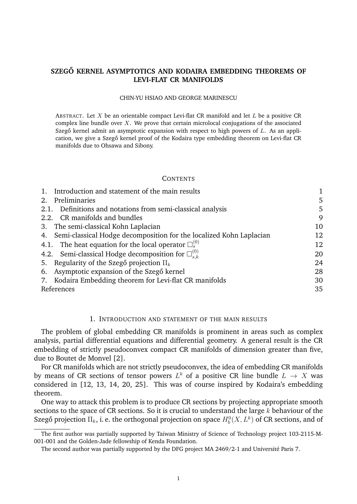# SZEGŐ KERNEL ASYMPTOTICS AND KODAIRA EMBEDDING THEOREMS OF **LEVI-FLAT CR MANIFOLDS**

#### CHIN-YU HSIAO AND GEORGE MARINESCU

ABSTRACT. Let X be an orientable compact Levi-flat CR manifold and let  $L$  be a positive CR complex line bundle over  $X$ . We prove that certain microlocal conjugations of the associated Szegő kernel admit an asymptotic expansion with respect to high powers of  $L$ . As an application, we give a Szegő kernel proof of the Kodaira type embedding theorem on Levi-flat CR manifolds due to Ohsawa and Sibony.

#### **CONTENTS**

| Introduction and statement of the main results                         |    |
|------------------------------------------------------------------------|----|
| Preliminaries<br>2.                                                    | 5  |
| 2.1. Definitions and notations from semi-classical analysis            | 5  |
| 2.2. CR manifolds and bundles                                          | 9  |
| 3. The semi-classical Kohn Laplacian                                   | 10 |
| 4. Semi-classical Hodge decomposition for the localized Kohn Laplacian | 12 |
| 4.1. The heat equation for the local operator $\square_s^{(0)}$        | 12 |
| 4.2. Semi-classical Hodge decomposition for $\square^{(0)}_{s,k}$      | 20 |
| 5. Regularity of the Szegő projection $\Pi_k$                          | 24 |
| 6. Asymptotic expansion of the Szegő kernel                            | 28 |
| 7. Kodaira Embedding theorem for Levi-flat CR manifolds                | 30 |
| References                                                             | 35 |

### 1. INTRODUCTION AND STATEMENT OF THE MAIN RESULTS

The problem of global embedding CR manifolds is prominent in areas such as complex analysis, partial differential equations and differential geometry. A general result is the CR embedding of strictly pseudoconvex compact CR manifolds of dimension greater than five, due to Boutet de Monvel [2].

For CR manifolds which are not strictly pseudoconvex, the idea of embedding CR manifolds by means of CR sections of tensor powers  $L^k$  of a positive CR line bundle  $L \rightarrow X$  was considered in [12, 13, 14, 20, 25]. This was of course inspired by Kodaira's embedding theorem.

One way to attack this problem is to produce CR sections by projecting appropriate smooth sections to the space of CR sections. So it is crucial to understand the large  $k$  behaviour of the Szegő projection  $\Pi_k$ , i. e. the orthogonal projection on space  $H_b^0(X,L^k)$  of CR sections, and of

The first author was partially supported by Taiwan Ministry of Science of Technology project 103-2115-M-001-001 and the Golden-Jade fellowship of Kenda Foundation.

The second author was partially supported by the DFG project MA 2469/2-1 and Université Paris 7.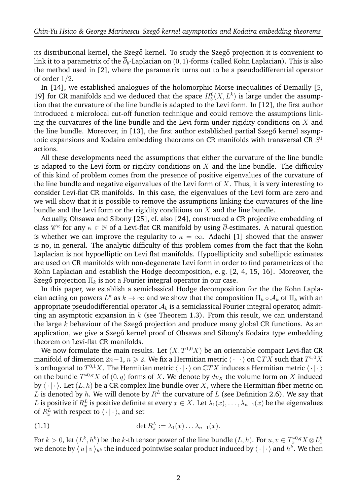its distributional kernel, the Szegő kernel. To study the Szegő projection it is convenient to link it to a parametrix of the  $\overline{\partial}_b$ -Laplacian on  $(0, 1)$ -forms (called Kohn Laplacian). This is also the method used in [2], where the parametrix turns out to be a pseudodifferential operator of order 1/2.

In [14], we established analogues of the holomorphic Morse inequalities of Demailly [5, 19] for CR manifolds and we deduced that the space  $H_b^0(X, L^k)$  is large under the assumption that the curvature of the line bundle is adapted to the Levi form. In [12], the first author introduced a microlocal cut-off function technique and could remove the assumptions linking the curvatures of the line bundle and the Levi form under rigidity conditions on  $X$  and the line bundle. Moreover, in [13], the first author established partial Szegő kernel asymptotic expansions and Kodaira embedding theorems on CR manifolds with transversal CR  $S^1$ actions.

All these developments need the assumptions that either the curvature of the line bundle is adapted to the Levi form or rigidity conditions on  $X$  and the line bundle. The difficulty of this kind of problem comes from the presence of positive eigenvalues of the curvature of the line bundle and negative eigenvalues of the Levi form of  $X$ . Thus, it is very interesting to consider Levi-flat CR manifolds. In this case, the eigenvalues of the Levi form are zero and we will show that it is possible to remove the assumptions linking the curvatures of the line bundle and the Levi form or the rigidity conditions on  $X$  and the line bundle.

Actually, Ohsawa and Sibony [25], cf. also [24], constructed a CR projective embedding of class  $\mathscr{C}^\kappa$  for any  $\kappa\in\mathbb{N}$  of a Levi-flat CR manifold by using  $\overline{\partial}$ -estimates. A natural question is whether we can improve the regularity to  $\kappa = \infty$ . Adachi [1] showed that the answer is no, in general. The analytic difficulty of this problem comes from the fact that the Kohn Laplacian is not hypoelliptic on Levi flat manifolds. Hypoellipticity and subelliptic estimates are used on CR manifolds with non-degenerate Levi form in order to find parametrices of the Kohn Laplacian and establish the Hodge decomposition, e. g. [2, 4, 15, 16]. Moreover, the Szegő projection  $\Pi_k$  is not a Fourier integral operator in our case.

In this paper, we establish a semiclassical Hodge decomposition for the the Kohn Laplacian acting on powers  $L^k$  as  $k\to\infty$  and we show that the composition  $\Pi_k\circ\mathcal{A}_k$  of  $\Pi_k$  with an appropriate pseudodifferential operator  $A_k$  is a semiclassical Fourier integral operator, admitting an asymptotic expansion in  $k$  (see Theorem 1.3). From this result, we can understand the large k behaviour of the Szegő projection and produce many global CR functions. As an application, we give a Szegő kernel proof of Ohsawa and Sibony's Kodaira type embedding theorem on Levi-flat CR manifolds.

We now formulate the main results. Let  $(X, T^{1,0}X)$  be an orientable compact Levi-flat CR manifold of dimension  $2n-1,$   $n \geqslant 2.$  We fix a Hermitian metric  $\langle\,\cdot\,|\,\cdot\,\rangle$  on  $\mathbb CTX$  such that  $T^{1,0}X$ is orthogonal to  $T^{0,1}X$ . The Hermitian metric  $\langle\,\cdot\,|\,\cdot\,\rangle$  on  $\mathbb CTX$  induces a Hermitian metric  $\langle\,\cdot\,|\,\cdot\,\rangle$ on the bundle  $T^{*0,q}X$  of  $(0,q)$  forms of X. We denote by  $dv_X$  the volume form on X induced by  $\langle \cdot | \cdot \rangle$ . Let  $(L, h)$  be a CR complex line bundle over X, where the Hermitian fiber metric on L is denoted by h. We will denote by  $R^L$  the curvature of L (see Definition 2.6). We say that L is positive if  $R_x^L$  is positive definite at every  $x \in X$ . Let  $\lambda_1(x), \ldots, \lambda_{n-1}(x)$  be the eigenvalues of  $R_x^L$  with respect to  $\langle\,\cdot\,|\,\cdot\,\rangle,$  and set

(1.1) 
$$
\det R_x^L := \lambda_1(x) \dots \lambda_{n-1}(x).
$$

For  $k>0,$  let  $(L^k,h^k)$  be the  $k$ -th tensor power of the line bundle  $(L,h).$  For  $u,v\in T^{*0,q}_xX\otimes L^k_x$ we denote by  $\langle\,u\,|\,v\,\rangle_{h^k}$  the induced pointwise scalar product induced by  $\langle\,\cdot\,|\,\cdot\,\rangle$  and  $h^k.$  We then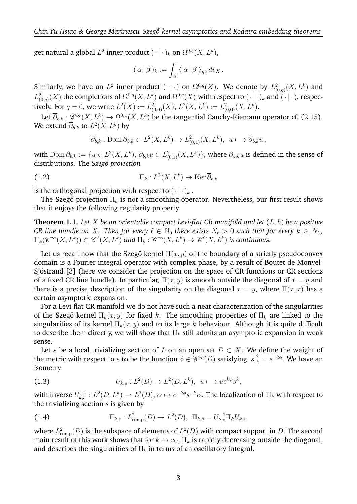get natural a global  $L^2$  inner product  $(\,\cdot\,|\,\cdot\,)_{k}$  on  $\Omega^{0,q}(X,L^{k}),$ 

$$
(\alpha | \beta)_k := \int_X \langle \alpha | \beta \rangle_{h^k} dv_X.
$$

Similarly, we have an  $L^2$  inner product  $(\cdot | \cdot)$  on  $\Omega^{0,q}(X)$ . We denote by  $L^2_{(0,q)}(X,L^k)$  and  $L^2_{(0,q)}(X)$  the completions of  $\Omega^{0,q}(X,L^k)$  and  $\Omega^{0,q}(X)$  with respect to  $(\,\cdot\,|\,\cdot\,)_{k}$  and  $(\,\cdot\,|\,\cdot\,)_{s}$  respectively. For  $q = 0$ , we write  $L^2(X) := L^2_{(0,0)}(X)$ ,  $L^2(X, L^k) := L^2_{(0,0)}(X, L^k)$ .

Let  $\overline\partial_{b,k}:\mathscr{C}^\infty(X,L^k)\to \Omega^{0,1}(X,L^k)$  be the tangential Cauchy-Riemann operator cf. (2.15). We extend  $\overline{\partial}_{b,k}$  to  $L^2(X,L^k)$  by

$$
\overline{\partial}_{b,k} : \text{Dom}\,\overline{\partial}_{b,k} \subset L^2(X,L^k) \to L^2_{(0,1)}(X,L^k), \ \ u \longmapsto \overline{\partial}_{b,k}u \,,
$$

with  ${\rm Dom\,}\overline\partial_{b,k}:=\{u\in L^2(X,L^k);\ \overline\partial_{b,k}u\in L^2_{(0,1)}(X,L^k)\},$  where  $\overline\partial_{b,k}u$  is defined in the sense of distributions. The *Szegő projection* 

(1.2) 
$$
\Pi_k: L^2(X, L^k) \to \text{Ker }\overline{\partial}_{b,k}
$$

is the orthogonal projection with respect to  $(\cdot | \cdot)_k$ .

The Szegő projection  $\Pi_k$  is not a smoothing operator. Nevertheless, our first result shows that it enjoys the following regularity property.

**Theorem 1.1.** *Let* X *be an orientable compact Levi-flat CR manifold and let* (L, h) *be a positive CR line bundle on X. Then for every*  $\ell \in \mathbb{N}_0$  there exists  $N_{\ell} > 0$  such that for every  $k \geq N_{\ell}$ ,  $\Pi_k({\mathscr{C}^\infty}(X,L^k))\subset{\mathscr{C}^\ell}(X,L^k)$  and  $\Pi_k:{\mathscr{C}^\infty}(X,L^k)\to{\mathscr{C}^\ell}(X,L^k)$  is continuous.

Let us recall now that the Szegő kernel  $\Pi(x, y)$  of the boundary of a strictly pseudoconvex domain is a Fourier integral operator with complex phase, by a result of Boutet de Monvel-Sjöstrand [3] (here we consider the projection on the space of CR functions or CR sections of a fixed CR line bundle). In particular,  $\Pi(x, y)$  is smooth outside the diagonal of  $x = y$  and there is a precise description of the singularity on the diagonal  $x = y$ , where  $\Pi(x, x)$  has a certain asymptotic expansion.

For a Levi-flat CR manifold we do not have such a neat characterization of the singularities of the Szegő kernel  $\Pi_k(x, y)$  for fixed k. The smoothing properties of  $\Pi_k$  are linked to the singularities of its kernel  $\Pi_k(x, y)$  and to its large k behaviour. Although it is quite difficult to describe them directly, we will show that  $\Pi_k$  still admits an asymptotic expansion in weak sense.

Let s be a local trivializing section of L on an open set  $D \subset X$ . We define the weight of the metric with respect to s to be the function  $\phi \in \mathscr{C}^{\infty}(D)$  satisfying  $|s|^2_h = e^{-2\phi}$ . We have an isometry

(1.3) 
$$
U_{k,s}: L^2(D) \to L^2(D, L^k), \ u \longmapsto ue^{k\phi} s^k,
$$

with inverse  $U_{k,s}^{-1}:L^2(D,L^k)\to L^2(D),$   $\alpha\mapsto e^{-k\phi}s^{-k}\alpha.$  The localization of  $\Pi_k$  with respect to the trivializing section  $s$  is given by

(1.4) 
$$
\Pi_{k,s}: L^2_{\text{comp}}(D) \to L^2(D), \ \Pi_{k,s} = U_{k,s}^{-1} \Pi_k U_{k,s},
$$

where  $L^2_{\rm comp}(D)$  is the subspace of elements of  $L^2(D)$  with compact support in  $D.$  The second main result of this work shows that for  $k \to \infty$ ,  $\Pi_k$  is rapidly decreasing outside the diagonal, and describes the singularities of  $\Pi_k$  in terms of an oscillatory integral.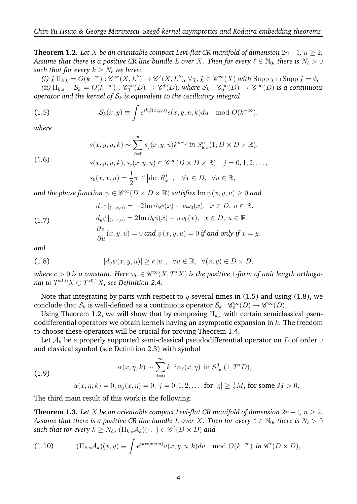**Theorem 1.2.** *Let* X *be an orientable compact Levi-flat CR manifold of dimension* 2n−1*,* n ≥ 2*. Assume that there is a positive CR line bundle L over X. Then for every*  $\ell \in \mathbb{N}_0$ , there is  $N_{\ell} > 0$ *such that for every*  $k > N_\ell$  *we have:* 

(i)  $\widetilde{\chi} \Pi_k \chi = O(k^{-\infty}) : \mathscr{C}^{\infty}(X, L^k) \to \mathscr{C}^{\ell}(X, L^k)$ ,  $\forall \chi, \widetilde{\chi} \in \mathscr{C}^{\infty}(X)$  with  $\text{Supp }\chi \cap \text{Supp }\widetilde{\chi} = \emptyset$ ;<br>(ii)  $\Pi_k$ ,  $S_k = O(k^{-\infty}) : \mathscr{C}^{\infty}(D) \to \mathscr{C}^{\ell}(D)$ , where  $S_k : \mathscr{C}^{\infty}(D) \to \mathscr{C}^{\infty}(D)$  $(iii)$   $\Pi_{k,s} - S_k = O(k^{-\infty})$  :  $\mathscr{C}_0^{\infty}(D) \to \mathscr{C}^{\ell}(D)$ , where  $S_k : \mathscr{C}_0^{\infty}(D) \to \mathscr{C}^{\infty}(D)$  is a continuous *operator and the kernel of*  $S_k$  *is equivalent to the oscillatory integral* 

(1.5) 
$$
\mathcal{S}_k(x,y) \equiv \int e^{ik\psi(x,y,u)} s(x,y,u,k) du \mod O(k^{-\infty}),
$$

*where*

$$
s(x, y, u, k) \sim \sum_{j=0}^{\infty} s_j(x, y, u) k^{n-j} \text{ in } S^n_{\text{loc}}(1; D \times D \times \mathbb{R}),
$$

(1.6)  

$$
s(x, y, u, k), s_j(x, y, u) \in \mathscr{C}^{\infty}(D \times D \times \mathbb{R}), \quad j = 0, 1, 2, \dots,
$$

$$
s_0(x, x, u) = \frac{1}{2}\pi^{-n} |\det R_x^L|, \quad \forall x \in D, \quad \forall u \in \mathbb{R},
$$

and the phase function  $\psi \in \mathscr{C}^\infty(D \times D \times \mathbb{R})$  satisfies  $\mathrm{Im} \, \psi(x,y,u) \geq 0$  and

(1.7) 
$$
d_x \psi|_{(x,x,u)} = -2\text{Im }\overline{\partial}_b \phi(x) + u\omega_0(x), \quad x \in D, \ u \in \mathbb{R},
$$

$$
d_y \psi|_{(x,x,u)} = 2\text{Im }\overline{\partial}_b \phi(x) - u\omega_0(x), \quad x \in D, \ u \in \mathbb{R},
$$

$$
\frac{\partial \psi}{\partial u}(x,y,u) = 0 \text{ and } \psi(x,y,u) = 0 \text{ if and only if } x = y,
$$

*and*

(1.8) 
$$
|d_y \psi(x, y, u)| \ge c |u|, \quad \forall u \in \mathbb{R}, \quad \forall (x, y) \in D \times D,
$$

where  $c > 0$  is a constant. Here  $\omega_0 \in \mathscr{C}^\infty(X,T^*X)$  is the positive 1-form of unit length orthogonal to  $T^{*1,0}X \oplus T^{*0,1}X$ *, see Definition 2.4.* 

Note that integrating by parts with respect to  $y$  several times in (1.5) and using (1.8), we conclude that  $\mathcal{S}_k$  is well-defined as a continuous operator  $\mathcal{S}_k:\mathscr{C}_0^\infty(D)\to\mathscr{C}^\infty(D).$ 

Using Theorem 1.2, we will show that by composing  $\Pi_{k,s}$  with certain semiclassical pseudodifferential operators we obtain kernels having an asymptotic expansion in  $k$ . The freedom to choose these operators will be crucial for proving Theorem 1.4.

Let  $A_k$  be a properly supported semi-classical pseudodifferential operator on D of order 0 and classical symbol (see Definition 2.3) with symbol

(1.9) 
$$
\alpha(x, \eta, k) \sim \sum_{j=0}^{\infty} k^{-j} \alpha_j(x, \eta) \text{ in } S^0_{\text{loc}}(1, T^*D),
$$

 $\alpha(x,\eta,k)=0,$   $\alpha_j(x,\eta)=0,$   $j=0,1,2,\ldots,$  for  $|\eta|\geq \frac{1}{2}M,$  for some  $M>0.$ 

The third main result of this work is the following.

**Theorem 1.3.** *Let* X *be an orientable compact Levi-flat CR manifold of dimension*  $2n-1$ *,*  $n \geq 2$ *. Assume that there is a positive CR line bundle L over* X. Then for every  $\ell \in \mathbb{N}_0$ , there is  $N_\ell > 0$  $\textit{such that for every } k \geq N_\ell\text{, } (\Pi_{k,s}\mathcal{A}_k)(\cdot\,,\cdot) \in \mathscr{C}^\ell(D\times D)$  and

(1.10) 
$$
(\Pi_{k,s}\mathcal{A}_k)(x,y) \equiv \int e^{ik\psi(x,y,u)}a(x,y,u,k)du \mod O(k^{-\infty}) \text{ in } \mathscr{C}^{\ell}(D\times D),
$$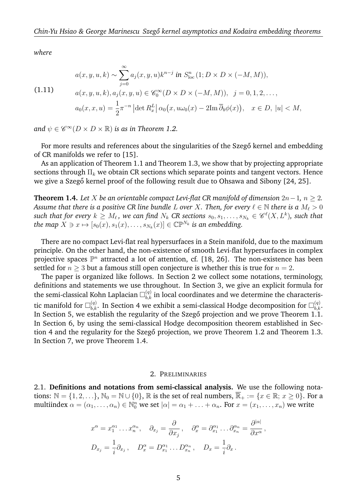*where*

(1.11) 
$$
a(x, y, u, k) \sim \sum_{j=0}^{\infty} a_j(x, y, u) k^{n-j} \text{ in } S^n_{\text{loc}} (1; D \times D \times (-M, M)),
$$

$$
a(x, y, u, k), a_j(x, y, u) \in \mathscr{C}_0^{\infty}(D \times D \times (-M, M)), \quad j = 0, 1, 2, \dots,
$$

$$
a_0(x, x, u) = \frac{1}{2} \pi^{-n} |\det R_x^L| \alpha_0(x, u\omega_0(x) - 2\text{Im } \overline{\partial}_b \phi(x)), \quad x \in D, |u| < M,
$$

and  $\psi \in \mathscr{C}^{\infty}(D \times D \times \mathbb{R})$  *is as in Theorem 1.2.* 

For more results and references about the singularities of the Szegő kernel and embedding of CR manifolds we refer to [15].

As an application of Theorem 1.1 and Theorem 1.3, we show that by projecting appropriate sections through  $\Pi_k$  we obtain CR sections which separate points and tangent vectors. Hence we give a Szegő kernel proof of the following result due to Ohsawa and Sibony [24, 25].

**Theorem 1.4.** *Let* X *be an orientable compact Levi-flat CR manifold of dimension*  $2n-1$ *,*  $n \geq 2$ *. Assume that there is a positive CR line bundle L over X*. Then, for every  $\ell \in \mathbb{N}$  *there is a*  $M_{\ell} > 0$  $s$ uch that for every  $k\ge M_\ell$ , we can find  $N_k$  CR sections  $s_0,s_1,\ldots,s_{N_k}\in \mathscr{C}^\ell(X,L^k)$ , such that *the map*  $X \ni x \mapsto [s_0(x), s_1(x), \dots, s_{N_k}(x)] \in \mathbb{CP}^{N_k}$  *is an embedding.* 

There are no compact Levi-flat real hypersurfaces in a Stein manifold, due to the maximum principle. On the other hand, the non-existence of smooth Levi-flat hypersurfaces in complex projective spaces  $\mathbb{P}^n$  attracted a lot of attention, cf. [18, 26]. The non-existence has been settled for  $n \geq 3$  but a famous still open conjecture is whether this is true for  $n = 2$ .

The paper is organized like follows. In Section 2 we collect some notations, terminology, definitions and statements we use throughout. In Section 3, we give an explicit formula for the semi-classical Kohn Laplacian  $\Box_{b,k}^{(q)}$  in local coordinates and we determine the characteristic manifold for  $\Box_{b,k}^{(q)}.$  In Section 4 we exhibit a semi-classical Hodge decomposition for  $\Box_{b,k}^{(q)}.$ In Section 5, we establish the regularity of the Szegő projection and we prove Theorem 1.1. In Section 6, by using the semi-classical Hodge decomposition theorem established in Section 4 and the regularity for the Szegő projection, we prove Theorem 1.2 and Theorem 1.3. In Section 7, we prove Theorem 1.4.

### 2. PRELIMINARIES

2.1. **Definitions and notations from semi-classical analysis.** We use the following notations:  $\mathbb{N} = \{1, 2, \ldots\}$ ,  $\mathbb{N}_0 = \mathbb{N} \cup \{0\}$ ,  $\mathbb R$  is the set of real numbers,  $\overline{\mathbb{R}}_+ := \{x \in \mathbb R; \ x \geq 0\}$ . For a multiindex  $\alpha = (\alpha_1, \dots, \alpha_n) \in \mathbb{N}_0^n$  we set  $|\alpha| = \alpha_1 + \dots + \alpha_n$ . For  $x = (x_1, \dots, x_n)$  we write

$$
x^{\alpha} = x_1^{\alpha_1} \dots x_n^{\alpha_n}, \quad \partial_{x_j} = \frac{\partial}{\partial x_j}, \quad \partial_x^{\alpha} = \partial_{x_1}^{\alpha_1} \dots \partial_{x_n}^{\alpha_n} = \frac{\partial^{|\alpha|}}{\partial x^{\alpha}},
$$

$$
D_{x_j} = \frac{1}{i} \partial_{x_j}, \quad D_x^{\alpha} = D_{x_1}^{\alpha_1} \dots D_{x_n}^{\alpha_n}, \quad D_x = \frac{1}{i} \partial_x.
$$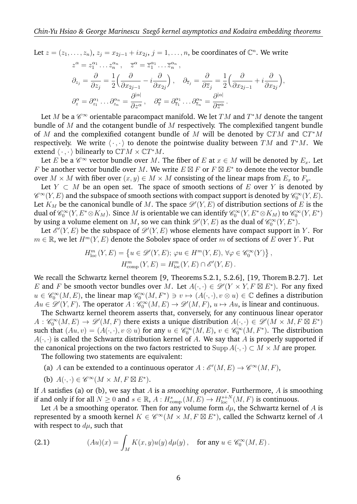Let 
$$
z = (z_1, ..., z_n)
$$
,  $z_j = x_{2j-1} + ix_{2j}$ ,  $j = 1, ..., n$ , be coordinates of  $\mathbb{C}^n$ . We write  
\n
$$
z^{\alpha} = z_1^{\alpha_1} ... z_n^{\alpha_n}, \quad \overline{z}^{\alpha} = \overline{z}_1^{\alpha_1} ... \overline{z}_n^{\alpha_n},
$$
\n
$$
\partial_{z_j} = \frac{\partial}{\partial z_j} = \frac{1}{2} \left( \frac{\partial}{\partial x_{2j-1}} - i \frac{\partial}{\partial x_{2j}} \right), \quad \partial_{\overline{z}_j} = \frac{\partial}{\partial \overline{z}_j} = \frac{1}{2} \left( \frac{\partial}{\partial x_{2j-1}} + i \frac{\partial}{\partial x_{2j}} \right),
$$
\n
$$
\partial_z^{\alpha} = \partial_{z_1}^{\alpha_1} ... \partial_{z_n}^{\alpha_n} = \frac{\partial^{|\alpha|}}{\partial z^{\alpha}}, \quad \partial_{\overline{z}}^{\alpha} = \partial_{\overline{z}_1}^{\alpha_1} ... \partial_{\overline{z}_n}^{\alpha_n} = \frac{\partial^{|\alpha|}}{\partial \overline{z}^{\alpha}}.
$$

Let  $M$  be a  $\mathscr{C}^\infty$  orientable paracompact manifold. We let  $TM$  and  $T^*M$  denote the tangent bundle of  $M$  and the cotangent bundle of  $M$  respectively. The complexified tangent bundle of M and the complexified cotangent bundle of M will be denoted by  $\mathbb{C}TM$  and  $\mathbb{C}T^*M$ respectively. We write  $\langle \cdot , \cdot \rangle$  to denote the pointwise duality between  $TM$  and  $T^*M$ . We extend  $\langle \cdot , \cdot \rangle$  bilinearly to  $\mathbb{C}TM \times \mathbb{C}T^*M$ .

Let E be a  $\mathscr{C}^\infty$  vector bundle over M. The fiber of E at  $x \in M$  will be denoted by  $E_x$ . Let F be another vector bundle over M. We write  $E \boxtimes F$  or  $F \boxtimes E^*$  to denote the vector bundle over  $M \times M$  with fiber over  $(x, y) \in M \times M$  consisting of the linear maps from  $E_x$  to  $F_y$ .

Let  $Y \subset M$  be an open set. The space of smooth sections of E over Y is denoted by  $\mathscr{C}^{\infty}(Y, E)$  and the subspace of smooth sections with compact support is denoted by  $\mathscr{C}_0^{\infty}(Y, E).$ Let  $K_M$  be the canonical bundle of  $M.$  The space  $\mathscr{D}'(Y, E)$  of distribution sections of  $E$  is the dual of  $\mathscr{C}_0^\infty(Y,E^*\otimes K_M).$  Since  $M$  is orientable we can identify  $\mathscr{C}_0^\infty(Y,E^*\otimes K_M)$  to  $\mathscr{C}_0^\infty(Y,E^*)$ by using a volume element on  $M$ , so we can think  $\mathscr{D}'(Y, E)$  as the dual of  $\mathscr{C}_0^\infty(Y, E^*).$ 

Let  $\mathscr{E}'(Y, E)$  be the subspace of  $\mathscr{D}'(Y, E)$  whose elements have compact support in Y. For  $m \in \mathbb{R}$ , we let  $H^m(Y, E)$  denote the Sobolev space of order m of sections of E over Y. Put

$$
H_{\text{loc}}^m(Y, E) = \left\{ u \in \mathcal{D}'(Y, E); \, \varphi u \in H^m(Y, E), \, \forall \varphi \in \mathscr{C}_0^{\infty}(Y) \right\},
$$

$$
H_{\text{comp}}^m(Y, E) = H_{\text{loc}}^m(Y, E) \cap \mathscr{E}'(Y, E).
$$

We recall the Schwartz kernel theorem [9, Theorems 5.2.1, 5.2.6], [19, Thorem B.2.7]. Let E and F be smooth vector bundles over M. Let  $A(\cdot, \cdot) \in \mathcal{D}'(Y \times Y, F \boxtimes E^*)$ . For any fixed  $u \in \mathscr{C}_0^{\infty}(M,E)$ , the linear map  $\mathscr{C}_0^{\infty}(M,F^*) \ni v \mapsto (A(\cdot,\cdot), v \otimes u) \in \mathbb{C}$  defines a distribution  $Au \in \mathscr{D}'(Y, F)$ . The operator  $A: \mathscr{C}_0^{\infty}(M, E) \to \mathscr{D}'(M, F)$ ,  $u \mapsto Au$ , is linear and continuous.

The Schwartz kernel theorem asserts that, conversely, for any continuous linear operator  $A: \mathscr{C}_0^{\infty}(M,E) \to \mathscr{D}'(M,F)$  there exists a unique distribution  $A(\cdot,\cdot) \in \mathscr{D}'(M \times M, F \boxtimes E^*)$ such that  $(Au, v) = (A(\cdot, \cdot), v \otimes u)$  for any  $u \in \mathscr{C}_0^{\infty}(M, E)$ ,  $v \in \mathscr{C}_0^{\infty}(M, F^*)$ . The distribution  $A(\cdot, \cdot)$  is called the Schwartz distribution kernel of A. We say that A is properly supported if the canonical projections on the two factors restricted to  $\text{Supp}\,A(\cdot,\cdot) \subset M \times M$  are proper.

The following two statements are equivalent:

- (a) A can be extended to a continuous operator  $A: \mathscr{E}'(M, E) \to \mathscr{C}^{\infty}(M, F)$ ,
- (b)  $A(\cdot, \cdot) \in \mathscr{C}^{\infty}(M \times M, F \boxtimes E^*)$ .

If A satisfies (a) or (b), we say that A is a *smoothing operator*. Furthermore, A is smoothing if and only if for all  $N \ge 0$  and  $s \in \mathbb{R}$ ,  $A: H^{s}_{\text{comp}}(M, E) \to H^{s+N}_{\text{loc}}(M, F)$  is continuous.

Let A be a smoothing operator. Then for any volume form  $d\mu$ , the Schwartz kernel of A is represented by a smooth kernel  $K \in \mathscr{C}^\infty(M \times M, F \boxtimes E^*)$ , called the Schwartz kernel of  $A$ with respect to  $d\mu$ , such that

(2.1) 
$$
(Au)(x) = \int_M K(x, y)u(y) d\mu(y), \text{ for any } u \in \mathscr{C}_0^{\infty}(M, E).
$$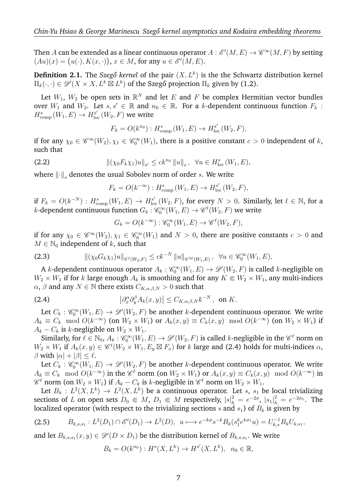Then  $A$  can be extended as a linear continuous operator  $A: \mathscr{E}'(M,E) \to \mathscr{C}^\infty(M,F)$  by setting  $(Au)(x) = (u(\cdot), K(x, \cdot)), x \in M$ , for any  $u \in \mathscr{E}'(M, E)$ .

**Definition 2.1.** The *Szegő kernel* of the pair  $(X, L^k)$  is the the Schwartz distribution kernel  $\Pi_k(\cdot, \cdot) \in \mathscr{D}'(X \times X, L^k \boxtimes L^k)$  of the Szegő projection  $\Pi_k$  given by (1.2).

Let  $W_1$ ,  $W_2$  be open sets in  $\mathbb{R}^N$  and let  $E$  and  $F$  be complex Hermitian vector bundles over  $W_1$  and  $W_2$ . Let  $s, s' \in \mathbb{R}$  and  $n_0 \in \mathbb{R}$ . For a k-dependent continuous function  $F_k$ :  $H^{s}_{\text{comp}}\left(W_{1},E\right) \to H^{s'}_{\text{loc}}\left(W_{2},F\right)$  we write

$$
F_k = O(k^{n_0}) : H^s_{\text{comp}}(W_1, E) \to H^{s'}_{\text{loc}}(W_2, F),
$$

if for any  $\chi_0 \in \mathscr{C}^{\infty}(W_2), \chi_1 \in \mathscr{C}_0^{\infty}(W_1)$ , there is a positive constant  $c > 0$  independent of  $k$ , such that

(2.2) 
$$
\|(\chi_0 F_k \chi_1)u\|_{s'} \leq c k^{n_0} \|u\|_{s}, \ \forall u \in H^s_{\text{loc}}(W_1, E),
$$

where  $\left\| \cdot \right\|_s$  denotes the usual Sobolev norm of order  $s.$  We write

$$
F_k = O(k^{-\infty}) : H^s_{\text{comp}}(W_1, E) \to H^{s'}_{\text{loc}}(W_2, F),
$$

if  $F_k = O(k^{-N})$  :  $H_{\text{comp}}^s(W_1, E) \to H_{\text{loc}}^{s'}(W_2, F)$ , for every  $N > 0$ . Similarly, let  $\ell \in \mathbb{N}$ , for a *k*-dependent continuous function  $G_k : \mathscr{C}_0^{\infty}(W_1, E) \to \mathscr{C}^{\ell}(W_2, F)$  we write

$$
G_k = O(k^{-\infty}) : \mathscr{C}_0^{\infty}(W_1, E) \to \mathscr{C}^{\ell}(W_2, F),
$$

if for any  $\chi_0 \in \mathscr{C}^{\infty}(W_2), \chi_1 \in \mathscr{C}_0^{\infty}(W_1)$  and  $N > 0$ , there are positive constants  $c > 0$  and  $M \in \mathbb{N}_0$  independent of k, such that

$$
\|(\chi_0 G_k \chi_1)u\|_{\mathscr{C}^{\ell}(W_2, F)} \leq c k^{-N} \|u\|_{\mathscr{C}^M(W_1, E)}, \ \ \forall u \in \mathscr{C}_0^{\infty}(W_1, E),
$$

A *k*-dependent continuous operator  $A_k : \mathscr{C}_0^\infty(W_1, E) \to \mathscr{D}'(W_2, F)$  is called *k*-negligible on  $W_2 \times W_1$  if for k large enough  $A_k$  is smoothing and for any  $K \in W_2 \times W_1$ , any multi-indices  $\alpha$ ,  $\beta$  and any  $N \in \mathbb{N}$  there exists  $C_{K,\alpha,\beta,N} > 0$  such that

(2.4) 
$$
\left|\partial_x^{\alpha}\partial_y^{\beta}A_k(x,y)\right| \leq C_{K,\alpha,\beta,N}k^{-N}, \text{ on } K.
$$

Let  $C_k: \mathscr{C}_0^{\infty}(W_1,E) \to \mathscr{D}'(W_2,F)$  be another k-dependent continuous operator. We write  $A_k \equiv C_k \mod O(k^{-\infty})$  (on  $W_2 \times W_1$ ) or  $A_k(x, y) \equiv C_k(x, y) \mod O(k^{-\infty})$  (on  $W_2 \times W_1$ ) if  $A_k - C_k$  is k-negligible on  $W_2 \times W_1$ .

Similarly, for  $\ell \in \mathbb{N}_0$ ,  $A_k : \mathscr{C}_0^{\infty}(W_1, E) \to \mathscr{D}'(W_2, F)$  is called k-negligible in the  $\mathscr{C}^{\ell}$  norm on  $W_2 \times W_1$  if  $A_k(x, y) \in \mathscr{C}^{\ell}(W_2 \times W_1, E_y \boxtimes F_x)$  for k large and (2.4) holds for multi-indices  $\alpha$ ,  $β$  with  $|α| + |β| ≤ l$ .

Let  $C_k: \mathscr{C}_0^{\infty}(W_1,E) \to \mathscr{D}'(W_2,F)$  be another k-dependent continuous operator. We write  $A_k \equiv C_k \mod O(k^{-\infty})$  in the  $\mathscr{C}^{\ell}$  norm (on  $W_2 \times W_1$ ) or  $A_k(x, y) \equiv C_k(x, y) \mod O(k^{-\infty})$  in  $\mathscr{C}^{\ell}$  norm (on  $W_2 \times W_1$ ) if  $A_k - C_k$  is k-negligible in  $\mathscr{C}^{\ell}$  norm on  $W_2 \times W_1$ .

Let  $B_k: L^2(X,L^k) \to L^2(X,L^k)$  be a continuous operator. Let s, s<sub>1</sub> be local trivializing sections of L on open sets  $D_0 \in M$ ,  $D_1 \in M$  respectively,  $|s|^2_h = e^{-2\phi}$ ,  $|s_1|^2_h = e^{-2\phi_1}$ . The localized operator (with respect to the trivializing sections s and  $s_1$ ) of  $B_k$  is given by

$$
(2.5) \t B_{k,s,s_1}: L^2(D_1) \cap \mathscr{E}'(D_1) \to L^2(D), \ u \longmapsto e^{-k\phi} s^{-k} B_k(s_1^k e^{k\phi_1} u) = U_{k,s}^{-1} B_k U_{k,s_1},
$$

and let  $B_{k,s,s_1}(x,y) \in \mathscr{D}'(D \times D_1)$  be the distribution kernel of  $B_{k,s,s_1}$ . We write

$$
B_k = O(k^{n_0}) : H^s(X, L^k) \to H^{s'}(X, L^k), \ \ n_0 \in \mathbb{R},
$$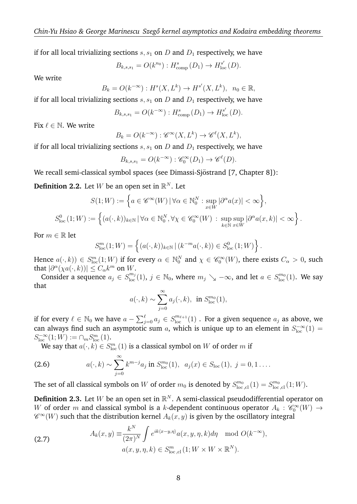if for all local trivializing sections  $s, s_1$  on D and  $D_1$  respectively, we have

$$
B_{k,s,s_1} = O(k^{n_0}) : H^s_{\text{comp}}(D_1) \to H^{s'}_{\text{loc}}(D).
$$

We write

$$
B_k = O(k^{-\infty}) : H^s(X, L^k) \to H^{s'}(X, L^k), \ \ n_0 \in \mathbb{R},
$$

if for all local trivializing sections  $s, s_1$  on D and  $D_1$  respectively, we have

$$
B_{k,s,s_1} = O(k^{-\infty}) : H^{s}_{\text{comp}}(D_1) \to H^{s'}_{\text{loc}}(D).
$$

Fix  $\ell \in \mathbb{N}$ . We write

$$
B_k = O(k^{-\infty}) : \mathscr{C}^{\infty}(X, L^k) \to \mathscr{C}^{\ell}(X, L^k),
$$

if for all local trivializing sections  $s, s<sub>1</sub>$  on  $D$  and  $D<sub>1</sub>$  respectively, we have

$$
B_{k,s,s_1} = O(k^{-\infty}) : \mathscr{C}_0^{\infty}(D_1) \to \mathscr{C}^{\ell}(D).
$$

We recall semi-classical symbol spaces (see Dimassi-Sjöstrand [7, Chapter 8]):

**Definition 2.2.** Let  $W$  be an open set in  $\mathbb{R}^N$ . Let

$$
S(1;W) := \left\{ a \in \mathscr{C}^{\infty}(W) \, | \, \forall \alpha \in \mathbb{N}_0^N : \sup_{x \in W} |\partial^{\alpha} a(x)| < \infty \right\},
$$
\n
$$
S_{\text{loc}}^0(1;W) := \left\{ (a(\cdot,k))_{k \in \mathbb{N}} \, | \, \forall \alpha \in \mathbb{N}_0^N, \forall \chi \in \mathscr{C}_0^{\infty}(W) : \sup_{k \in \mathbb{N}} \sup_{x \in W} |\partial^{\alpha} a(x,k)| < \infty \right\}.
$$

For  $m \in \mathbb{R}$  let

$$
S_{\text{loc}}^m(1;W) = \left\{ (a(\cdot,k))_{k \in \mathbb{N}} \, | \, (k^{-m}a(\cdot,k)) \in S_{\text{loc}}^0(1;W) \right\}.
$$

Hence  $a(\cdot,k)) \in S^m_{\text{loc}}(1;W)$  if for every  $\alpha \in \mathbb{N}_0^N$  and  $\chi \in \mathscr{C}_0^{\infty}(W)$ , there exists  $C_\alpha > 0$ , such that  $|\partial^{\alpha}(\chi a(\cdot,k))| \leq C_{\alpha}k^m$  on W.

Consider a sequence  $a_j \in S^{m_j}_{loc}(1)$ ,  $j \in \mathbb{N}_0$ , where  $m_j \searrow -\infty$ , and let  $a \in S^{m_0}_{loc}(1)$ . We say that

$$
a(\cdot,k) \sim \sum_{j=0}^{\infty} a_j(\cdot,k), \text{ in } S_{\text{loc}}^{m_0}(1),
$$

if for every  $\ell \in \mathbb{N}_0$  we have  $a - \sum_{j=0}^\ell a_j \in S^{m_{\ell+1}}_{\rm loc}(1)$  . For a given sequence  $a_j$  as above, we can always find such an asymptotic sum a, which is unique up to an element in  $S_{\text{loc}}^{-\infty}(1)$  $S_{\text{loc}}^{-\infty}(1;W) := \cap_{m} S_{\text{loc}}^{m}(1).$ 

We say that  $a(\cdot, k) \in S^{m}_{\text{loc}}(1)$  is a classical symbol on  $W$  of order  $m$  if

(2.6) 
$$
a(\cdot,k) \sim \sum_{j=0}^{\infty} k^{m-j} a_j \text{ in } S_{\text{loc}}^{m_0}(1), \ \ a_j(x) \in S_{\text{loc}}(1), \ j=0,1 \ldots.
$$

The set of all classical symbols on W of order  $m_0$  is denoted by  $S^{m_0}_{\text{loc,cl}}(1) = S^{m_0}_{\text{loc,cl}}(1;W)$ .

**Definition 2.3.** Let  $W$  be an open set in  $\mathbb{R}^N$ . A semi-classical pseudodifferential operator on W of order m and classical symbol is a k-dependent continuous operator  $A_k : \mathscr{C}_0^{\infty}(W) \to$  $\mathscr{C}^{\infty}(W)$  such that the distribution kernel  $A_k(x,y)$  is given by the oscillatory integral

(2.7) 
$$
A_k(x,y) \equiv \frac{k^N}{(2\pi)^N} \int e^{ik\langle x-y,\eta\rangle} a(x,y,\eta,k) d\eta \mod O(k^{-\infty}),
$$

$$
a(x,y,\eta,k) \in S^m_{\text{loc,cl}}(1;W \times W \times \mathbb{R}^N).
$$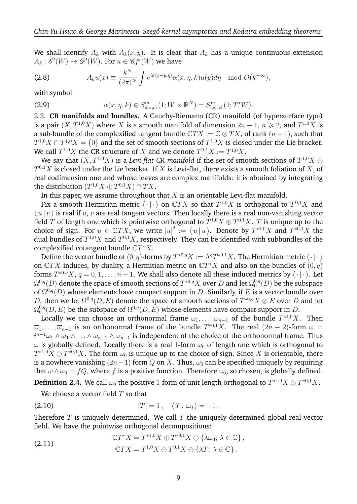We shall identify  $A_k$  with  $A_k(x, y)$ . It is clear that  $A_k$  has a unique continuous extension  $A_k: \mathscr{E}'(W) \to \mathscr{D}'(W)$ . For  $u \in \mathscr{C}_0^{\infty}(W)$  we have

(2.8) 
$$
A_k u(x) \equiv \frac{k^N}{(2\pi)^N} \int e^{ik\langle x-y,\eta \rangle} \alpha(x,\eta,k) u(y) d\eta \mod O(k^{-\infty}),
$$

with symbol

(2.9) 
$$
\alpha(x, \eta, k) \in S^{m}_{\text{loc,cl}}(1; W \times \mathbb{R}^{N}) = S^{m}_{\text{loc,cl}}(1; T^{*}W).
$$

2.2. **CR manifolds and bundles.** A Cauchy-Riemann (CR) manifold (of hypersurface type) is a pair  $(X, T^{1,0}X)$  where X is a smooth manifold of dimension  $2n - 1$ ,  $n \geq 2$ , and  $T^{1,0}X$  is a sub-bundle of the complexified tangent bundle  $\mathbb{C}TX := \mathbb{C} \otimes TX$ , of rank  $(n-1)$ , such that  $T^{1,0}X\cap \overline{T^{1,0}X}=\{0\}$  and the set of smooth sections of  $T^{1,0}X$  is closed under the Lie bracket. We call  $T^{1,0}X$  the CR structure of  $X$  and we denote  $T^{0,1}X:=\overline{T^{1,0}X}.$ 

We say that  $(X,T^{1,0}X)$  is a *Levi-flat CR manifold* if the set of smooth sections of  $T^{1,0}X\oplus$  $T^{0,1}X$  is closed under the Lie bracket. If  $X$  is Levi-flat, there exists a smooth foliation of  $X$ , of real codimension one and whose leaves are complex manifolds: it is obtained by integrating the distribution  $(T^{1,0}X \oplus T^{0,1}X) \cap TX$ .

In this paper, we assume throughout that  $X$  is an orientable Levi-flat manifold.

Fix a smooth Hermitian metric  $\langle \cdot | \cdot \rangle$  on  $\mathbb{C}TX$  so that  $T^{1,0}X$  is orthogonal to  $T^{0,1}X$  and  $\langle u | v \rangle$  is real if u, v are real tangent vectors. Then locally there is a real non-vanishing vector field  $T$  of length one which is pointwise orthogonal to  $T^{1,0}X\oplus T^{0,1}X.$   $T$  is unique up to the choice of sign. For  $u \in \mathbb{C}TX$ , we write  $|u|^2 := \langle u | u \rangle$ . Denote by  $T^{*1,0}X$  and  $T^{*0,1}X$  the dual bundles of  $T^{1,0}X$  and  $T^{0,1}X$ , respectively. They can be identified with subbundles of the complexified cotangent bundle  $\mathbb{C}T^*X$ .

Define the vector bundle of  $(0, q)$ -forms by  $T^{*0,q}X := \Lambda^q T^{*0,1}X$ . The Hermitian metric  $\langle \cdot | \cdot \rangle$ on  $\mathbb{C}TX$  induces, by duality, a Hermitian metric on  $\mathbb{C}T^*X$  and also on the bundles of  $(0, q)$ forms  $T^{*0,q}X$ ,  $q = 0,1,\ldots,n-1$ . We shall also denote all these induced metrics by  $\langle \cdot | \cdot \rangle$ . Let  $\Omega^{0,q}(D)$  denote the space of smooth sections of  $T^{*0,q}X$  over  $D$  and let  $\Omega^{0,q}_0$  $\mathfrak{o}^{\scriptscriptstyle 0,q}_0(D)$  be the subspace of  $\Omega^{0,q}(D)$  whose elements have compact support in D. Similarly, if E is a vector bundle over D, then we let  $\Omega^{0,q}(D, E)$  denote the space of smooth sections of  $T^{*0,q}X \otimes E$  over D and let  $\Omega^{0,q}_0$  $_{0}^{0,q}(D,E)$  be the subspace of  $\Omega^{0,q}(D,E)$  whose elements have compact support in  $D.$ 

Locally we can choose an orthonormal frame  $\omega_1, \ldots, \omega_{n-1}$  of the bundle  $T^{*1,0}X$ . Then  $\overline{\omega}_1,\ldots,\overline{\omega}_{n-1}$  is an orthonormal frame of the bundle  $T^{*0,1}X$ . The real  $(2n-2)$ -form  $\omega$  =  $i^{n-1}\omega_1\wedge\overline{\omega}_1\wedge\ldots\wedge\omega_{n-1}\wedge\overline{\omega}_{n-1}$  is independent of the choice of the orthonormal frame. Thus  $\omega$  is globally defined. Locally there is a real 1-form  $\omega_0$  of length one which is orthogonal to  $T^{*1,0}X\oplus T^{*0,1}X.$  The form  $\omega_0$  is unique up to the choice of sign. Since  $X$  is orientable, there is a nowhere vanishing  $(2n-1)$  form Q on X. Thus,  $\omega_0$  can be specified uniquely by requiring that  $\omega \wedge \omega_0 = fQ$ , where f is a positive function. Therefore  $\omega_0$ , so chosen, is globally defined.

**Definition 2.4.** We call  $\omega_0$  the positive 1-form of unit length orthogonal to  $T^{*1,0}X \oplus T^{*0,1}X.$ 

We choose a vector field  $T$  so that

(2.10) 
$$
|T| = 1, \quad \langle T, \omega_0 \rangle = -1.
$$

Therefore  $T$  is uniquely determined. We call  $T$  the uniquely determined global real vector field. We have the pointwise orthogonal decompositions:

(2.11) 
$$
\mathbb{C}T^*X = T^{*1,0}X \oplus T^{*0,1}X \oplus {\lambda\omega_0; \lambda \in \mathbb{C}} ,
$$

$$
\mathbb{C}TX = T^{1,0}X \oplus T^{0,1}X \oplus {\lambda T; \lambda \in \mathbb{C}}.
$$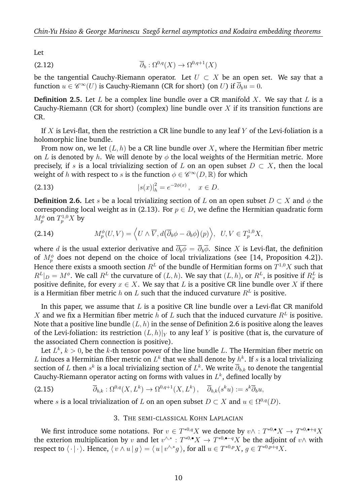Let

(2.12) 
$$
\overline{\partial}_b : \Omega^{0,q}(X) \to \Omega^{0,q+1}(X)
$$

be the tangential Cauchy-Riemann operator. Let  $U \subset X$  be an open set. We say that a function  $u\in \mathscr{C}^{\infty}(U)$  is Cauchy-Riemann (CR for short) (on  $U$ ) if  $\overline{\partial}_b u=0.$ 

**Definition 2.5.** Let  $L$  be a complex line bundle over a CR manifold  $X$ . We say that  $L$  is a Cauchy-Riemann (CR for short) (complex) line bundle over  $X$  if its transition functions are CR.

If X is Levi-flat, then the restriction a CR line bundle to any leaf Y of the Levi-foliation is a holomorphic line bundle.

From now on, we let  $(L, h)$  be a CR line bundle over X, where the Hermitian fiber metric on L is denoted by h. We will denote by  $\phi$  the local weights of the Hermitian metric. More precisely, if s is a local trivializing section of L on an open subset  $D \subset X$ , then the local weight of  $h$  with respect to  $s$  is the function  $\phi \in \mathscr{C}^{\infty}(D,\mathbb{R})$  for which

(2.13) 
$$
|s(x)|_h^2 = e^{-2\phi(x)}, \quad x \in D.
$$

**Definition 2.6.** Let s be a local trivializing section of L on an open subset  $D \subset X$  and  $\phi$  the corresponding local weight as in (2.13). For  $p \in D$ , we define the Hermitian quadratic form  $M^\phi_p$  on  $T^{1,0}_pX$  by

(2.14) 
$$
M_p^{\phi}(U, V) = \left\langle U \wedge \overline{V}, d(\overline{\partial}_b \phi - \partial_b \phi)(p) \right\rangle, \ \ U, V \in T_p^{1,0}X,
$$

where d is the usual exterior derivative and  $\overline{\partial_b \phi} = \overline{\partial}_b \overline{\phi}$ . Since X is Levi-flat, the definition of  $M_p^{\phi}$  does not depend on the choice of local trivializations (see [14, Proposition 4.2]). Hence there exists a smooth section  $R^L$  of the bundle of Hermitian forms on  $T^{1,0}X$  such that  $R^L|_D = M^\phi.$  We call  $R^L$  the curvature of  $(L,h).$  We say that  $(L,h),$  or  $R^L,$  is positive if  $R^L_x$  is positive definite, for every  $x \in X$ . We say that L is a positive CR line bundle over X if there is a Hermitian fiber metric  $h$  on  $L$  such that the induced curvature  $R^L$  is positive.

In this paper, we assume that  $L$  is a positive CR line bundle over a Levi-flat CR manifold X and we fix a Hermitian fiber metric h of L such that the induced curvature  $R^L$  is positive. Note that a positive line bundle  $(L, h)$  in the sense of Definition 2.6 is positive along the leaves of the Levi-foliation: its restriction  $(L, h)|_Y$  to any leaf Y is positive (that is, the curvature of the associated Chern connection is positive).

Let  $L^k$ ,  $k > 0$ , be the k-th tensor power of the line bundle L. The Hermitian fiber metric on L induces a Hermitian fiber metric on  $L^k$  that we shall denote by  $h^k$ . If  $s$  is a local trivializing section of  $L$  then  $s^k$  is a local trivializing section of  $L^k.$  We write  $\overline\partial_{b,k}$  to denote the tangential Cauchy-Riemann operator acting on forms with values in  $L^k$ , defined locally by

(2.15) 
$$
\overline{\partial}_{b,k} : \Omega^{0,q}(X,L^k) \to \Omega^{0,q+1}(X,L^k), \quad \overline{\partial}_{b,k}(s^k u) := s^k \overline{\partial}_b u,
$$

where s is a local trivialization of L on an open subset  $D \subset X$  and  $u \in \Omega^{0,q}(D)$ .

### 3. THE SEMI-CLASSICAL KOHN LAPLACIAN

We first introduce some notations. For  $v \in T^{*0,q}X$  we denote by  $v \wedge : T^{*0,\bullet}X \to T^{*0,\bullet+q}X$ the exterion multiplication by v and let  $v^{\wedge,*}: T^{*0,\bullet}X \to T^{*0,\bullet-q}X$  be the adjoint of  $v \wedge$  with respect to  $\langle \cdot | \cdot \rangle$ . Hence,  $\langle v \wedge u | g \rangle = \langle u | v^{\wedge, *} g \rangle$ , for all  $u \in T^{*0,p}X$ ,  $g \in T^{*0,p+q}X$ .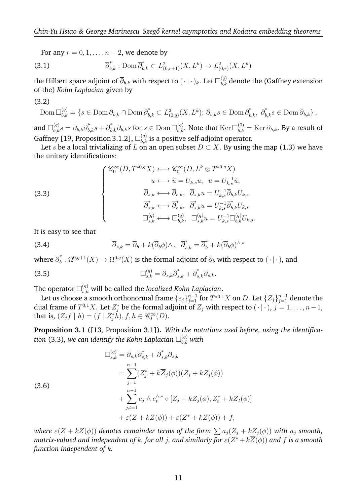For any  $r = 0, 1, \ldots, n-2$ , we denote by

(3.1) 
$$
\overline{\partial}_{b,k}^* : \text{Dom } \overline{\partial}_{b,k}^* \subset L^2_{(0,r+1)}(X,L^k) \to L^2_{(0,r)}(X,L^k)
$$

the Hilbert space adjoint of  $\overline\partial_{b,k}$  with respect to  $(\,\cdot\,|\,\cdot\,)_{k}.$  Let  $\Box_{b,k}^{(q)}$  denote the (Gaffney extension of the) *Kohn Laplacian* given by

$$
(3.2)
$$

$$
\text{Dom }\overline{\Box}_{b,k}^{(q)} = \{s \in \text{Dom }\overline{\partial}_{b,k} \cap \text{Dom }\overline{\partial}_{b,k}^* \subset L^2_{(0,q)}(X,L^k); \ \overline{\partial}_{b,k}s \in \text{Dom }\overline{\partial}_{b,k}^*, \ \overline{\partial}_{b,k}^*s \in \text{Dom }\overline{\partial}_{b,k}\},\
$$

and  $\Box_{b,k}^{(q)}s=\overline{\partial}_{b,k}\overline{\partial}_{b,k}^*s+\overline{\partial}_{b,k}^*\overline{\partial}_{b,k}s$  for  $s\in{\rm Dom\,}\Box_{b,k}^{(q)}.$  Note that  $\operatorname{Ker\,}\Box_{b,k}^{(0)}=\operatorname{Ker\,}\overline{\partial}_{b,k}.$  By a result of Gaffney [19, Proposition 3.1.2],  $\square_{b,k}^{(q)}$  is a positive self-adjoint operator.

Let s be a local trivializing of L on an open subset  $D \subset X$ . By using the map (1.3) we have the unitary identifications:

(3.3)  

$$
\begin{cases}\n\mathscr{C}_0^{\infty}(D, T^{*0,q}X) \longleftrightarrow \mathscr{C}_0^{\infty}(D, L^k \otimes T^{*0,q}X) \\
u \longleftrightarrow \widetilde{u} = U_{k,s}u, u = U_{k,s}^{-1}\widetilde{u}, \\
\overline{\partial}_{s,k} \longleftrightarrow \overline{\partial}_{b,k}, \overline{\partial}_{s,k}u = U_{k,s}^{-1}\overline{\partial}_{b,k}U_{k,s}, \\
\overline{\partial}_{s,k}^* \longleftrightarrow \overline{\partial}_{b,k}^*, \overline{\partial}_{s,k}^*u = U_{k,s}^{-1}\overline{\partial}_{b,k}^*U_{k,s}, \\
\Box_{s,k}^{(q)} \longleftrightarrow \Box_{b,k}^{(q)}, \quad \Box_{s,k}^{(q)}u = U_{k,s}^{-1}\Box_{b,k}^{(q)}U_{k,s}.\n\end{cases}
$$

It is easy to see that

(3.6)

(3.4) 
$$
\overline{\partial}_{s,k} = \overline{\partial}_b + k(\overline{\partial}_b \phi) \wedge, \quad \overline{\partial}_{s,k}^* = \overline{\partial}_b^* + k(\overline{\partial}_b \phi)^{\wedge,*}
$$

where  $\overline{\partial}^*_b$  $\bar{b}^*:\Omega^{0,q+1}(X)\to\Omega^{0,q}(X)$  is the formal adjoint of  $\overline\partial_b$  with respect to  $(\,\cdot\,|\,\cdot\,)$ , and

(3.5) 
$$
\Box_{s,k}^{(q)} = \overline{\partial}_{s,k} \overline{\partial}_{s,k}^* + \overline{\partial}_{s,k}^* \overline{\partial}_{s,k}.
$$

The operator  $\square^{(q)}_{s,k}$  will be called the *localized Kohn Laplacian*.

Let us choose a smooth orthonormal frame  $\{e_j\}_{j=1}^{n-1}$  for  $T^{*0,1}X$  on  $D.$  Let  $\{Z_j\}_{j=1}^{n-1}$  denote the dual frame of  $T^{0,1}X.$  Let  $Z_j^*$  be the formal adjoint of  $Z_j$  with respect to  $(\,\cdot\,|\,\cdot\,),$   $j=1,\ldots,n-1,$ that is,  $(Z_jf\mid h)=(f\mid Z_j^*\dot h), f,h\in \mathscr C_0^\infty(D).$ 

**Proposition 3.1** ([13, Proposition 3.1])**.** *With the notations used before, using the identifica*tion (3.3), we can identify the Kohn Laplacian  $\square_{b,k}^{(q)}$  with

$$
\Box_{s,k}^{(q)} = \overline{\partial}_{s,k} \overline{\partial}_{s,k}^* + \overline{\partial}_{s,k}^* \overline{\partial}_{s,k}
$$
  
\n
$$
= \sum_{j=1}^{n-1} (Z_j^* + k \overline{Z}_j(\phi))(Z_j + k Z_j(\phi))
$$
  
\n
$$
+ \sum_{j,t=1}^{n-1} e_j \wedge e_t^{\wedge *} \circ [Z_j + k Z_j(\phi), Z_t^* + k \overline{Z}_t(\phi)]
$$
  
\n
$$
+ \varepsilon (Z + k Z(\phi)) + \varepsilon (Z^* + k \overline{Z}(\phi)) + f,
$$

*where*  $\varepsilon(Z + kZ(\phi))$  *denotes remainder terms of the form*  $\sum a_j (Z_j + kZ_j(\phi))$  *with*  $a_j$  *smooth,* matrix-valued and independent of  $k$ , for all  $j$ , and similarly for  $\varepsilon(Z^* + k \overline{Z}(\phi))$  and  $f$  is a smooth *function independent of* k*.*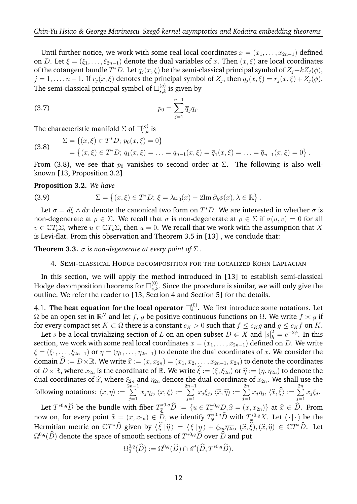Until further notice, we work with some real local coordinates  $x = (x_1, \ldots, x_{2n-1})$  defined on D. Let  $\xi = (\xi_1, \ldots, \xi_{2n-1})$  denote the dual variables of x. Then  $(x, \xi)$  are local coordinates of the cotangent bundle  $T^*D$ . Let  $q_j(x,\xi)$  be the semi-classical principal symbol of  $Z_j+kZ_j(\phi)$ ,  $j = 1, \ldots, n-1$ . If  $r_j(x, \xi)$  denotes the principal symbol of  $Z_j$ , then  $q_j(x, \xi) = r_j(x, \xi) + Z_j(\phi)$ . The semi-classical principal symbol of  $\square_{s,k}^{(q)}$  is given by

(3.7) 
$$
p_0 = \sum_{j=1}^{n-1} \overline{q}_j q_j.
$$

The characteristic manifold  $\Sigma$  of  $\square_{s,k}^{(q)}$  is

(3.8) 
$$
\Sigma = \{(x,\xi) \in T^*D; \ p_0(x,\xi) = 0\} = \{(x,\xi) \in T^*D; \ q_1(x,\xi) = \ldots = q_{n-1}(x,\xi) = \overline{q}_1(x,\xi) = \ldots = \overline{q}_{n-1}(x,\xi) = 0\}.
$$

From (3.8), we see that  $p_0$  vanishes to second order at  $\Sigma$ . The following is also wellknown [13, Proposition 3.2]

## **Proposition 3.2.** *We have*

(3.9) 
$$
\Sigma = \left\{ (x,\xi) \in T^*D; \xi = \lambda \omega_0(x) - 2\mathrm{Im} \,\overline{\partial}_b \phi(x), \lambda \in \mathbb{R} \right\}.
$$

Let  $\sigma = d\xi \wedge dx$  denote the canonical two form on  $T^*D$ . We are interested in whether  $\sigma$  is non-degenerate at  $\rho \in \Sigma$ . We recall that  $\sigma$  is non-degenerate at  $\rho \in \Sigma$  if  $\sigma(u, v) = 0$  for all  $v \in \mathbb{C}T_o\Sigma$ , where  $u \in \mathbb{C}T_o\Sigma$ , then  $u = 0$ . We recall that we work with the assumption that X is Levi-flat. From this observation and Theorem 3.5 in [13] , we conclude that:

**Theorem 3.3.**  $\sigma$  *is non-degenerate at every point of*  $\Sigma$ *.* 

## 4. SEMI-CLASSICAL HODGE DECOMPOSITION FOR THE LOCALIZED KOHN LAPLACIAN

In this section, we will apply the method introduced in [13] to establish semi-classical Hodge decomposition theorems for  $\square_{s,k}^{(0)}$ . Since the procedure is similar, we will only give the outline. We refer the reader to [13, Section 4 and Section 5] for the details.

4.1. **The heat equation for the local operator**  $\square_s^{(0)}$ . We first introduce some notations. Let  $\Omega$  be an open set in  $\mathbb{R}^N$  and let  $f, g$  be positive continuous functions on  $\Omega$ . We write  $f \asymp g$  if for every compact set  $K \subset \Omega$  there is a constant  $c_K > 0$  such that  $f \leq c_K g$  and  $g \leq c_K f$  on K.

Let s be a local trivializing section of L on an open subset  $D \Subset X$  and  $|s|^2_h = e^{-2\phi}$ . In this section, we work with some real local coordinates  $x = (x_1, \ldots, x_{2n-1})$  defined on D. We write  $\xi = (\xi_1, \ldots, \xi_{2n-1})$  or  $\eta = (\eta_1, \ldots, \eta_{2n-1})$  to denote the dual coordinates of x. We consider the domain  $\hat{D} := D \times \mathbb{R}$ . We write  $\hat{x} := (x, x_{2n}) = (x_1, x_2, \dots, x_{2n-1}, x_{2n})$  to denote the coordinates of  $D \times \mathbb{R}$ , where  $x_{2n}$  is the coordinate of  $\mathbb{R}$ . We write  $\widehat{\xi}:=(\xi, \xi_{2n})$  or  $\widehat{\eta}:=(\eta, \eta_{2n})$  to denote the dual coordinates of  $\widehat{x}$ , where  $\xi_{2n}$  and  $\eta_{2n}$  denote the dual coordinate of  $x_{2n}$ . We shall use the  $\frac{2n-1}{2n-1}$ following notations:  $\langle x, \eta \rangle :=$  $\sum_{ }^{2n-1}$  $j=1$  $x_j\eta_j,\,\langle x,\xi\rangle:=$  $\sum_{ }^{2n-1}$  $j=1$  $x_j \xi_j, \, \langle \widehat{x}, \widehat{\eta} \rangle := \sum\limits_{j=1}^{2n}$  $j=1$  $x_j\eta_j,\,\langle\widehat x,\widehat \xi\rangle:=\sum\limits_{j=1}^{2n}$  $j=1$  $x_j \xi_j$ .

Let  $T^{*0,q} \widehat{D}$  be the bundle with fiber  $T^{*0,q}_{\widehat{x}} \widehat{D} := \{u \in T^{*0,q}_{x} D, \widehat{x} = (x, x_{2n})\}$  at  $\widehat{x} \in \widehat{D}$ . From now on, for every point  $\widehat{x} = (x, x_{2n}) \in \widehat{D}$ , we identify  $T_{\widehat{x}}^{*0,q} \widehat{D}$  with  $T_{x}^{*0,q} X$ . Let  $\langle \cdot | \cdot \rangle$  be the Hermitian metric on  $\mathbb{C}T^*\widehat{D}$  given by  $\langle \widehat{\xi} | \widehat{\eta} \rangle = \langle \xi | \eta \rangle + \xi_{2n} \overline{\eta_{2n}}$ ,  $(\widehat{x}, \widehat{\xi}),(\widehat{x}, \widehat{\eta}) \in \mathbb{C}T^*\widehat{D}$ . Let  $\Omega^{0,q}(\overline{D})$  denote the space of smooth sections of  $T^{*0,q}\overline{D}$  over  $\overline{D}$  and put

$$
\Omega_0^{0,q}(\widehat{D}) := \Omega^{0,q}(\widehat{D}) \cap \mathscr{E}'(\widehat{D},T^{*0,q}\widehat{D}).
$$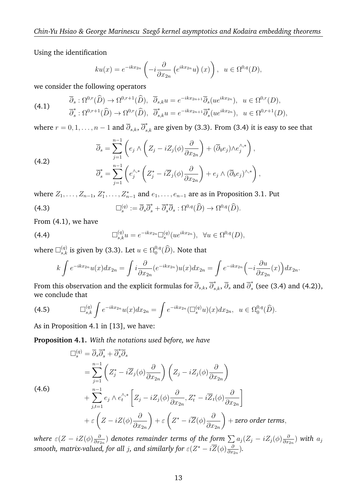Using the identification

$$
ku(x) = e^{-ikx_{2n}} \left(-i\frac{\partial}{\partial x_{2n}} \left(e^{ikx_{2n}}u\right)(x)\right), \ \ u \in \Omega^{0,q}(D),
$$

we consider the following operators

(4.1) 
$$
\overline{\partial}_s : \Omega^{0,r}(\widehat{D}) \to \Omega^{0,r+1}(\widehat{D}), \quad \overline{\partial}_{s,k} u = e^{-ikx_{2n+1}} \overline{\partial}_s (u e^{ikx_{2n}}), \quad u \in \Omega^{0,r}(D),
$$

$$
\overline{\partial}_s^* : \Omega^{0,r+1}(\widehat{D}) \to \Omega^{0,r}(\widehat{D}), \quad \overline{\partial}_{s,k}^* u = e^{-ikx_{2n+1}} \overline{\partial}_s^* (u e^{ikx_{2n}}), \quad u \in \Omega^{0,r+1}(D),
$$

where  $r=0,1,\ldots,n-1$  and  $\overline{\partial}_{s,k},$   $\overline{\partial}_{s,k}^*$  are given by (3.3). From (3.4) it is easy to see that

(4.2)  
\n
$$
\overline{\partial}_s = \sum_{j=1}^{n-1} \left( e_j \wedge \left( Z_j - i Z_j(\phi) \frac{\partial}{\partial x_{2n}} \right) + (\overline{\partial}_b e_j) \wedge e_j^{\wedge,*} \right),
$$
\n
$$
\overline{\partial}_s^* = \sum_{j=1}^{n-1} \left( e_j^{\wedge,*} \left( Z_j^* - i \overline{Z}_j(\phi) \frac{\partial}{\partial x_{2n}} \right) + e_j \wedge (\overline{\partial}_b e_j)^{\wedge,*} \right),
$$

where  $Z_1, \ldots, Z_{n-1}, Z_1^*, \ldots, Z_{n-1}^*$  and  $e_1, \ldots, e_{n-1}$  are as in Proposition 3.1. Put

(4.3) 
$$
\Box_s^{(q)} := \overline{\partial}_s \overline{\partial}_s^* + \overline{\partial}_s^* \overline{\partial}_s : \Omega^{0,q}(\widehat{D}) \to \Omega^{0,q}(\widehat{D}).
$$

From (4.1), we have

(4.4) 
$$
\Box_{s,k}^{(q)} u = e^{-ikx_{2n}} \Box_s^{(q)}(u e^{ikx_{2n}}), \quad \forall u \in \Omega^{0,q}(D),
$$

where  $\Box^{(q)}_{s,k}$  is given by (3.3). Let  $u\in\Omega^{0,q}_0$  $_0^{\mathsf{U},q}(D)$ . Note that

$$
k \int e^{-ikx_{2n}} u(x) dx_{2n} = \int i \frac{\partial}{\partial x_{2n}} (e^{-ikx_{2n}}) u(x) dx_{2n} = \int e^{-ikx_{2n}} \left( -i \frac{\partial u}{\partial x_{2n}} (x) \right) dx_{2n}.
$$

From this observation and the explicit formulas for  $\overline\partial_{s,k}, \overline\partial_{s,k}^*, \overline\partial_{s}$  and  $\overline\partial_{s}^*$  $\int_{s}^{s}$  (see (3.4) and (4.2)), we conclude that

(4.5) 
$$
\Box_{s,k}^{(q)} \int e^{-ikx_{2n}} u(x) dx_{2n} = \int e^{-ikx_{2n}} (\Box_s^{(q)} u)(x) dx_{2n}, \ \ u \in \Omega_0^{0,q}(\widehat{D}).
$$

As in Proposition 4.1 in [13], we have:

**Proposition 4.1.** *With the notations used before, we have*

$$
\Box_s^{(q)} = \overline{\partial}_s \overline{\partial}_s^* + \overline{\partial}_s^* \overline{\partial}_s
$$
  
\n
$$
= \sum_{j=1}^{n-1} \left( Z_j^* - i \overline{Z}_j(\phi) \frac{\partial}{\partial x_{2n}} \right) \left( Z_j - i Z_j(\phi) \frac{\partial}{\partial x_{2n}} \right)
$$
  
\n(4.6)  
\n
$$
+ \sum_{j,t=1}^{n-1} e_j \wedge e_t^{\wedge *} \left[ Z_j - i Z_j(\phi) \frac{\partial}{\partial x_{2n}} , Z_t^* - i \overline{Z}_t(\phi) \frac{\partial}{\partial x_{2n}} \right]
$$
  
\n
$$
+ \varepsilon \left( Z - i Z(\phi) \frac{\partial}{\partial x_{2n}} \right) + \varepsilon \left( Z^* - i \overline{Z}(\phi) \frac{\partial}{\partial x_{2n}} \right) + \text{zero order terms},
$$

*where*  $\varepsilon(Z - iZ(\phi)\frac{\partial}{\partial x_i}$  $\frac{\partial}{\partial x_{2n}})$  denotes remainder terms of the form  $\sum a_j (Z_j - i Z_j(\phi) \frac{\partial}{\partial x_j})$  $\frac{\partial}{\partial x_{2n}})$  with  $a_j$ smooth, matrix-valued, for all  $j$ , and similarly for  $\varepsilon(Z^* - i\overline{Z}(\phi)\frac{\partial}{\partial x^*}$  $\frac{\partial}{\partial x_{2n}}$ ).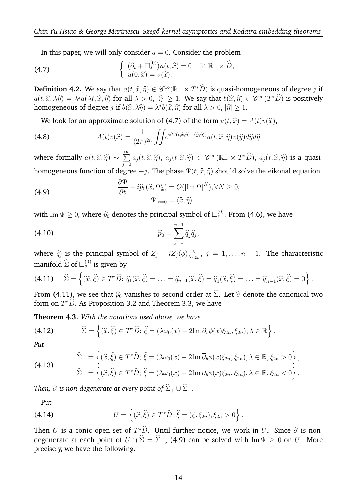In this paper, we will only consider  $q = 0$ . Consider the problem

(4.7) 
$$
\begin{cases} (\partial_t + \Box_s^{(0)}) u(t, \widehat{x}) = 0 & \text{in } \mathbb{R}_+ \times \widehat{D}, \\ u(0, \widehat{x}) = v(\widehat{x}). \end{cases}
$$

**Definition 4.2.** We say that  $a(t, \hat{x}, \hat{\eta}) \in \mathscr{C}^{\infty}(\overline{\mathbb{R}}_+ \times T^*\widehat{D})$  is quasi-homogeneous of degree j if  $a(t, \hat{x}, \lambda \hat{\eta}) = \lambda^j a(\lambda t, \hat{x}, \hat{\eta})$  for all  $\lambda > 0$ ,  $|\hat{\eta}| \ge 1$ . We say that  $b(\hat{x}, \hat{\eta}) \in \mathscr{C}^{\infty}(T^*\hat{D})$  is positively bomogeneous of degree i if  $b(\hat{x}, \lambda \hat{\eta}) = \lambda^j b(\hat{x}, \hat{x})$  for all  $\lambda > 0$ ,  $|\hat{x}| > 1$ homogeneous of degree  $j$  if  $b(\widehat{x}, \lambda \widehat{\eta}) = \lambda^{j} b(\widehat{x}, \widehat{\eta})$  for all  $\lambda > 0$ ,  $|\widehat{\eta}| \ge 1$ .

We look for an approximate solution of (4.7) of the form  $u(t, \hat{x}) = A(t)v(\hat{x})$ ,

(4.8) 
$$
A(t)v(\widehat{x}) = \frac{1}{(2\pi)^{2n}} \iint e^{i(\Psi(t,\widehat{x},\widehat{\eta}) - \langle \widehat{y},\widehat{\eta} \rangle)} a(t,\widehat{x},\widehat{\eta})v(\widehat{y}) d\widehat{y} d\widehat{\eta}
$$

where formally  $a(t, \hat{x}, \hat{\eta}) \sim$  $\sum_{i=1}^{\infty}$  $\sum_{j=0}^\infty a_j(t,\widehat x,\widehat \eta),\ a_j(t,\widehat x,\widehat \eta)\,\in\,\mathscr C^\infty(\overline{\mathbb R}_+\times T^*\widehat D),\ a_j(t,\widehat x,\widehat \eta)$  is a quasihomogeneous function of degree  $-j$ . The phase  $\Psi(t, \hat{x}, \hat{\eta})$  should solve the eikonal equation

(4.9) 
$$
\frac{\partial \Psi}{\partial t} - i \widehat{p}_0(\widehat{x}, \Psi'_{\widehat{x}}) = O(|\mathrm{Im} \Psi|^N), \forall N \ge 0, \Psi|_{t=0} = \langle \widehat{x}, \widehat{\eta} \rangle
$$

with Im  $\Psi \geq 0$ , where  $\widehat{p}_0$  denotes the principal symbol of  $\square_s^{(0)}$ . From (4.6), we have

$$
\widehat{p}_0 = \sum_{j=1}^{n-1} \overline{\widehat{q}}_j \widehat{q}_j,
$$

where  $\hat{q}_j$  is the principal symbol of  $Z_j - iZ_j(\phi) \frac{\partial}{\partial x_j}$  $\frac{\partial}{\partial x_{2n}}$ ,  $j = 1, \ldots, n-1$ . The characteristic manifold  $\widehat{\Sigma}$  of  $\square_s^{(0)}$  is given by

$$
(4.11) \quad \widehat{\Sigma} = \left\{ (\widehat{x}, \widehat{\xi}) \in T^* \widehat{D}; \, \widehat{q}_1(\widehat{x}, \widehat{\xi}) = \ldots = \widehat{q}_{n-1}(\widehat{x}, \widehat{\xi}) = \overline{\widehat{q}}_1(\widehat{x}, \widehat{\xi}) = \ldots = \overline{\widehat{q}}_{n-1}(\widehat{x}, \widehat{\xi}) = 0 \right\}.
$$

From (4.11), we see that  $\hat{p}_0$  vanishes to second order at  $\hat{\Sigma}$ . Let  $\hat{\sigma}$  denote the canonical two form on  $T^*\widehat{D}$ . As Proposition 3.2 and Theorem 3.3, we have

**Theorem 4.3.** *With the notations used above, we have*

(4.12) 
$$
\widehat{\Sigma} = \left\{ (\widehat{x}, \widehat{\xi}) \in T^* \widehat{D}; \ \widehat{\xi} = (\lambda \omega_0(x) - 2\mathrm{Im} \ \overline{\partial}_b \phi(x) \xi_{2n}, \xi_{2n}), \lambda \in \mathbb{R} \right\}.
$$

*Put*

(4.13) 
$$
\widehat{\Sigma}_{+} = \left\{ (\widehat{x}, \widehat{\xi}) \in T^* \widehat{D}; \ \widehat{\xi} = (\lambda \omega_0(x) - 2\mathrm{Im} \ \overline{\partial}_b \phi(x) \xi_{2n}, \xi_{2n}), \lambda \in \mathbb{R}, \xi_{2n} > 0 \right\}, \n\widehat{\Sigma}_{-} = \left\{ (\widehat{x}, \widehat{\xi}) \in T^* \widehat{D}; \ \widehat{\xi} = (\lambda \omega_0(x) - 2\mathrm{Im} \ \overline{\partial}_b \phi(x) \xi_{2n}, \xi_{2n}), \lambda \in \mathbb{R}, \xi_{2n} < 0 \right\}.
$$

*Then,*  $\widehat{\sigma}$  *is non-degenerate at every point of*  $\widehat{\Sigma}_+ \cup \widehat{\Sigma}_-$ *.* 

Put

(4.14) 
$$
U = \left\{ (\widehat{x}, \widehat{\xi}) \in T^* \widehat{D}; \ \widehat{\xi} = (\xi, \xi_{2n}), \xi_{2n} > 0 \right\}.
$$

Then U is a conic open set of  $T^*\hat{D}$ . Until further notice, we work in U. Since  $\hat{\sigma}$  is non-<br>deconomic at each noint of  $U \cap \hat{\Sigma} = \hat{\Sigma}$  (4.0) can be solved with  $\text{Im }V \geq 0$  on  $U$ . More degenerate at each point of  $U \cap \hat{\Sigma} = \hat{\Sigma}_+$ , (4.9) can be solved with Im  $\Psi \geq 0$  on U. More precisely, we have the following.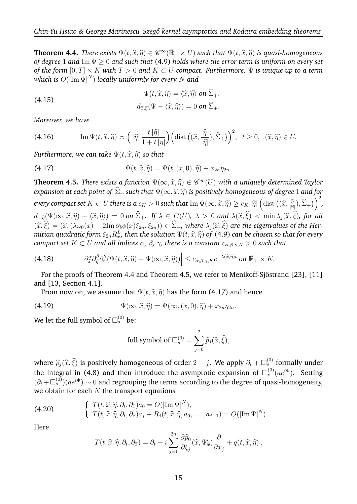**Theorem 4.4.** *There exists*  $\Psi(t, \hat{x}, \hat{\eta}) \in \mathscr{C}^{\infty}(\overline{\mathbb{R}}_{+} \times U)$  *such that*  $\Psi(t, \hat{x}, \hat{\eta})$  *is quasi-homogeneous* of degree 1 and  $\text{Im}\Psi > 0$  and such that  $(A, \Omega)$  holds where the error term is uniform on ever *of degree* 1 *and* Im Ψ ≥ 0 *and such that* (4.9) *holds where the error term is uniform on every set of the form*  $[0, T] \times K$  *with*  $T > 0$  *and*  $K \subset U$  *compact. Furthermore,*  $\Psi$  *is unique up to a term which is* O(|Im Ψ| N ) *locally uniformly for every* N *and*

(4.15) 
$$
\Psi(t, \hat{x}, \hat{\eta}) = \langle \hat{x}, \hat{\eta} \rangle \text{ on } \hat{\Sigma}_{+},
$$

$$
d_{\hat{x}, \hat{\eta}}(\Psi - \langle \hat{x}, \hat{\eta} \rangle) = 0 \text{ on } \hat{\Sigma}_{+}.
$$

*Moreover, we have*

(4.16) 
$$
\operatorname{Im} \Psi(t, \widehat{x}, \widehat{\eta}) \asymp \left( |\widehat{\eta}| \frac{t |\widehat{\eta}|}{1 + t |\eta|} \right) \left( \operatorname{dist} \left( (\widehat{x}, \frac{\widehat{\eta}}{|\widehat{\eta}|}), \widehat{\Sigma}_{+} \right) \right)^2, \ t \ge 0, \ (\widehat{x}, \widehat{\eta}) \in U.
$$

*Furthermore, we can take*  $\Psi(t, \hat{x}, \hat{\eta})$  *so that* 

(4.17) 
$$
\Psi(t,\widehat{x},\widehat{\eta})=\Psi(t,(x,0),\widehat{\eta})+x_{2n}\eta_{2n}.
$$

**Theorem 4.5.** *There exists a function*  $\Psi(\infty, \hat{x}, \hat{\eta}) \in \mathscr{C}^{\infty}(U)$  *with a uniquely determined Taylor* expansion at each point of  $\hat{\Sigma}$ , quak that  $\Psi(\infty, \hat{\hat{\pi}}, \hat{\hat{\theta}})$  is positively homogeneous of degree 1 and *expansion at each point of*  $\widehat{\Sigma}_{+}$  *such that*  $\Psi(\infty, \widehat{x}, \widehat{\eta})$  *is positively homogeneous of degree* 1 *and for*  $f(x,y) \geq c_K |\widehat{\eta}| \left(\text{dist}\left((\widehat{x}, \frac{\widehat{\eta}}{|\widehat{\eta}|}), \widehat{\Sigma}_+\right)\right)^2,$   $\text{where is a } c_K > 0$  such that  $\text{Im}\,\Psi(\infty, \widehat{x}, \widehat{\eta}) \geq c_K |\widehat{\eta}| \left(\text{dist}\left((\widehat{x}, \frac{\widehat{\eta}}{|\widehat{\eta}|}), \widehat{\Sigma}_+\right)\right)^2,$  $|\widehat{\eta}|$  $d_{\widehat{x},\widehat{\eta}}(\Psi(\infty,\widehat{x},\widehat{\eta}) - \langle \widehat{x},\widehat{\eta} \rangle) = 0$  *on*  $\Sigma_+$ *. If*  $\lambda \in C(U)$ *,*  $\lambda > 0$  and  $\lambda(\widehat{x},\xi) < \min \lambda_j(\widehat{x},\xi)$ *, for all*<br> $(\widehat{x},\widehat{\xi})$   $(\widehat{x},\lambda)$ ,  $(\widehat{x},\widehat{\xi})$  are the signualize of the Usu  $(\widehat{x}, \widehat{\xi}) = (\widehat{x}, (\lambda \omega_0(x) - 2\text{Im }\overline{\partial}_b \phi(x) \xi_{2n}, \xi_{2n})) \in \widehat{\Sigma}_+$ , where  $\lambda_i(\widehat{x}, \widehat{\xi})$  are the eigenvalues of the Her*mitian quadratic form*  $\xi_{2n} R_x^L$ , then the solution  $\Psi(t, \widehat{x}, \widehat{\eta})$  of (4.9) can be chosen so that for every<br>compact set  $K \subset U$  and all indices  $\alpha, \beta, \alpha$ , there is a constant  $\alpha, \alpha, \alpha > 0$  such that *compact set*  $K \subset U$  *and all indices*  $\alpha$ *,*  $\beta$ *,*  $\gamma$ *, there is a constant*  $c_{\alpha,\beta,\gamma,K} > 0$  *such that* 

(4.18) 
$$
\left|\partial_{\widehat{x}}^{\alpha}\partial_{\widehat{\eta}}^{\beta}\partial_{t}^{\gamma}(\Psi(t,\widehat{x},\widehat{\eta})-\Psi(\infty,\widehat{x},\widehat{\eta}))\right|\leq c_{\alpha,\beta,\gamma,K}e^{-\lambda(\widehat{x},\widehat{\eta})t} \text{ on } \overline{\mathbb{R}}_{+}\times K.
$$

For the proofs of Theorem 4.4 and Theorem 4.5, we refer to Menikoff-Sjöstrand [23], [11] and [13, Section 4.1].

From now on, we assume that  $\Psi(t, \hat{x}, \hat{\eta})$  has the form (4.17) and hence

(4.19) 
$$
\Psi(\infty, \widehat{x}, \widehat{\eta}) = \Psi(\infty, (x, 0), \widehat{\eta}) + x_{2n} \eta_{2n}.
$$

We let the full symbol of  $\square_s^{(0)}$  be:

full symbol of 
$$
\Box_s^{(0)} = \sum_{j=0}^2 \widehat{p}_j(\widehat{x}, \widehat{\xi}),
$$

where  $\widehat{p}_j(\widehat{x}, \widehat{\xi})$  is positively homogeneous of order  $2 - j$ . We apply  $\partial_t + \Box_s^{(0)}$  formally under the integral in  $(4.8)$  and then integrates the asymptotic expansion of  $\nabla^{(0)}$  ( $\psi$ ). Satting the integral in (4.8) and then introduce the asymptotic expansion of  $\Box^{(0)}_s (a e^{i\Psi}).$  Setting  $(\partial_t + \Box_s^{(0)}) (a e^{i\Psi}) \sim 0$  and regrouping the terms according to the degree of quasi-homogeneity, we obtain for each  $N$  the transport equations

(4.20) 
$$
\begin{cases} T(t,\widehat{x},\widehat{\eta},\partial_t,\partial_{\widehat{x}})a_0 = O(|\mathrm{Im}\,\Psi|^N), \\ T(t,\widehat{x},\widehat{\eta},\partial_t,\partial_{\widehat{x}})a_j + R_j(t,\widehat{x},\widehat{\eta},a_0,\ldots,a_{j-1}) = O(|\mathrm{Im}\,\Psi|^N). \end{cases}
$$

Here

$$
T(t, \widehat{x}, \widehat{\eta}, \partial_t, \partial_{\widehat{x}}) = \partial_t - i \sum_{j=1}^{2n} \frac{\partial \widehat{p}_0}{\partial \xi_j} (\widehat{x}, \Psi'_{\widehat{x}}) \frac{\partial}{\partial x_j} + q(t, \widehat{x}, \widehat{\eta}),
$$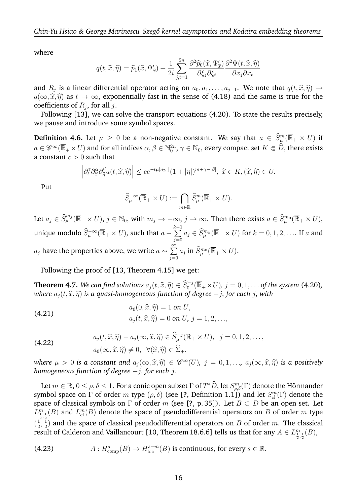where

$$
q(t,\widehat{x},\widehat{\eta}) = \widehat{p}_1(\widehat{x},\Psi_{\widehat{x}}') + \frac{1}{2i} \sum_{j,t=1}^{2n} \frac{\partial^2 \widehat{p}_0(\widehat{x},\Psi_{\widehat{x}}')}{\partial \xi_j \partial \xi_t} \frac{\partial^2 \Psi(t,\widehat{x},\widehat{\eta})}{\partial x_j \partial x_t}
$$

and  $R_j$  is a linear differential operator acting on  $a_0, a_1, \ldots, a_{j-1}$ . We note that  $q(t, \hat{x}, \hat{\eta}) \rightarrow$ <br> $q(\infty, \hat{x}, \hat{\theta})$  as t  $\mapsto \infty$ , exponentially fact in the same of (4.18) and the same is true for the  $q(\infty, \hat{x}, \hat{\eta})$  as  $t \to \infty$ , exponentially fast in the sense of (4.18) and the same is true for the coefficients of  $R_j$ , for all  $j.$ 

Following [13], we can solve the transport equations (4.20). To state the results precisely, we pause and introduce some symbol spaces.

**Definition 4.6.** Let  $\mu \geq 0$  be a non-negative constant. We say that  $a \in \widehat{S}_{\mu}^m(\overline{\mathbb{R}}_+ \times U)$  if  $a\in\mathscr{C}^\infty(\overline{\mathbb{R}}_+\times U)$  and for all indices  $\alpha,\beta\in\mathbb{N}^{2n}_0,$   $\gamma\in\mathbb{N}_0,$  every compact set  $K\Subset\widehat{D}$ , there exists a constant  $c > 0$  such that

$$
\left|\partial_t^{\gamma}\partial_{\widehat{x}}^{\alpha}\partial_{\widehat{\eta}}^{\beta}a(t,\widehat{x},\widehat{\eta})\right| \le c e^{-t\mu|\eta_{2n}|}(1+|\eta|)^{m+\gamma-|\beta|}, \ \widehat{x} \in K, (\widehat{x},\widehat{\eta}) \in U.
$$

Put

$$
\widehat{S}_{\mu}^{-\infty}(\overline{\mathbb{R}}_+ \times U) := \bigcap_{m \in \mathbb{R}} \widehat{S}_{\mu}^m(\overline{\mathbb{R}}_+ \times U).
$$

Let  $a_j\in \widehat{S}_\mu^{m_j}(\overline{\mathbb{R}}_+\times U)$ ,  $j\in\mathbb{N}_0$ , with  $m_j\to-\infty$ ,  $j\to\infty$ . Then there exists  $a\in \widehat{S}_\mu^{m_0}(\overline{\mathbb{R}}_+\times U)$ , unique modulo  $\widehat{S}_{\mu}^{-\infty}(\overline{\mathbb{R}}_{+}\times U)$ , such that  $a-\sum_{i=0}^{k-1}$  $\sum\limits_{j=0}^{\infty}a_j\in \widehat{S}_\mu^{m_k}({\overline{\mathbb{R}}}_+\times U)$  for  $k=0,1,2,\ldots$  If  $a$  and  $a_j$  have the properties above, we write  $a\sim\sum\limits^{\infty}$  $j=0$  $a_j$  in  $\widehat{S}\vphantom{S}\vphantom{S}\smash{\overline\R}$   $\widetilde{R}_+ \times U$  ).

Following the proof of [13, Theorem 4.15] we get:

**Theorem 4.7.** *We can find solutions*  $a_j(t, \hat{x}, \hat{\eta}) \in \widehat{S}_0^{-j}(\overline{\mathbb{R}}_+ \times U)$ *,*  $j = 0, 1, \dots$  *of the system* (4.20)*,*<br>where  $a_i(t, \hat{x}, \hat{y})$  is a quasi-homogeneous function of degree, is for each is with *where*  $a_j(t, \hat{x}, \hat{\eta})$  *is a quasi-homogeneous function of degree*  $−j$ *, for each* j, with

(4.21) 
$$
a_0(0, \hat{x}, \hat{\eta}) = 1 \text{ on } U, a_j(t, \hat{x}, \hat{\eta}) = 0 \text{ on } U, j = 1, 2, ...,
$$

(4.22) 
$$
a_j(t, \widehat{x}, \widehat{\eta}) - a_j(\infty, \widehat{x}, \widehat{\eta}) \in \widehat{S}_{\mu}^{-j}(\overline{\mathbb{R}}_+ \times U), \ \ j = 0, 1, 2, \dots,
$$

$$
a_0(\infty, \widehat{x}, \widehat{\eta}) \neq 0, \ \ \forall (\widehat{x}, \widehat{\eta}) \in \widehat{\Sigma}_+,
$$

*where*  $\mu > 0$  *is a constant and*  $a_j(\infty, \hat{x}, \hat{\eta}) \in \mathscr{C}^{\infty}(U)$ ,  $j = 0, 1, ..., a_j(\infty, \hat{x}, \hat{\eta})$  *is a positively homogeneous function of degree*, *i*, for each *i*. *homogeneous function of degree* −j*, for each* j*.*

Let  $m \in \mathbb{R}$ ,  $0 \le \rho, \delta \le 1$ . For a conic open subset  $\Gamma$  of  $T^*\widehat{D}$ , let  $S^m_{\rho,\delta}(\Gamma)$  denote the Hörmander symbol space on  $\Gamma$  of order  $m$  type  $(\rho, \delta)$  (see [**?**, Definition 1.1]) and let  $S^m_{\text{cl}}(\Gamma)$  denote the space of classical symbols on  $\Gamma$  of order m (see [?, p. 35]). Let  $B \subset D$  be an open set. Let  $L_{\frac{1}{2},\frac{1}{2}}^m(B)$  and  $L_{\text{cl}}^m(B)$  denote the space of pseudodifferential operators on  $B$  of order  $m$  type  $\left(\frac{1}{2}\right)$  $\frac{1}{2},\frac{1}{2}$  $\frac{1}{2})$  and the space of classical pseudodifferential operators on  $B$  of order  $m.$  The classical result of Calderon and Vaillancourt [10, Theorem 18.6.6] tells us that for any  $A\in L^m_{\frac{1}{2},\frac{1}{2}}(B),$ 

(4.23) 
$$
A: H^s_{\text{comp}}(B) \to H^{s-m}_{\text{loc}}(B) \text{ is continuous, for every } s \in \mathbb{R}.
$$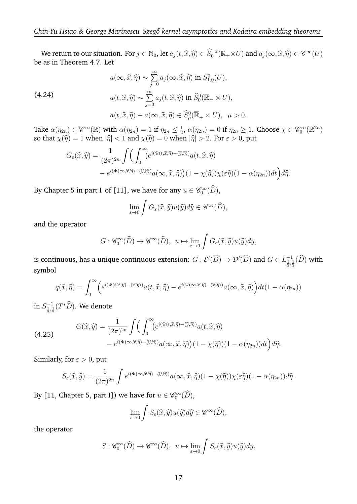We return to our situation. For  $j \in \mathbb{N}_0$ , let  $a_j(t, \widehat{x}, \widehat{\eta}) \in \widehat{S}_0^{-j}(\overline{\mathbb{R}}_+ \times U)$  and  $a_j(\infty, \widehat{x}, \widehat{\eta}) \in \mathscr{C}^\infty(U)$ <br>Let in Theorem 4.7. Let be as in Theorem 4.7. Let

(4.24)  
\n
$$
a(\infty, \widehat{x}, \widehat{\eta}) \sim \sum_{j=0}^{\infty} a_j(\infty, \widehat{x}, \widehat{\eta}) \text{ in } S_{1,0}^0(U),
$$
\n
$$
a(t, \widehat{x}, \widehat{\eta}) \sim \sum_{j=0}^{\infty} a_j(t, \widehat{x}, \widehat{\eta}) \text{ in } \widehat{S}_0^0(\overline{\mathbb{R}}_+ \times U),
$$
\n
$$
a(t, \widehat{x}, \widehat{\eta}) - a(\infty, \widehat{x}, \widehat{\eta}) \in \widehat{S}_{\mu}^0(\overline{\mathbb{R}}_+ \times U), \quad \mu > 0.
$$

Take  $\alpha(\eta_{2n}) \in \mathscr{C}^{\infty}(\mathbb{R})$  with  $\alpha(\eta_{2n}) = 1$  if  $\eta_{2n} \leq \frac{1}{2}$  $\frac{1}{2}$ ,  $\alpha(\eta_{2n}) = 0$  if  $\eta_{2n} \ge 1$ . Choose  $\chi \in \mathscr{C}_0^{\infty}(\mathbb{R}^{2n})$ so that  $\chi(\widehat{\eta}) = 1$  when  $|\widehat{\eta}| < 1$  and  $\chi(\widehat{\eta}) = 0$  when  $|\widehat{\eta}| > 2$ . For  $\varepsilon > 0$ , put

$$
G_{\varepsilon}(\widehat{x},\widehat{y}) = \frac{1}{(2\pi)^{2n}} \int \Biggl( \int_0^{\infty} \Bigl(e^{i(\Psi(t,\widehat{x},\widehat{\eta}) - \langle \widehat{y},\widehat{\eta} \rangle)} a(t,\widehat{x},\widehat{\eta}) - e^{i(\Psi(\infty,\widehat{x},\widehat{\eta}) - \langle \widehat{y},\widehat{\eta} \rangle)} a(\infty,\widehat{x},\widehat{\eta})\Bigr) (1 - \chi(\widehat{\eta})) \chi(\varepsilon \widehat{\eta}) (1 - \alpha(\eta_{2n})) dt \Biggr) d\widehat{\eta}.
$$

By Chapter 5 in part I of [11], we have for any  $u \in \mathscr{C}_0^{\infty}(D)$ ,

$$
\lim_{\varepsilon \to 0} \int G_{\varepsilon}(\widehat{x}, \widehat{y}) u(\widehat{y}) d\widehat{y} \in \mathscr{C}^{\infty}(\widehat{D}),
$$

and the operator

$$
G: \mathscr{C}_0^{\infty}(\widehat{D}) \to \mathscr{C}^{\infty}(\widehat{D}), \ u \mapsto \lim_{\varepsilon \to 0} \int G_{\varepsilon}(\widehat{x}, \widehat{y}) u(\widehat{y}) dy,
$$

is continuous, has a unique continuous extension:  $G:\mathcal{E}'(\widehat D)\to \mathcal{D}'(\widehat D)$  and  $G\in L^{-1}_{\frac{1}{2},\frac{1}{2}}(\widehat D)$  with symbol

$$
q(\widehat{x},\widehat{\eta}) = \int_0^{\infty} \left( e^{i(\Psi(t,\widehat{x},\widehat{\eta}) - \langle \widehat{x},\widehat{\eta} \rangle)} a(t,\widehat{x},\widehat{\eta}) - e^{i(\Psi(\infty,\widehat{x},\widehat{\eta}) - \langle \widehat{x},\widehat{\eta} \rangle)} a(\infty,\widehat{x},\widehat{\eta}) \right) dt(1 - \alpha(\eta_{2n}))
$$

in  $S^{-1}_{\frac{1}{2},\frac{1}{2}}(T^*\widehat D).$  We denote

(4.25) 
$$
G(\widehat{x}, \widehat{y}) = \frac{1}{(2\pi)^{2n}} \int \left( \int_0^{\infty} (e^{i(\Psi(t,\widehat{x},\widehat{\eta}) - \langle \widehat{y},\widehat{\eta} \rangle)} a(t,\widehat{x},\widehat{\eta}) - e^{i(\Psi(\infty,\widehat{x},\widehat{\eta}) - \langle \widehat{y},\widehat{\eta} \rangle)} a(\infty,\widehat{x},\widehat{\eta}) \right) (1 - \chi(\widehat{\eta}))(1 - \alpha(\eta_{2n})) dt \right) d\widehat{\eta}.
$$

Similarly, for  $\varepsilon > 0$ , put

$$
S_{\varepsilon}(\widehat{x},\widehat{y}) = \frac{1}{(2\pi)^{2n}} \int e^{i(\Psi(\infty,\widehat{x},\widehat{\eta}) - \langle \widehat{y},\widehat{\eta} \rangle)} a(\infty,\widehat{x},\widehat{\eta})(1 - \chi(\widehat{\eta})) \chi(\varepsilon \widehat{\eta})(1 - \alpha(\eta_{2n})) d\widehat{\eta}.
$$

By [11, Chapter 5, part I]) we have for  $u \in \mathscr{C}_0^{\infty}(\widehat{D}),$ 

$$
\lim_{\varepsilon \to 0} \int S_{\varepsilon}(\widehat{x}, \widehat{y}) u(\widehat{y}) d\widehat{y} \in \mathscr{C}^{\infty}(\widehat{D}),
$$

the operator

$$
S: \mathscr{C}_0^{\infty}(\widehat{D}) \to \mathscr{C}^{\infty}(\widehat{D}), \ u \mapsto \lim_{\varepsilon \to 0} \int S_{\varepsilon}(\widehat{x}, \widehat{y}) u(\widehat{y}) dy,
$$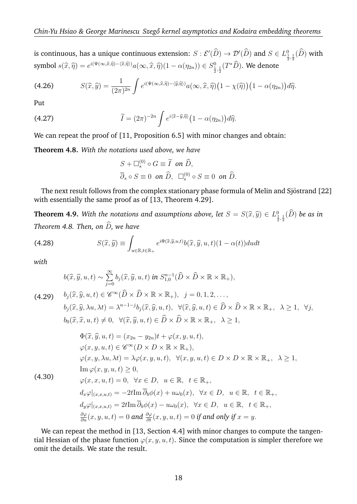is continuous, has a unique continuous extension:  $S: \mathcal{E}'(\widehat{D}) \to \mathcal{D}'(\widehat{D})$  and  $S \in L^0_{\frac{1}{2},\frac{1}{2}}(\widehat{D})$  with symbol  $s(\widehat{x}, \widehat{\eta}) = e^{i(\Psi(\infty, \widehat{x}, \widehat{\eta}) - \langle \widehat{x}, \widehat{\eta} \rangle)} a(\infty, \widehat{x}, \widehat{\eta}) (1 - \alpha(\eta_{2n})) \in S^0_{\frac{1}{2}, \frac{1}{2}}(T^* \widehat{D}).$  We denote

(4.26) 
$$
S(\widehat{x},\widehat{y}) = \frac{1}{(2\pi)^{2n}} \int e^{i(\Psi(\infty,\widehat{x},\widehat{\eta}) - \langle \widehat{y},\widehat{\eta} \rangle)} a(\infty,\widehat{x},\widehat{\eta}) \big(1 - \chi(\widehat{\eta})\big) \big(1 - \alpha(\eta_{2n})\big) d\widehat{\eta}.
$$

Put

(4.27) 
$$
\widetilde{I} = (2\pi)^{-2n} \int e^{i\langle \widehat{x} - \widehat{y}, \widehat{\eta} \rangle} \left(1 - \alpha(\eta_{2n})\right) d\widehat{\eta}.
$$

We can repeat the proof of [11, Proposition 6.5] with minor changes and obtain:

**Theorem 4.8.** *With the notations used above, we have*

$$
S + \Box_s^{(0)} \circ G \equiv \widetilde{I} \text{ on } \widehat{D},
$$
  

$$
\overline{\partial}_s \circ S \equiv 0 \text{ on } \widehat{D}, \quad \Box_s^{(0)} \circ S \equiv 0 \text{ on } \widehat{D}.
$$

The next result follows from the complex stationary phase formula of Melin and Sjöstrand [22] with essentially the same proof as of [13, Theorem 4.29].

**Theorem 4.9.** With the notations and assumptions above, let  $S = S(\widehat{x}, \widehat{y}) \in L^0_{\frac{1}{2}, \frac{1}{2}}(\widehat{D})$  be as in *Theorem 4.8. Then, on*  $\widehat{D}$ *, we have* 

(4.28) 
$$
S(\widehat{x}, \widehat{y}) \equiv \int_{u \in \mathbb{R}, t \in \mathbb{R}_+} e^{i\Phi(\widehat{x}, \widehat{y}, u, t)} b(\widehat{x}, \widehat{y}, u, t) (1 - \alpha(t)) du dt
$$

*with*

$$
b(\widehat{x}, \widehat{y}, u, t) \sim \sum_{j=0}^{\infty} b_j(\widehat{x}, \widehat{y}, u, t) \text{ in } S_{1,0}^{n-1}(\widehat{D} \times \widehat{D} \times \mathbb{R} \times \mathbb{R}_+),
$$
  
(4.29) 
$$
b_j(\widehat{x}, \widehat{y}, u, t) \in \mathscr{C}^{\infty}(\widehat{D} \times \widehat{D} \times \mathbb{R} \times \mathbb{R}_+), \quad j = 0, 1, 2, \dots,
$$

$$
b_j(\widehat{x}, \widehat{y}, \lambda u, \lambda t) = \lambda^{n-1-j} b_j(\widehat{x}, \widehat{y}, u, t), \quad \forall (\widehat{x}, \widehat{y}, u, t) \in \widehat{D} \times \widehat{D} \times \mathbb{R} \times \mathbb{R}_+, \quad \lambda \ge 1, \quad \forall j,
$$

$$
b_0(\widehat{x}, \widehat{x}, u, t) \neq 0, \ \ \forall (\widehat{x}, \widehat{y}, u, t) \in \widehat{D} \times \widehat{D} \times \mathbb{R} \times \mathbb{R}_+, \ \lambda \geq 1,
$$
  
\n
$$
\Phi(\widehat{x}, \widehat{y}, u, t) = (x_{2n} - y_{2n})t + \varphi(x, y, u, t),
$$
  
\n
$$
\varphi(x, y, u, t) \in \mathscr{C}^{\infty}(D \times D \times \mathbb{R} \times \mathbb{R}_+),
$$
  
\n
$$
\varphi(x, y, \lambda u, \lambda t) = \lambda \varphi(x, y, u, t), \ \ \forall (x, y, u, t) \in D \times D \times \mathbb{R} \times \mathbb{R}_+, \ \lambda \geq 1,
$$
  
\nIm  $\varphi(x, y, u, t) \geq 0,$   
\n
$$
\varphi(x, x, u, t) = 0, \ \forall x \in D, \ u \in \mathbb{R}, \ t \in \mathbb{R}_+,
$$
  
\n
$$
d_x \varphi|_{(x, x, u, t)} = -2t \text{Im } \overline{\partial}_b \phi(x) + u \omega_0(x), \ \forall x \in D, \ u \in \mathbb{R}, \ t \in \mathbb{R}_+,
$$
  
\n
$$
d_y \varphi|_{(x, x, u, t)} = 2t \text{Im } \overline{\partial}_b \phi(x) - u \omega_0(x), \ \forall x \in D, \ u \in \mathbb{R}, \ t \in \mathbb{R}_+,
$$
  
\n
$$
\frac{\partial \varphi}{\partial u}(x, y, u, t) = 0 \text{ and } \frac{\partial \varphi}{\partial t}(x, y, u, t) = 0 \text{ if and only if } x = y.
$$

We can repeat the method in [13, Section 4.4] with minor changes to compute the tangential Hessian of the phase function  $\varphi(x, y, u, t)$ . Since the computation is simpler therefore we omit the details. We state the result.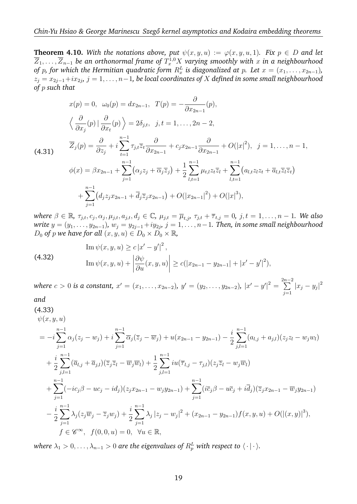**Theorem 4.10.** With the notations above, put  $\psi(x, y, u) := \varphi(x, y, u, 1)$ . Fix  $p \in D$  and let  $\overline{Z}_1, \ldots, \overline{Z}_{n-1}$  be an orthonormal frame of  $T^{1,0}_xX$  varying smoothly with  $x$  in a neighbourhood *of*  $p$ *, for which the Hermitian quadratic form*  $R_x^L$  *is diagonalized at*  $p$ *. Let*  $x = (x_1, \ldots, x_{2n-1})$ *,*  $z_j = x_{2j-1}+ix_{2j},\, j=1,\ldots,n-1,$  be local coordinates of  $X$  defined in some small neighbourhood *of* p *such that*

$$
x(p) = 0, \quad \omega_0(p) = dx_{2n-1}, \quad T(p) = -\frac{\partial}{\partial x_{2n-1}}(p),
$$
  

$$
\left\langle \frac{\partial}{\partial x_j}(p) \Big| \frac{\partial}{\partial x_t}(p) \right\rangle = 2\delta_{j,t}, \quad j, t = 1, ..., 2n - 2,
$$
  

$$
\overline{Z}_j(p) = \frac{\partial}{\partial z_j} + i \sum_{t=1}^{n-1} \tau_{j,t} \overline{z}_t \frac{\partial}{\partial x_{2n-1}} + c_j x_{2n-1} \frac{\partial}{\partial x_{2n-1}} + O(|x|^2), \quad j = 1, ..., n - 1,
$$
  

$$
\phi(x) = \beta x_{2n-1} + \sum_{j=1}^{n-1} (\alpha_j z_j + \overline{\alpha_j} \overline{z}_j) + \frac{1}{2} \sum_{l,t=1}^{n-1} \mu_{t,l} z_t \overline{z}_l + \sum_{l,t=1}^{n-1} (a_{l,t} z_l z_t + \overline{a}_{l,t} \overline{z}_l \overline{z}_t)
$$
  

$$
+ \sum_{j=1}^{n-1} (d_j z_j x_{2n-1} + \overline{d}_j \overline{z}_j x_{2n-1}) + O(|x_{2n-1}|^2) + O(|x|^3),
$$

 $\forall x \in \mathbb{R}, \tau_{j,t}, c_j, \alpha_j, \mu_{j,t}, a_{j,t}, d_j \in \mathbb{C}, \ \mu_{j,t} = \overline{\mu}_{t,j}, \ \tau_{j,t} + \overline{\tau}_{t,j} = 0, \ j,t = 1, \ldots, n-1$ . We also  $\emph{write } y = (y_1, \ldots, y_{2n-1}), \, w_j = y_{2j-1} {+} i y_{2j}, \, j = 1, \ldots, n-1. \ \emph{Then, in some small neighbourhood}$ *D*<sub>0</sub> *of p we have for all*  $(x, y, u) \in D_0 \times D_0 \times \mathbb{R}$ *,* 

(4.32) 
$$
\text{Im } \psi(x, y, u) \ge c |x' - y'|^2,
$$

$$
\text{Im } \psi(x, y, u) + \left| \frac{\partial \psi}{\partial u}(x, y, u) \right| \ge c(|x_{2n-1} - y_{2n-1}| + |x' - y'|^2),
$$

 $where\ c>0 \ is\ a\ constant,\ x'=(x_1,\ldots,x_{2n-2}),\ y'=(y_2,\ldots,y_{2n-2}),\ |x'-y'|^2=\sum^{2n-2}$  $j=1$  $|x_j - y_j|^2$ 

*and* (4.33)

$$
\psi(x, y, u)
$$
\n
$$
= -i \sum_{j=1}^{n-1} \alpha_j (z_j - w_j) + i \sum_{j=1}^{n-1} \overline{\alpha}_j (\overline{z}_j - \overline{w}_j) + u(x_{2n-1} - y_{2n-1}) - \frac{i}{2} \sum_{j,l=1}^{n-1} (a_{l,j} + a_{j,l}) (z_j z_l - w_j w_l)
$$
\n
$$
+ \frac{i}{2} \sum_{j,l=1}^{n-1} (\overline{a}_{l,j} + \overline{a}_{j,l}) (\overline{z}_j \overline{z}_l - \overline{w}_j \overline{w}_l) + \frac{1}{2} \sum_{j,l=1}^{n-1} i u(\overline{\tau}_{l,j} - \tau_{j,l}) (z_j \overline{z}_l - w_j \overline{w}_l)
$$
\n
$$
+ \sum_{j=1}^{n-1} (-ic_j \beta - uc_j - id_j) (z_j x_{2n-1} - w_j y_{2n-1}) + \sum_{j=1}^{n-1} (i \overline{c}_j \beta - u \overline{c}_j + i \overline{d}_j) (\overline{z}_j x_{2n-1} - \overline{w}_j y_{2n-1})
$$
\n
$$
- \frac{i}{2} \sum_{j=1}^{n-1} \lambda_j (z_j \overline{w}_j - \overline{z}_j w_j) + \frac{i}{2} \sum_{j=1}^{n-1} \lambda_j |z_j - w_j|^2 + (x_{2n-1} - y_{2n-1}) f(x, y, u) + O(|(x, y)|^3),
$$
\n
$$
f \in \mathscr{C}^{\infty}, \ f(0, 0, u) = 0, \ \forall u \in \mathbb{R},
$$

where  $\lambda_1 > 0, \ldots, \lambda_{n-1} > 0$  are the eigenvalues of  $R_p^L$  with respect to  $\langle \cdot | \cdot \rangle$ .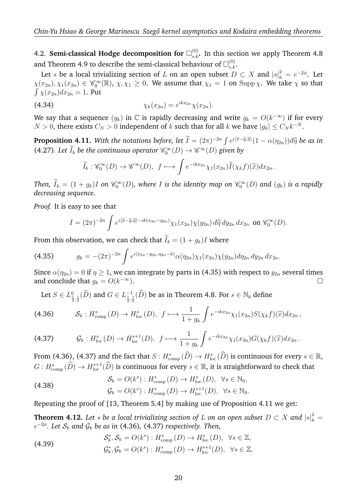4.2. Semi-classical Hodge decomposition for  $\square_{s,k}^{(0)}$ . In this section we apply Theorem 4.8 and Theorem 4.9 to describe the semi-classical behaviour of  $\square_{s,k}^{(0)}.$ 

Let s be a local trivializing section of L on an open subset  $D \subset X$  and  $|s|^2_h = e^{-2\phi}$ . Let  $\chi(x_{2n}), \chi_1(x_{2n}) \in \mathscr{C}_0^{\infty}(\mathbb{R}), \ \chi, \chi_1 \geq 0$ . We assume that  $\chi_1 = 1$  on  $\text{Supp}\,\chi$ . We take  $\chi$  so that  $\int \chi(x_{2n})dx_{2n} = 1$ . Put

(4.34) 
$$
\chi_k(x_{2n}) = e^{ikx_{2n}} \chi(x_{2n}).
$$

We say that a sequence  $(g_k)$  in  $\mathbb C$  is rapidly decreasing and write  $g_k = O(k^{-\infty})$  if for every  $N > 0$ , there exists  $C_N > 0$  independent of  $k$  such that for all  $k$  we have  $|g_k| \le C_N k^{-N}$ .

**Proposition 4.11.** *With the notations before, let*  $\tilde{I} = (2\pi)^{-2n} \int e^{i\langle \hat{x} - \hat{y}, \hat{\eta} \rangle} (1 - \alpha(\eta_{2n})) d\hat{\eta}$  *be as in*<br>(4.27), Let  $\tilde{I}$ , be the continuous coverting  $\mathcal{O}(\Omega) \rightarrow \mathcal{O}(\Omega)$  rises by (4.27)*.* Let  $\tilde{I}_k$  be the continuous operator  $\mathscr{C}_0^{\infty}(D) \to \mathscr{C}^{\infty}(D)$  given by

$$
\widetilde{I}_k: \mathscr{C}_0^{\infty}(D) \to \mathscr{C}^{\infty}(D), \ f \longmapsto \int e^{-ikx_{2n}} \chi_1(x_{2n}) \widetilde{I}(\chi_k f)(\widehat{x}) dx_{2n}.
$$

Then,  $I_k = (1 + g_k)I$  on  $\mathscr{C}_0^\infty(D)$ , where  $I$  is the identity map on  $\mathscr{C}_0^\infty(D)$  and  $(g_k)$  is a rapidly *decreasing sequence.*

*Proof.* It is easy to see that

$$
I = (2\pi)^{-2n} \int e^{i\langle \hat{x} - \hat{y}, \hat{\eta} \rangle - ik(x_{2n} - y_{2n})} \chi_1(x_{2n}) \chi(y_{2n}) d\hat{\eta} dy_{2n} dx_{2n} \text{ on } \mathscr{C}_0^{\infty}(D).
$$

From this observation, we can check that  $\widetilde{I}_k = (1 + g_k)I$  where

$$
(4.35) \t\t g_k = -(2\pi)^{-2n} \int e^{i\langle x_{2n}-y_{2n},\eta_{2n}-k\rangle} \alpha(\eta_{2n}) \chi_1(x_{2n}) \chi(y_{2n}) d\eta_{2n} dy_{2n} dx_{2n}.
$$

Since  $\alpha(\eta_{2n}) = 0$  if  $\eta \geq 1$ , we can integrate by parts in (4.35) with respect to  $y_{2n}$  several times and conclude that  $q_k = O(k^{-\infty})$ . −∞).

Let  $S\in L^0_{\frac{1}{2},\frac{1}{2}}(\widehat{D})$  and  $G\in L^{-1}_{\frac{1}{2},\frac{1}{2}}(\widehat{D})$  be as in Theorem 4.8. For  $s\in\mathbb{N}_0$  define

$$
(4.36) \tS_k: H^s_{\text{comp}}(D) \to H^s_{\text{loc}}(D), \tf \mapsto \frac{1}{1+g_k} \int e^{-ikx_{2n}} \chi_1(x_{2n}) S(\chi_k f)(\widehat{x}) dx_{2n},
$$

$$
(4.37) \t\t\t\t\mathcal{G}_k: H^s_{\text{loc}}(D) \to H^{s+1}_{\text{loc}}(D), \t\t\t f \longmapsto \frac{1}{1+g_k} \int e^{-ikx_{2n}} \chi_1(x_{2n}) G(\chi_k f)(\widehat{x}) dx_{2n}.
$$

From (4.36), (4.37) and the fact that  $S: H^{s}_{\text{comp}}(\widehat{D}) \to H^{s}_{\text{loc}}(\widehat{D})$  is continuous for every  $s \in \mathbb{R}$ ,  $G:H^{s}_{\rm comp}(\widehat D)\to H^{s+1}_{\rm loc}(\widehat D)$  is continuous for every  $s\in\R,$  it is straightforward to check that

(4.38) 
$$
\mathcal{S}_k = O(k^s) : H^s_{\text{comp}}(D) \to H^s_{\text{loc}}(D), \ \forall s \in \mathbb{N}_0,
$$

$$
\mathcal{G}_k = O(k^s) : H^s_{\text{comp}}(D) \to H^{s+1}_{\text{loc}}(D), \ \forall s \in \mathbb{N}_0.
$$

Repeating the proof of [13, Theorem 5.4] by making use of Proposition 4.11 we get:

**Theorem 4.12.** Let  $s$  be a local trivializing section of  $L$  on an open subset  $D \subset X$  and  $|s|^2_h =$  $e^{-2\phi}$ . Let  $\mathcal{S}_k$  and  $\mathcal{G}_k$  be as in (4.36), (4.37) respectively. Then,

(4.39) 
$$
\mathcal{S}_{k}^{*}, \mathcal{S}_{k} = O(k^{s}) : H_{\text{comp}}^{s}(D) \to H_{\text{loc}}^{s}(D), \ \forall s \in \mathbb{Z},
$$

$$
\mathcal{G}_{k}^{*}, \mathcal{G}_{k} = O(k^{s}) : H_{\text{comp}}^{s}(D) \to H_{\text{loc}}^{s+1}(D), \ \forall s \in \mathbb{Z},
$$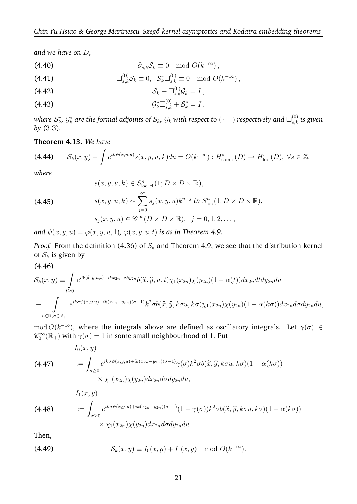*and we have on* D*,*

(4.40) 
$$
\overline{\partial}_{s,k} S_k \equiv 0 \mod O(k^{-\infty}),
$$

(4.41) 
$$
\Box_{s,k}^{(0)} \mathcal{S}_k \equiv 0, \ \ \mathcal{S}_k^* \Box_{s,k}^{(0)} \equiv 0 \mod O(k^{-\infty}),
$$

$$
(4.42) \tSk + \Boxs,k(0) \mathcal{G}k = I,
$$

(4.43) 
$$
\mathcal{G}_{k}^{*} \Box_{s,k}^{(0)} + \mathcal{S}_{k}^{*} = I,
$$

where  $\mathcal{S}_k^*$ ,  $\mathcal{G}_k^*$  are the formal adjoints of  $\mathcal{S}_k$ ,  $\mathcal{G}_k$  with respect to  $(\,\cdot\,|\,\cdot\,)$  respectively and  $\Box_{s,k}^{(0)}$  is given *by* (3.3)*.*

### **Theorem 4.13.** *We have*

$$
(4.44) \qquad \mathcal{S}_k(x,y) - \int e^{ik\psi(x,y,u)}s(x,y,u,k)du = O(k^{-\infty}): H^s_{\text{comp}}(D) \to H^s_{\text{loc}}(D), \ \forall s \in \mathbb{Z},
$$

*where*

(4.45)  
\n
$$
s(x, y, u, k) \in S_{\text{loc,cl}}^n(1; D \times D \times \mathbb{R}),
$$
\n
$$
s(x, y, u, k) \sim \sum_{j=0}^{\infty} s_j(x, y, u) k^{n-j} \text{ in } S_{\text{loc}}^n(1; D \times D \times \mathbb{R}),
$$
\n
$$
s_j(x, y, u) \in \mathscr{C}^{\infty}(D \times D \times \mathbb{R}), \quad j = 0, 1, 2, ...,
$$

*and*  $\psi(x, y, u) = \varphi(x, y, u, 1), \varphi(x, y, u, t)$  *is as in Theorem 4.9.* 

*Proof.* From the definition (4.36) of  $S_k$  and Theorem 4.9, we see that the distribution kernel of  $S_k$  is given by

$$
(4.46)
$$
\n
$$
\mathcal{S}_k(x,y) \equiv \int_{t\geq 0} e^{i\Phi(\widehat{x},\widehat{y},u,t) - ikx_{2n} + iky_{2n}} b(\widehat{x},\widehat{y},u,t) \chi_1(x_{2n}) \chi(y_{2n}) (1-\alpha(t)) dx_{2n} dt dy_{2n} du
$$
\n
$$
\equiv \int_{u \in \mathbb{R}, \sigma \in \mathbb{R}_+} e^{ik\sigma\psi(x,y,u) + ik(x_{2n} - y_{2n})(\sigma - 1)} k^2 \sigma b(\widehat{x},\widehat{y},k\sigma u,k\sigma) \chi_1(x_{2n}) \chi(y_{2n}) (1-\alpha(k\sigma)) dx_{2n} d\sigma dy_{2n} du,
$$

mod  $O(k^{-\infty})$ , where the integrals above are defined as oscillatory integrals. Let  $\gamma(\sigma) \in$  $\mathscr{C}_0^{\infty}(\mathbb{R}_+)$  with  $\gamma(\sigma)=1$  in some small neighbourhood of 1. Put

(4.47)  
\n
$$
I_0(x, y)
$$
\n
$$
:= \int_{\sigma \ge 0} e^{ik\sigma \psi(x, y, u) + ik(x_{2n} - y_{2n})(\sigma - 1)} \gamma(\sigma) k^2 \sigma b(\widehat{x}, \widehat{y}, k\sigma u, k\sigma) (1 - \alpha(k\sigma))
$$
\n
$$
\times \chi_1(x_{2n}) \chi(y_{2n}) dx_{2n} d\sigma dy_{2n} du,
$$
\n
$$
I_1(x, y)
$$

 $:=$  $\sigma \geq 0$  $e^{ik\sigma\psi(x,y,u)+ik(x_{2n}-y_{2n})(\sigma-1)}(1-\gamma(\sigma))k^2\sigma b(\widehat{x},\widehat{y},k\sigma u,k\sigma)(1-\alpha(k\sigma))$  $\times \chi_1(x_{2n})\chi(y_{2n})dx_{2n}d\sigma dy_{2n}du.$ (4.48)

Then,

(4.49) 
$$
\mathcal{S}_k(x,y) \equiv I_0(x,y) + I_1(x,y) \mod O(k^{-\infty}).
$$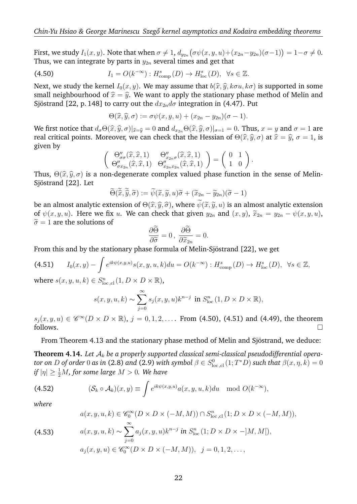First, we study  $I_1(x,y).$  Note that when  $\sigma\neq 1$ ,  $d_{y_{2n}}\big(\sigma\psi(x,y,u)+(x_{2n}-y_{2n})(\sigma-1)\big)=1-\sigma\neq 0.$ Thus, we can integrate by parts in  $y_{2n}$  several times and get that

(4.50) 
$$
I_1 = O(k^{-\infty}) : H^s_{\text{comp}}(D) \to H^s_{\text{loc}}(D), \ \forall s \in \mathbb{Z}.
$$

Next, we study the kernel  $I_0(x, y)$ . We may assume that  $b(\hat{x}, \hat{y}, k\sigma u, k\sigma)$  is supported in some small neighbourhood of  $\hat{x} = \hat{y}$ . We want to apply the stationary phase method of Melin and Sjöstrand [22, p. 148] to carry out the  $dx_{2n}d\sigma$  integration in (4.47). Put

$$
\Theta(\widehat{x},\widehat{y},\sigma) := \sigma \psi(x,y,u) + (x_{2n} - y_{2n})(\sigma - 1).
$$

We first notice that  $d_{\sigma} \Theta(\hat{x}, \hat{y}, \sigma)|_{\hat{x}=\hat{y}} = 0$  and  $d_{x_2} \Theta(\hat{x}, \hat{y}, \sigma)|_{\sigma=1} = 0$ . Thus,  $x = y$  and  $\sigma = 1$  are real critical points. Moreover, we can check that the Hessian of  $\Theta(\hat{x}, \hat{y}, \sigma)$  at  $\hat{x} = \hat{y}, \sigma = 1$ , is given by

$$
\begin{pmatrix}\n\Theta''_{\sigma\sigma}(\widehat{x},\widehat{x},1) & \Theta''_{x_{2n}\sigma}(\widehat{x},\widehat{x},1) \\
\Theta''_{\sigma x_{2n}}(\widehat{x},\widehat{x},1) & \Theta''_{x_{2n}x_{2n}}(\widehat{x},\widehat{x},1)\n\end{pmatrix} = \begin{pmatrix}\n0 & 1 \\
1 & 0\n\end{pmatrix}.
$$

Thus,  $\Theta(\widehat{x}, \widehat{y}, \sigma)$  is a non-degenerate complex valued phase function in the sense of Melin-<br>Siöstrand [22], Let Sjöstrand [22]. Let

$$
\widetilde{\Theta}(\widetilde{\widehat{x}},\widetilde{\widehat{y}},\widetilde{\sigma}) := \widetilde{\psi}(\widetilde{x},\widetilde{y},u)\widetilde{\sigma} + (\widetilde{x}_{2n} - \widetilde{y}_{2n})(\widetilde{\sigma} - 1)
$$

be an almost analytic extension of  $\Theta(\hat{x}, \hat{y}, \hat{\sigma})$ , where  $\psi(\tilde{x}, \tilde{y}, u)$  is an almost analytic extension of  $\phi(x, u, u)$ . Here we fix  $u$ , We can check that given  $u$ , and  $(x, u)$ ,  $\tilde{x} = u$ ,  $\phi(x, u, u)$ of  $\psi(x, y, u)$ . Here we fix u. We can check that given  $y_{2n}$  and  $(x, y)$ ,  $\tilde{x}_{2n} = y_{2n} - \psi(x, y, u)$ ,  $\tilde{\sigma} = 1$  are the solutions of

$$
\frac{\partial \widetilde{\Theta}}{\partial \widetilde{\sigma}} = 0, \; \frac{\partial \widetilde{\Theta}}{\partial \widetilde{x}_{2n}} = 0.
$$

 $\frac{\partial \widetilde{\sigma}}{\partial \widetilde{x}_{2n}}^{3}$   $\frac{\partial \widetilde{x}_{2n}}{\partial \widetilde{x}_{2n}}^{3}$   $\cdots$  From this and by the stationary phase formula of Melin-Sjöstrand [22], we get

$$
\text{(4.51)} \qquad I_0(x,y) - \int e^{ik\psi(x,y,u)} s(x,y,u,k) du = O(k^{-\infty}) : H^s_{\text{comp}}(D) \to H^s_{\text{loc}}(D), \ \ \forall s \in \mathbb{Z},
$$

where  $s(x, y, u, k) \in S^n_{\text{loc,cl}}(1, D \times D \times \mathbb{R})$ ,

$$
s(x, y, u, k) \sim \sum_{j=0}^{\infty} s_j(x, y, u) k^{n-j}
$$
 in  $S^n_{loc}(1, D \times D \times \mathbb{R})$ ,

 $s_j(x, y, u) \in \mathscr{C}^{\infty}(D \times D \times \mathbb{R})$ ,  $j = 0, 1, 2, \ldots$  From (4.50), (4.51) and (4.49), the theorem  $\Box$  follows.

From Theorem 4.13 and the stationary phase method of Melin and Sjöstrand, we deduce:

**Theorem 4.14.** *Let* A<sup>k</sup> *be a properly supported classical semi-classical pseudodifferential opera* $t$ or on  $D$  of order  $0$  as in (2.8) and (2.9) with symbol  $\beta\in S^0_{\rm loc\,,cl}(1;T^*D)$  such that  $\beta(x,\eta,k)=0$  $if |\eta| \geq \frac{1}{2}M$ , for some large  $M > 0$ . We have

(4.52) 
$$
(\mathcal{S}_k \circ \mathcal{A}_k)(x, y) \equiv \int e^{ik\psi(x, y, u)} a(x, y, u, k) du \mod O(k^{-\infty}),
$$

*where*

$$
a(x, y, u, k) \in \mathscr{C}_0^{\infty}(D \times D \times (-M, M)) \cap S^n_{\text{loc,cl}}(1; D \times D \times (-M, M)),
$$

(4.53) 
$$
a(x, y, u, k) \sim \sum_{j=0}^{\infty} a_j(x, y, u) k^{n-j} \text{ in } S^n_{\text{loc}} (1; D \times D \times -]M, M]),
$$

$$
a_j(x, y, u) \in \mathscr{C}_0^{\infty} (D \times D \times (-M, M)), \ \ j = 0, 1, 2, \dots,
$$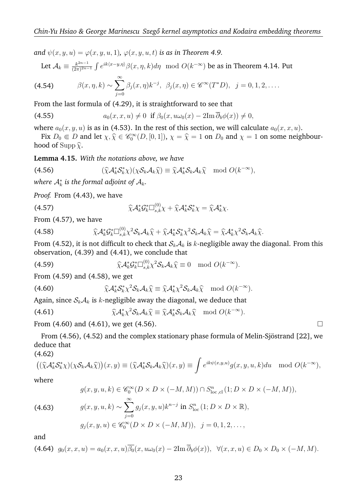*and*  $\psi(x, y, u) = \varphi(x, y, u, 1), \varphi(x, y, u, t)$  *is as in Theorem 4.9.* 

Let 
$$
\mathcal{A}_k \equiv \frac{k^{2n-1}}{(2\pi)^{2n-1}} \int e^{ik\langle x-y,\eta \rangle} \beta(x,\eta,k) d\eta \mod O(k^{-\infty})
$$
 be as in Theorem 4.14. Put

(4.54) 
$$
\beta(x, \eta, k) \sim \sum_{j=0}^{\infty} \beta_j(x, \eta) k^{-j}, \ \beta_j(x, \eta) \in \mathscr{C}^{\infty}(T^*D), \ \ j=0, 1, 2, \ldots
$$

From the last formula of (4.29), it is straightforward to see that

(4.55) 
$$
a_0(x, x, u) \neq 0 \text{ if } \beta_0(x, u\omega_0(x) - 2\mathrm{Im}\,\overline{\partial}_b\phi(x)) \neq 0,
$$

where  $a_0(x, y, u)$  is as in (4.53). In the rest of this section, we will calculate  $a_0(x, x, u)$ .

Fix  $D_0 \n\in D$  and let  $\chi, \hat{\chi} \in \mathcal{C}_0^{\infty}(D, [0, 1])$ ,  $\chi = \hat{\chi} = 1$  on  $D_0$  and  $\chi = 1$  on some neighbourhood of Supp  $\hat{\chi}$ .

**Lemma 4.15.** *With the notations above, we have*

(4.56) 
$$
(\widehat{\chi}\mathcal{A}_k^*\mathcal{S}_k^*\chi)(\chi\mathcal{S}_k\mathcal{A}_k\widehat{\chi}) \equiv \widehat{\chi}\mathcal{A}_k^*\mathcal{S}_k\mathcal{A}_k\widehat{\chi} \mod O(k^{-\infty}),
$$

where  $\mathcal{A}_k^*$  is the formal adjoint of  $\mathcal{A}_k$ .

*Proof.* From (4.43), we have

(4.57) 
$$
\widehat{\chi}\mathcal{A}_k^*\mathcal{G}_k^*\Box_{s,k}^{(0)}\chi + \widehat{\chi}\mathcal{A}_k^*\mathcal{S}_k^*\chi = \widehat{\chi}\mathcal{A}_k^*\chi.
$$

From (4.57), we have

$$
(4.58) \qquad \qquad \widehat{\chi}\mathcal{A}_{k}^{*}\mathcal{G}_{k}^{*}\Box_{s,k}^{(0)}\chi^{2}\mathcal{S}_{k}\mathcal{A}_{k}\widehat{\chi}+\widehat{\chi}\mathcal{A}_{k}^{*}\mathcal{S}_{k}^{*}\chi^{2}\mathcal{S}_{k}\mathcal{A}_{k}\widehat{\chi}=\widehat{\chi}\mathcal{A}_{k}^{*}\chi^{2}\mathcal{S}_{k}\mathcal{A}_{k}\widehat{\chi}.
$$

From (4.52), it is not difficult to check that  $S_k A_k$  is k-negligible away the diagonal. From this observation, (4.39) and (4.41), we conclude that

(4.59) 
$$
\widehat{\chi}\mathcal{A}_k^*\mathcal{G}_k^*\Box_{s,k}^{(0)}\chi^2\mathcal{S}_k\mathcal{A}_k\widehat{\chi}\equiv 0 \mod O(k^{-\infty}).
$$

From (4.59) and (4.58), we get

(4.60) 
$$
\widehat{\chi}\mathcal{A}_k^*\mathcal{S}_k^*\chi^2\mathcal{S}_k\mathcal{A}_k\widehat{\chi}\equiv \widehat{\chi}\mathcal{A}_k^*\chi^2\mathcal{S}_k\mathcal{A}_k\widehat{\chi} \mod O(k^{-\infty}).
$$

Again, since  $S_k A_k$  is k-negligible away the diagonal, we deduce that

(4.61) 
$$
\widehat{\chi}\mathcal{A}_k^*\chi^2\mathcal{S}_k\mathcal{A}_k\widehat{\chi}\equiv \widehat{\chi}\mathcal{A}_k^*\mathcal{S}_k\mathcal{A}_k\widehat{\chi} \mod O(k^{-\infty}).
$$

From (4.60) and (4.61), we get (4.56).

From (4.56), (4.52) and the complex stationary phase formula of Melin-Sjöstrand [22], we deduce that (4.62)

$$
\left( (\widehat{\chi} \mathcal{A}_{k}^{*} \mathcal{S}_{k}^{*} \chi)(\chi \mathcal{S}_{k} \mathcal{A}_{k} \widehat{\chi}) \right) (x, y) \equiv (\widehat{\chi} \mathcal{A}_{k}^{*} \mathcal{S}_{k} \mathcal{A}_{k} \widehat{\chi})(x, y) \equiv \int e^{ik\psi(x, y, u)} g(x, y, u, k) du \mod O(k^{-\infty}),
$$

where

(4.63) 
$$
g(x, y, u, k) \in \mathscr{C}_0^{\infty}(D \times D \times (-M, M)) \cap S_{\text{loc,cl}}^n(1; D \times D \times (-M, M)),
$$

$$
g(x, y, u, k) \sim \sum_{j=0}^{\infty} g_j(x, y, u) k^{n-j} \text{ in } S_{\text{loc}}^n(1; D \times D \times \mathbb{R}),
$$

$$
g_j(x, y, u) \in \mathscr{C}_0^{\infty}(D \times D \times (-M, M)), \quad j = 0, 1, 2, ...,
$$

and

$$
(4.64) \ \ g_0(x,x,u) = a_0(x,x,u)\overline{\beta_0}(x,u\omega_0(x) - 2\mathrm{Im}\,\overline{\partial}_b\phi(x)), \ \ \forall (x,x,u) \in D_0 \times D_0 \times (-M,M).
$$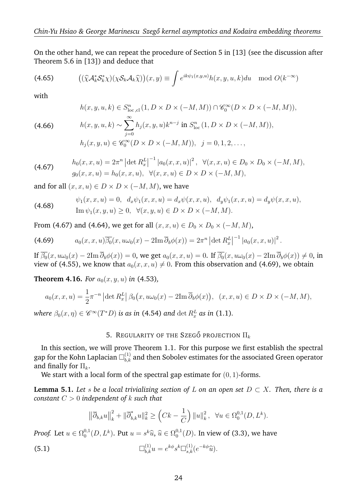On the other hand, we can repeat the procedure of Section 5 in [13] (see the discussion after Theorem 5.6 in [13]) and deduce that

(4.65) 
$$
((\widehat{\chi}\mathcal{A}_k^*\mathcal{S}_k^*) (\chi\mathcal{S}_k\mathcal{A}_k\widehat{\chi})) (x, y) \equiv \int e^{ik\psi_1(x, y, u)} h(x, y, u, k) du \mod O(k^{-\infty})
$$

with

$$
h(x, y, u, k) \in S^n_{\text{loc,cl}}(1, D \times D \times (-M, M)) \cap \mathcal{C}_0^{\infty}(D \times D \times (-M, M)),
$$

(4.66)

$$
h(x, y, u, k) \sim \sum_{j=0}^{\infty} h_j(x, y, u) k^{n-j} \text{ in } S^n_{\text{loc}} (1, D \times D \times (-M, M)),
$$
  

$$
h_j(x, y, u) \in \mathscr{C}_0^{\infty}(D \times D \times (-M, M)), \quad j = 0, 1, 2, \dots,
$$

(4.67) 
$$
h_0(x, x, u) = 2\pi^n \left[ \det R_x^L \right]^{-1} \left[ a_0(x, x, u) \right]^2, \ \ \forall (x, x, u) \in D_0 \times D_0 \times (-M, M),
$$

$$
g_0(x, x, u) = h_0(x, x, u), \ \ \forall (x, x, u) \in D \times D \times (-M, M),
$$

and for all  $(x, x, u) \in D \times D \times (-M, M)$ , we have

(4.68) 
$$
\psi_1(x, x, u) = 0, \ d_x \psi_1(x, x, u) = d_x \psi(x, x, u), \ d_y \psi_1(x, x, u) = d_y \psi(x, x, u), \nIm \psi_1(x, y, u) \ge 0, \ \forall (x, y, u) \in D \times D \times (-M, M).
$$

From (4.67) and (4.64), we get for all  $(x, x, u) \in D_0 \times D_0 \times (-M, M)$ ,

(4.69) 
$$
a_0(x, x, u)\overline{\beta_0}(x, u\omega_0(x) - 2\mathrm{Im}\,\overline{\partial}_b\phi(x)) = 2\pi^n |\det R_x^L|^{-1} |a_0(x, x, u)|^2.
$$

If  $\overline{\beta_0}(x, u\omega_0(x) - 2\text{Im }\overline{\partial}_b\phi(x)) = 0$ , we get  $a_0(x, x, u) = 0$ . If  $\overline{\beta_0}(x, u\omega_0(x) - 2\text{Im }\overline{\partial}_b\phi(x)) \neq 0$ , in view of (4.55), we know that  $a_0(x, x, u) \neq 0$ . From this observation and (4.69), we obtain

**Theorem 4.16.** *For*  $a_0(x, y, u)$  *in* (4.53),

$$
a_0(x, x, u) = \frac{1}{2}\pi^{-n} \left| \det R_x^L \right| \beta_0(x, u\omega_0(x) - 2\mathrm{Im}\,\overline{\partial}_b \phi(x)), \ (x, x, u) \in D \times D \times (-M, M),
$$

where  $\beta_0(x, \eta) \in \mathscr{C}^\infty(T^*D)$  is as in (4.54) and  $\det R_x^L$  as in (1.1).

## 5. REGULARITY OF THE SZEGŐ PROJECTION  $\Pi_k$

In this section, we will prove Theorem 1.1. For this purpose we first establish the spectral gap for the Kohn Laplacian  $\square^{(1)}_{b,k}$  and then Sobolev estimates for the associated Green operator and finally for  $\Pi_k$ .

We start with a local form of the spectral gap estimate for  $(0, 1)$ -forms.

**Lemma 5.1.** *Let* s *be a local trivializing section of*  $L$  *on an open set*  $D \subset X$ *. Then, there is a constant* C > 0 *independent of* k *such that*

$$
\left\|\overline{\partial}_{b,k} u\right\|_{k}^{2} + \|\overline{\partial}_{b,k}^{*} u\|_{k}^{2} \ge \left(Ck - \frac{1}{C}\right) \|u\|_{k}^{2}, \ \ \forall u \in \Omega_{0}^{0,1}(D, L^{k}).
$$

*Proof.* Let  $u \in \Omega_0^{0,1}$  $_{0}^{0,1}(D,L^{k})$ . Put  $u=s^{k}\widehat{u}$ ,  $\widehat{u}\in\Omega_{0}^{0,1}$  $_0^{0,1}(D)$ . In view of (3.3), we have

(5.1) 
$$
\Box_{b,k}^{(1)} u = e^{k\phi} s^k \Box_{s,k}^{(1)} (e^{-k\phi} \widehat{u}).
$$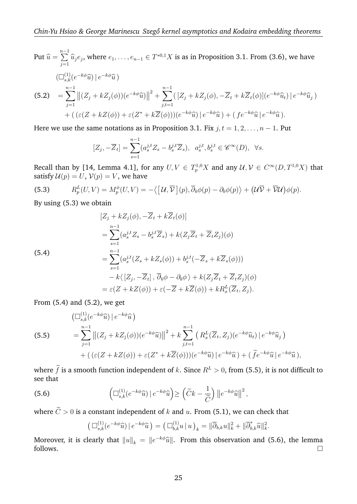Put 
$$
\hat{u} = \sum_{j=1}^{n-1} \hat{u}_j e_j
$$
, where  $e_1, ..., e_{n-1} \in T^{*0,1}X$  is as in Proposition 3.1. From (3.6), we have  
\n
$$
(\Box_{s,k}^{(1)}(e^{-k\phi}\hat{u}) | e^{-k\phi}\hat{u})
$$
\n(5.2) 
$$
= \sum_{j=1}^{n-1} ||(Z_j + kZ_j(\phi))(e^{-k\phi}\hat{u})||^2 + \sum_{j,t=1}^{n-1} ([Z_j + kZ_j(\phi), -\overline{Z}_t + k\overline{Z}_t(\phi)](e^{-k\phi}\hat{u}_t) | e^{-k\phi}\hat{u}_j)
$$
\n
$$
+ ((\varepsilon(Z + kZ(\phi)) + \varepsilon(Z^* + k\overline{Z}(\phi)))(e^{-k\phi}\hat{u}) | e^{-k\phi}\hat{u}) + (fe^{-k\phi}\hat{u} | e^{-k\phi}\hat{u}).
$$

Here we use the same notations as in Proposition 3.1. Fix  $j, t = 1, 2, ..., n - 1$ . Put

$$
[Z_j, -\overline{Z}_t] = \sum_{s=1}^{n-1} (a_s^{j,t} Z_s - b_s^{j,t} \overline{Z}_s), \ \ a_s^{j,t}, b_s^{j,t} \in \mathscr{C}^{\infty}(D), \ \ \forall s.
$$

Recall than by [14, Lemma 4.1], for any  $U, V \in T^{1,0}_pX$  and any  $\mathcal{U}, \mathcal{V} \in C^\infty(D, T^{1,0}X)$  that satisfy  $U(p) = U$ ,  $V(p) = V$ , we have

(5.3) 
$$
R_p^L(U, V) = M_p^{\phi}(U, V) = -\langle [U, \overline{V}](p), \overline{\partial}_b \phi(p) - \partial_b \phi(p) \rangle + (U\overline{V} + \overline{V}U)\phi(p).
$$

By using (5.3) we obtain

(5.4)  
\n
$$
[Z_j + kZ_j(\phi), -\overline{Z}_t + k\overline{Z}_t(\phi)]
$$
\n
$$
= \sum_{s=1}^{n-1} (a_s^{j,t} Z_s - b_s^{j,t} \overline{Z}_s) + k(Z_j \overline{Z}_t + \overline{Z}_t Z_j)(\phi)
$$
\n
$$
= \sum_{s=1}^{n-1} (a_s^{j,t}(Z_s + kZ_s(\phi)) + b_s^{j,t}(-\overline{Z}_s + k\overline{Z}_s(\phi)))
$$
\n
$$
- k\langle [Z_j, -\overline{Z}_t], \overline{\partial}_b \phi - \partial_b \phi \rangle + k(Z_j \overline{Z}_t + \overline{Z}_t Z_j)(\phi)
$$
\n
$$
= \varepsilon (Z + kZ(\phi)) + \varepsilon (-\overline{Z} + k\overline{Z}(\phi)) + kR_x^L(\overline{Z}_t, Z_j).
$$

From (5.4) and (5.2), we get

(5.5)  
\n
$$
\left(\Box_{s,k}^{(1)}(e^{-k\phi}\widehat{u})\,|\,e^{-k\phi}\widehat{u}\,\right)
$$
\n
$$
=\sum_{j=1}^{n-1} \left\|(Z_j+kZ_j(\phi))(e^{-k\phi}\widehat{u})\right\|^2 + k\sum_{j,t=1}^{n-1} \left(R_x^L(\overline{Z}_t,Z_j)(e^{-k\phi}\widehat{u}_t)\,|\,e^{-k\phi}\widehat{u}_j\,\right)
$$
\n
$$
+\left((\varepsilon(Z+kZ(\phi))+\varepsilon(Z^*+k\overline{Z}(\phi)))(e^{-k\phi}\widehat{u})\,|\,e^{-k\phi}\widehat{u}\,\right) + \left(\,\widetilde{f}e^{-k\phi}\widehat{u}\,|\,e^{-k\phi}\widehat{u}\,\right),
$$

where  $\tilde{f}$  is a smooth function independent of k. Since  $R^L > 0$ , from (5.5), it is not difficult to see that

(5.6) 
$$
\left(\Box_{s,k}^{(1)}(e^{-k\phi}\widehat{u})\,|\,e^{-k\phi}\widehat{u}\right) \geq \left(\widetilde{C}k - \frac{1}{\widetilde{C}}\right)\left\|e^{-k\phi}\widehat{u}\right\|^2,
$$

where  $C>0$  is a constant independent of  $k$  and  $u$ . From (5.1), we can check that

$$
\left(\Box^{(1)}_{s,k}(e^{-k\phi}\widehat{u})\,|\,e^{-k\phi}\widehat{u}\,\right) = \left(\Box^{(1)}_{b,k}u\,|\,u\,\right)_k = \|\overline{\partial}_{b,k}u\|_k^2 + \|\overline{\partial}_{b,k}^*\widehat{u}\|_k^2.
$$

Moreover, it is clearly that  $\|u\|_k = \|e^{-k\phi}\widehat{u}\|$ . From this observation and (5.6), the lemma follows.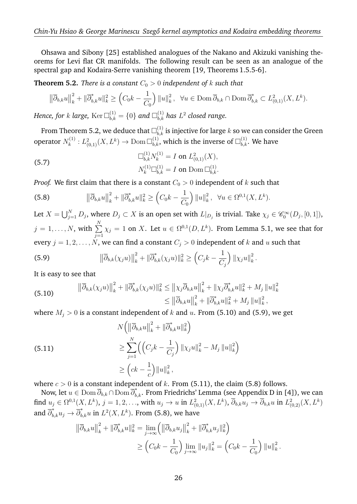Ohsawa and Sibony [25] established analogues of the Nakano and Akizuki vanishing theorems for Levi flat CR manifolds. The following result can be seen as an analogue of the spectral gap and Kodaira-Serre vanishing theorem [19, Theorems 1.5.5-6].

**Theorem 5.2.** *There is a constant*  $C_0 > 0$  *independent of* k *such that* 

$$
\left\|\overline{\partial}_{b,k}u\right\|_{k}^{2} + \|\overline{\partial}_{b,k}^{*}u\|_{k}^{2} \ge \left(C_{0}k - \frac{1}{C_{0}}\right)\|u\|_{k}^{2}, \ \ \forall u \in \text{Dom }\overline{\partial}_{b,k} \cap \text{Dom }\overline{\partial}_{b,k}^{*} \subset L_{(0,1)}^{2}(X, L^{k}).
$$

Hence, for  $k$  large,  $\text{Ker}\,\Box_{b,k}^{(1)} = \{0\}$  and  $\Box_{b,k}^{(1)}$  has  $L^2$  closed range.

From Theorem 5.2, we deduce that  $\square^{(1)}_{b,k}$  is injective for large  $k$  so we can consider the Green operator  $N_k^{(1)}$  $\mathcal{L}^{(1)}_k: L^2_{(0,1)}(X,L^k)\rightarrow \operatorname{Dom}\Box^{(1)}_{b,k}$ , which is the inverse of  $\Box^{(1)}_{b,k}.$  We have

(5.7) 
$$
\Box_{b,k}^{(1)} N_k^{(1)} = I \text{ on } L_{(0,1)}^2(X),
$$

$$
N_k^{(1)} \Box_{b,k}^{(1)} = I \text{ on } \text{Dom } \Box_{b,k}^{(1)}.
$$

*Proof.* We first claim that there is a constant  $C_0 > 0$  independent of k such that

(5.8) 
$$
\|\overline{\partial}_{b,k} u\|_{k}^{2} + \|\overline{\partial}_{b,k}^{*} u\|_{k}^{2} \geq \left(C_{0}k - \frac{1}{C_{0}}\right) \|u\|_{k}^{2}, \quad \forall u \in \Omega^{0,1}(X, L^{k}).
$$

Let  $X=\bigcup_{j=1}^N D_j$ , where  $D_j\subset X$  is an open set with  $L|_{D_j}$  is trivial. Take  $\chi_j\in \mathscr{C}_0^\infty(D_j,[0,1]),$  $j = 1, \ldots, N$ , with  $\sum_{i=1}^{N}$  $j=1$  $\chi_j = 1$  on X. Let  $u \in \Omega^{0,1}(D,L^k)$ . From Lemma 5.1, we see that for every  $j = 1, 2, ..., N$ , we can find a constant  $C_j > 0$  independent of k and u such that

(5.9) 
$$
\left\|\overline{\partial}_{b,k}(\chi_j u)\right\|_{k}^{2} + \left\|\overline{\partial}_{b,k}^{*}(\chi_j u)\right\|_{k}^{2} \geq \left(C_j k - \frac{1}{C_j}\right) \left\|\chi_j u\right\|_{k}^{2}.
$$

It is easy to see that

(5.10) 
$$
\|\overline{\partial}_{b,k}(\chi_j u)\|_{k}^2 + \|\overline{\partial}_{b,k}^*(\chi_j u)\|_{k}^2 \leq \|\chi_j \overline{\partial}_{b,k} u\|_{k}^2 + \|\chi_j \overline{\partial}_{b,k}^* u\|_{k}^2 + M_j \|u\|_{k}^2 \leq \|\overline{\partial}_{b,k} u\|_{k}^2 + \|\overline{\partial}_{b,k}^* u\|_{k}^2 + M_j \|u\|_{k}^2,
$$

where  $M_j > 0$  is a constant independent of k and u. From (5.10) and (5.9), we get

(5.11)  
\n
$$
N\left(\left\|\overline{\partial}_{b,k}u\right\|_{k}^{2} + \left\|\overline{\partial}_{b,k}^{*}u\right\|_{k}^{2}\right)
$$
\n
$$
\geq \sum_{j=1}^{N}\left(\left(C_{j}k - \frac{1}{C_{j}}\right)\left\|x_{j}u\right\|_{k}^{2} - M_{j}\left\|u\right\|_{k}^{2}\right)
$$
\n
$$
\geq \left(ck - \frac{1}{c}\right)\left\|u\right\|_{k}^{2},
$$

where  $c > 0$  is a constant independent of k. From (5.11), the claim (5.8) follows.

Now, let  $u\in{\rm Dom\,}\overline\partial_{b,k}\cap{\rm Dom\,}\overline\partial_{b,k}^*.$  From Friedrichs' Lemma (see Appendix D in [4]), we can  $\text{find}\,\, u_j\in \Omega^{0,1}(X,L^k),\, j=1,2,\ldots, \, \text{with}\,\, u_j\to u\,\, \text{in}\,\, L^2_{(0,1)}(X,L^k),\, \overline{\partial}_{b,k} u_j\to \overline{\partial}_{b,k} u\,\, \text{in}\,\, L^2_{(0,2)}(X,L^k)$ and  $\overline{\partial}_{b,k}^*u_j \rightarrow \overline{\partial}_{b,k}^*u$  in  $L^2(X,L^k)$ . From (5.8), we have

$$
\|\overline{\partial}_{b,k}u\|_{k}^{2} + \|\overline{\partial}_{b,k}^{*}u\|_{k}^{2} = \lim_{j \to \infty} \left( \|\overline{\partial}_{b,k}u_{j}\|_{k}^{2} + \|\overline{\partial}_{b,k}^{*}u_{j}\|_{k}^{2} \right)
$$
  

$$
\geq \left(C_{0}k - \frac{1}{C_{0}}\right) \lim_{j \to \infty} \|u_{j}\|_{k}^{2} = \left(C_{0}k - \frac{1}{C_{0}}\right) \|u\|_{k}^{2}.
$$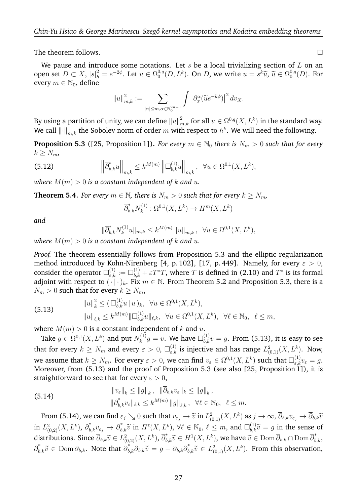The theorem follows.

We pause and introduce some notations. Let  $s$  be a local trivializing section of  $L$  on an open set  $D \subset X$ ,  $|s|^2_h = e^{-2\phi}$ . Let  $u \in \Omega_0^{0,q}$  ${}^{0,q}_{0}(D, L^k)$ . On D, we write  $u = s^k \widetilde{u}$ ,  $\widetilde{u} \in \Omega_0^{0,q}$  $\mathfrak{g}_0^{0,q}(D)$ . For every  $m \in \mathbb{N}_0$ , define

$$
||u||_{m,k}^2 := \sum_{|\alpha| \le m, \alpha \in \mathbb{N}_0^{2n-1}} \int \left| \partial_x^{\alpha} (\widetilde{u} e^{-k\phi}) \right|^2 dv_X.
$$

By using a partition of unity, we can define  $\|u\|_{m,k}^2$  for all  $u\in \Omega^{0,q}(X,L^k)$  in the standard way. We call  $\left\Vert \cdot\right\Vert _{m,k}$  the Sobolev norm of order  $m$  with respect to  $h^{k}.$  We will need the following.

**Proposition 5.3** ([25, Proposition 1]). *For every*  $m \in \mathbb{N}_0$  *there is*  $N_m > 0$  *such that for every*  $k \geq N_m$ 

(5.12) 
$$
\left\|\overline{\partial}_{b,k}^*u\right\|_{m,k} \leq k^{M(m)}\left\|\Box_{b,k}^{(1)}u\right\|_{m,k}, \quad \forall u \in \Omega^{0,1}(X,L^k),
$$

*where*  $M(m) > 0$  *is a constant independent of* k and u.

**Theorem 5.4.** *For every*  $m \in \mathbb{N}$ , *there is*  $N_m > 0$  *such that for every*  $k \geq N_m$ ,

$$
\overline{\partial}_{b,k}^*N_k^{(1)}:\Omega^{0,1}(X,L^k)\to H^m(X,L^k)
$$

*and*

$$
\|\overline{\partial}_{b,k}^* N_k^{(1)} u\|_{m,k} \le k^{M(m)} \|u\|_{m,k}, \ \ \forall u \in \Omega^{0,1}(X,L^k),
$$

*where*  $M(m) > 0$  *is a constant independent of k and u.* 

*Proof.* The theorem essentially follows from Proposition 5.3 and the elliptic regularization method introduced by Kohn-Nirenberg [4, p. 102], [17, p. 449]. Namely, for every  $\varepsilon > 0$ , consider the operator  $\Box^{(1)}_{\varepsilon,k}:=\Box^{(1)}_{b,k}+\varepsilon T^*T,$  where  $T$  is defined in (2.10) and  $T^*$  is its formal adjoint with respect to  $(\cdot | \cdot)_k$ . Fix  $m \in \mathbb{N}$ . From Theorem 5.2 and Proposition 5.3, there is a  $N_m > 0$  such that for every  $k \ge N_m$ ,

(5.13) 
$$
||u||_{k}^{2} \leq (\Box_{b,k}^{(1)} u | u)_{k}, \quad \forall u \in \Omega^{0,1}(X, L^{k}),
$$

$$
||u||_{\ell,k} \leq k^{M(m)} ||\Box_{b,k}^{(1)} u||_{\ell,k}, \quad \forall u \in \Omega^{0,1}(X, L^{k}), \quad \forall \ell \in \mathbb{N}_{0}, \quad \ell \leq m,
$$

where  $M(m) > 0$  is a constant independent of k and u.

Take  $g \in \Omega^{0,1}(X,L^k)$  and put  $N_k^{(1)}$  $\mathbf{g}_{k}^{(1)}g=v.$  We have  $\square_{b,k}^{(1)}v=g.$  From (5.13), it is easy to see that for every  $k\,\geq\,N_m$  and every  $\varepsilon\,>\,0, \ \Box^{(1)}_{\varepsilon,k}$  is injective and has range  $L^2_{(0,1)}(X,L^k).$  Now, we assume that  $k\geq N_m.$  For every  $\varepsilon>0,$  we can find  $v_\varepsilon\in \Omega^{0,1}(X,L^k)$  such that  $\square^{(1)}_{\varepsilon,k}v_\varepsilon=g.$ Moreover, from (5.13) and the proof of Proposition 5.3 (see also [25, Proposition 1]), it is straightforward to see that for every  $\varepsilon > 0$ ,

(5.14) 
$$
\|v_{\varepsilon}\|_{k} \leq \|g\|_{k}, \quad \|\overline{\partial}_{b,k}v_{\varepsilon}\|_{k} \leq \|g\|_{k},
$$

$$
\|\overline{\partial}_{b,k}^{*}v_{\varepsilon}\|_{\ell,k} \leq k^{M(m)} \|g\|_{\ell,k}, \quad \forall \ell \in \mathbb{N}_{0}, \quad \ell \leq m.
$$

From (5.14), we can find  $\varepsilon_j \searrow 0$  such that  $v_{\varepsilon_j} \to \tilde{v}$  in  $L^2_{(0,1)}(X, L^k)$  as  $j \to \infty$ ,  $\overline{\partial}_{b,k} v_{\varepsilon_j} \to \overline{\partial}_{b,k} \tilde{v}$ in  $L^2_{(0,2)}(X,L^k)$ ,  $\overline{\partial}_{b,k}^* v_{\varepsilon_j} \to \overline{\partial}_{b,k}^* \widetilde{v}$  in  $H^{\ell}(X,L^k)$ ,  $\forall \ell \in \mathbb{N}_0$ ,  $\ell \leq m$ , and  $\Box_{b,k}^{(1)} \widetilde{v} = g$  in the sense of distributions. Since  $\overline{\partial}_{b,k}\widetilde{v} \in L^2_{(0,2)}(X,L^k), \overline{\partial}_{b,k}^*\widetilde{v} \in H^1(X,L^k)$ , we have  $\widetilde{v} \in \text{Dom }\overline{\partial}_{b,k} \cap \text{Dom }\overline{\partial}_{b,k}^*$ ,  $\overline{\partial}_{b,k}^* \widetilde{v} \in \text{Dom } \overline{\partial}_{b,k}$ . Note that  $\overline{\partial}_{b,k}^* \overline{\partial}_{b,k} \widetilde{v} = g - \overline{\partial}_{b,k} \overline{\partial}_{b,k}^* \widetilde{v} \in L^2_{(0,1)}(X, L^k)$ . From this observation,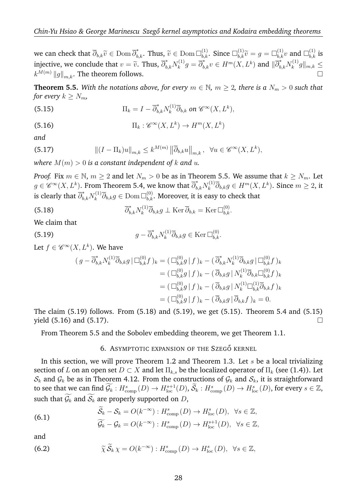we can check that  $\overline{\partial}_{b,k}\widetilde{v} \in \text{Dom }\overline{\partial}_{b,k}^*$ . Thus,  $\widetilde{v} \in \text{Dom }\Box_{b,k}^{(1)}$ . Since  $\Box_{b,k}^{(1)}\widetilde{v} = g = \Box_{b,k}^{(1)}v$  and  $\Box_{b,k}^{(1)}$  is injective, we conclude that  $v = \tilde{v}$ . Thus,  $\overline{\partial}_{b,k}^* N_k^{(1)}$  $\overline{k}_k^{(1)} g = \overline{\partial}_{b,k}^* v \in H^m(X,L^k)$  and  $\|\overline{\partial}_{b,k}^* N_k^{(1)}$  $\|k^{(1)}g\|_{m,k} \leq$  $k^{M(m)} \|g\|_{m,k}$ . The theorem follows.

**Theorem 5.5.** With the notations above, for every  $m \in \mathbb{N}$ ,  $m \geq 2$ , there is a  $N_m > 0$  such that *for every*  $k \geq N_m$ *,* 

(5.15) 
$$
\Pi_k = I - \overline{\partial}_{b,k}^* N_k^{(1)} \overline{\partial}_{b,k} \text{ on } \mathscr{C}^\infty(X,L^k),
$$

(5.16) 
$$
\Pi_k : \mathscr{C}^\infty(X, L^k) \to H^m(X, L^k)
$$

*and*

(5.17) 
$$
\| (I - \Pi_k)u \|_{m,k} \leq k^{M(m)} \|\overline{\partial}_{b,k} u \|_{m,k}, \ \forall u \in \mathscr{C}^{\infty}(X, L^k),
$$

*where*  $M(m) > 0$  *is a constant independent of* k and u.

*Proof.* Fix  $m \in \mathbb{N}$ ,  $m \ge 2$  and let  $N_m > 0$  be as in Theorem 5.5. We assume that  $k \ge N_m$ . Let  $g\in \mathscr{C}^\infty(X,L^k).$  From Theorem 5.4, we know that  $\overline\partial_{b,k}^*N_k^{(1)}$  $\overline{\partial}_{b,k} g \in H^m(X,L^k)$ . Since  $m \geq 2$ , it is clearly that  $\overline{\partial}^*_{b,k}N^{(1)}_k$  $\bar{b}_{k}^{(1)}\overline{\partial}_{b,k}g\in\operatorname{Dom}\Box_{b,k}^{(0)}.$  Moreover, it is easy to check that

(5.18) 
$$
\overline{\partial}_{b,k}^* N_k^{(1)} \overline{\partial}_{b,k} g \perp \text{Ker } \overline{\partial}_{b,k} = \text{Ker } \Box_{b,k}^{(0)}.
$$

We claim that

(5.19) 
$$
g - \overline{\partial}_{b,k}^* N_k^{(1)} \overline{\partial}_{b,k} g \in \text{Ker} \, \Box_{b,k}^{(0)}.
$$

Let  $f \in \mathscr{C}^\infty(X,L^k)$ . We have

$$
(g - \overline{\partial}_{b,k}^* N_k^{(1)} \overline{\partial}_{b,k} g \mid \Box_{b,k}^{(0)} f )_k = (\Box_{b,k}^{(0)} g \mid f )_k - (\overline{\partial}_{b,k}^* N_k^{(1)} \overline{\partial}_{b,k} g \mid \Box_{b,k}^{(0)} f )_k
$$
  

$$
= (\Box_{b,k}^{(0)} g \mid f )_k - (\overline{\partial}_{b,k} g \mid N_k^{(1)} \overline{\partial}_{b,k} \Box_{b,k}^{(0)} f )_k
$$
  

$$
= (\Box_{b,k}^{(0)} g \mid f )_k - (\overline{\partial}_{b,k} g \mid N_k^{(1)} \Box_{b,k}^{(1)} \overline{\partial}_{b,k} f )_k
$$
  

$$
= (\Box_{b,k}^{(0)} g \mid f )_k - (\overline{\partial}_{b,k} g \mid \overline{\partial}_{b,k} f )_k = 0.
$$

The claim (5.19) follows. From (5.18) and (5.19), we get (5.15). Theorem 5.4 and (5.15) yield  $(5.16)$  and  $(5.17)$ .

From Theorem 5.5 and the Sobolev embedding theorem, we get Theorem 1.1.

### 6. ASYMPTOTIC EXPANSION OF THE SZEGŐ KERNEL

In this section, we will prove Theorem 1.2 and Theorem 1.3. Let  $s$  be a local trivializing section of L on an open set  $D \subset X$  and let  $\Pi_{k,s}$  be the localized operator of  $\Pi_k$  (see (1.4)). Let  $S_k$  and  $\mathcal{G}_k$  be as in Theorem 4.12. From the constructions of  $\mathcal{G}_k$  and  $S_k$ , it is straightforward to see that we can find  $\widetilde{\mathcal{G}_k}: H^{s}_{\text{comp}}(D) \to H^{s+1}_{\text{loc}}(D), \widetilde{\mathcal{S}_k}: H^{s}_{\text{comp}}(D) \to H^{s}_{\text{loc}}(D),$  for every  $s \in \mathbb{Z},$ such that  $\widetilde{\mathcal{G}_k}$  and  $\widetilde{\mathcal{S}_k}$  are properly supported on D,

(6.1) 
$$
\widetilde{S}_k - S_k = O(k^{-\infty}) : H^s_{\text{comp}}(D) \to H^s_{\text{loc}}(D), \ \forall s \in \mathbb{Z},
$$

$$
\widetilde{C} = C \qquad O(k^{-\infty}) : H^s \qquad (D) \to H^{s+1}(D) \quad \forall s \in \mathbb{Z}
$$

$$
\widetilde{\mathcal{G}_k} - \mathcal{G}_k = O(k^{-\infty}) : H^s_{\text{comp}}(D) \to H^{s+1}_{\text{loc}}(D), \ \ \forall s \in \mathbb{Z},
$$

and

(6.2) 
$$
\widetilde{\chi} \widetilde{\mathcal{S}}_k \chi = O(k^{-\infty}) : H^s_{\text{comp}}(D) \to H^s_{\text{loc}}(D), \ \ \forall s \in \mathbb{Z},
$$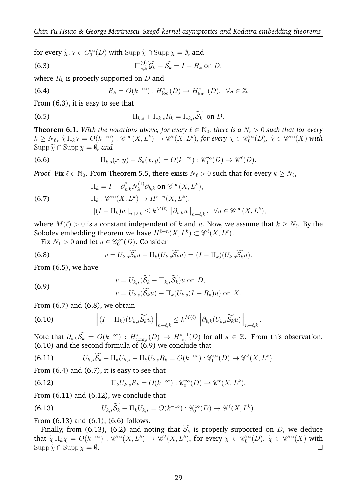for every  $\widetilde{\chi}, \chi \in C_0^{\infty}(D)$  with  $\text{Supp}\,\widetilde{\chi} \cap \text{Supp}\,\chi = \emptyset$ , and

(6.3) 
$$
\Box_{s,k}^{(0)}\widetilde{\mathcal{G}_k}+\widetilde{\mathcal{S}_k}=I+R_k \text{ on } D,
$$

where  $R_k$  is properly supported on D and

(6.4) 
$$
R_k = O(k^{-\infty}) : H^s_{loc}(D) \to H^{s-1}_{loc}(D), \ \forall s \in \mathbb{Z}.
$$

From (6.3), it is easy to see that

(6.5) 
$$
\Pi_{k,s} + \Pi_{k,s} R_k = \Pi_{k,s} \widetilde{\mathcal{S}_k} \text{ on } D.
$$

**Theorem 6.1.** With the notations above, for every  $\ell \in \mathbb{N}_0$ , there is a  $N_\ell > 0$  such that for every  $k \geq N_{\ell}$ ,  $\widetilde{\chi} \Pi_k \chi = O(k^{-\infty}) : \mathscr{C}^{\infty}(X, L^k) \to \mathscr{C}^{\ell}(X, L^k)$ , for every  $\chi \in \mathscr{C}_0^{\infty}(D)$ ,  $\widetilde{\chi} \in \mathscr{C}^{\infty}(X)$  with  $\text{Sum} \chi \in \mathscr{D}$  and  $\text{Supp }\widetilde{\chi} \cap \text{Supp }\chi = \emptyset$ , and

(6.6) 
$$
\Pi_{k,s}(x,y)-\mathcal{S}_k(x,y)=O(k^{-\infty}): \mathscr{C}_0^{\infty}(D)\to \mathscr{C}^{\ell}(D).
$$

*Proof.* Fix  $\ell \in \mathbb{N}_0$ . From Theorem 5.5, there exists  $N_\ell > 0$  such that for every  $k \ge N_\ell$ ,

(6.7) 
$$
\Pi_{k} = I - \overline{\partial}_{b,k}^{*} N_{k}^{(1)} \overline{\partial}_{b,k} \text{ on } \mathscr{C}^{\infty}(X, L^{k}),
$$

$$
\Pi_{k} : \mathscr{C}^{\infty}(X, L^{k}) \to H^{\ell+n}(X, L^{k}),
$$

$$
\|(I - \Pi_{k})u\|_{n+\ell,k} \leq k^{M(\ell)} \|\overline{\partial}_{b,k}u\|_{n+\ell,k}, \quad \forall u \in \mathscr{C}^{\infty}(X, L^{k}),
$$

where  $M(\ell) > 0$  is a constant independent of  $k$  and  $u.$  Now, we assume that  $k \geq N_\ell.$  By the Sobolev embedding theorem we have  $H^{\ell+n}(X,L^k) \subset \mathscr{C}^{\ell}(X,L^k).$ 

Fix  $N_1 > 0$  and let  $u \in \mathscr{C}_0^{\infty}(D)$ . Consider

(6.8) 
$$
v = U_{k,s}\widetilde{\mathcal{S}_k}u - \Pi_k(U_{k,s}\widetilde{\mathcal{S}_k}u) = (I - \Pi_k)(U_{k,s}\widetilde{\mathcal{S}_k}u).
$$

From (6.5), we have

(6.9) 
$$
v = U_{k,s}(\widetilde{S_k} - \Pi_{k,s}\widetilde{S_k})u \text{ on } D,
$$

$$
v = U_{k,s}(\widetilde{S_k}u) - \Pi_k(U_{k,s}(I + R_k)u) \text{ on } X.
$$

From (6.7) and (6.8), we obtain

(6.10) 
$$
\left\| (I - \Pi_k)(U_{k,s}\widetilde{\mathcal{S}_k}u) \right\|_{n+\ell,k} \leq k^{M(\ell)} \left\| \overline{\partial}_{b,k}(U_{k,s}\widetilde{\mathcal{S}_k}u) \right\|_{n+\ell,k}.
$$

Note that  $\overline{\partial}_{s,k}\widetilde{\mathcal{S}_k} = O(k^{-\infty})$ :  $H_{\text{comp}}^s(D) \to H_{\text{loc}}^{s-1}(D)$  for all  $s \in \mathbb{Z}$ . From this observation,  $(6.10)$  and the second formula of  $(6.9)$  we conclude that

(6.11) 
$$
U_{k,s}\widetilde{\mathcal{S}_k} - \Pi_k U_{k,s} - \Pi_k U_{k,s} R_k = O(k^{-\infty}): \mathscr{C}_0^{\infty}(D) \to \mathscr{C}^{\ell}(X,L^k).
$$

From (6.4) and (6.7), it is easy to see that

(6.12) 
$$
\Pi_k U_{k,s} R_k = O(k^{-\infty}): \mathscr{C}_0^{\infty}(D) \to \mathscr{C}^{\ell}(X, L^k).
$$

From  $(6.11)$  and  $(6.12)$ , we conclude that

(6.13) 
$$
U_{k,s}\widetilde{\mathcal{S}_k} - \Pi_k U_{k,s} = O(k^{-\infty}): \mathscr{C}_0^{\infty}(D) \to \mathscr{C}^{\ell}(X,L^k).
$$

From (6.13) and (6.1), (6.6) follows.

Finally, from (6.13), (6.2) and noting that  $\widetilde{S_k}$  is properly supported on D, we deduce that  $\tilde{\chi} \Pi_k \chi = O(k^{-\infty}) : \mathscr{C}^{\infty}(X, L^k) \to \mathscr{C}^{\ell}(X, L^k)$ , for every  $\chi \in \mathscr{C}_0^{\infty}(D)$ ,  $\tilde{\chi} \in \mathscr{C}^{\infty}(X)$  with  $\text{Sum } \chi = \emptyset$  $\text{Supp }\widetilde{\chi} \cap \text{Supp }\chi = \emptyset.$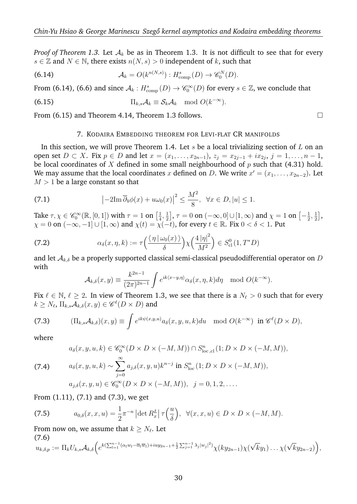*Proof of Theorem 1.3.* Let  $A_k$  be as in Theorem 1.3. It is not difficult to see that for every  $s \in \mathbb{Z}$  and  $N \in \mathbb{N}$ , there exists  $n(N, s) > 0$  independent of k, such that

(6.14) 
$$
\mathcal{A}_k = O(k^{n(N,s)}) : H^s_{\text{comp}}(D) \to \mathscr{C}_0^N(D).
$$

From (6.14), (6.6) and since  $\mathcal{A}_k: H^s_{\text{comp}}(D) \to \mathscr{C}_0^{\infty}(D)$  for every  $s \in \mathbb{Z}$ , we conclude that

(6.15) 
$$
\Pi_{k,s} \mathcal{A}_k \equiv \mathcal{S}_k \mathcal{A}_k \mod O(k^{-\infty}).
$$

From  $(6.15)$  and Theorem 4.14, Theorem 1.3 follows.  $\Box$ 

#### 7. KODAIRA EMBEDDING THEOREM FOR LEVI-FLAT CR MANIFOLDS

In this section, we will prove Theorem 1.4. Let  $s$  be a local trivializing section of  $L$  on an open set  $D \subset X$ . Fix  $p \in D$  and let  $x = (x_1, \ldots, x_{2n-1}),$   $z_j = x_{2j-1} + ix_{2j}, j = 1, \ldots, n-1$ , be local coordinates of X defined in some small neighbourhood of  $p$  such that (4.31) hold. We may assume that the local coordinates  $x$  defined on  $D$ . We write  $x' = (x_1, \ldots, x_{2n-2})$ . Let  $M > 1$  be a large constant so that

(7.1) 
$$
\left|-2\mathrm{Im}\,\overline{\partial}_b\phi(x)+u\omega_0(x)\right|^2\leq \frac{M^2}{8}, \quad \forall x\in D, |u|\leq 1.
$$

Take  $\tau, \chi \in \mathscr{C}_0^{\infty}(\mathbb{R}, [0, 1])$  with  $\tau = 1$  on  $\left[\frac{1}{4}, \frac{1}{2}\right]$  $\frac{1}{4}, \frac{1}{2}$  $\left[\frac{1}{2}\right], \tau = 0$  on  $\left[-\infty, 0\right] \cup \left[1, \infty\right)$  and  $\chi = 1$  on  $\left[-\frac{1}{2}\right]$  $\frac{1}{2}, \frac{1}{2}$  $\frac{1}{2}$ ,  $\chi = 0$  on  $(-\infty, -1] \cup [1, \infty)$  and  $\chi(t) = \chi(-t)$ , for every  $t \in \mathbb{R}$ . Fix  $0 < \delta < 1$ . Put

(7.2) 
$$
\alpha_{\delta}(x,\eta,k) := \tau\left(\frac{\langle \eta | \omega_0(x) \rangle}{\delta}\right) \chi\left(\frac{4 |\eta|^2}{M^2}\right) \in S^0_{\text{cl}}(1,T^*D)
$$

and let  $\mathcal{A}_{k,\delta}$  be a properly supported classical semi-classical pseudodifferential operator on D with

$$
\mathcal{A}_{k,\delta}(x,y) \equiv \frac{k^{2n-1}}{(2\pi)^{2n-1}} \int e^{ik\langle x-y,\eta \rangle} \alpha_{\delta}(x,\eta,k) d\eta \mod O(k^{-\infty}).
$$

Fix  $\ell \in \mathbb{N}$ ,  $\ell \ge 2$ . In view of Theorem 1.3, we see that there is a  $N_{\ell} > 0$  such that for every  $k \geq N_\ell, \, \Pi_{k,s}\mathcal{A}_{k,\delta}(x,y) \in \mathscr{C}^\ell(D\times D)$  and

(7.3) 
$$
(\Pi_{k,s}\mathcal{A}_{k,\delta})(x,y) \equiv \int e^{ik\psi(x,y,u)}a_{\delta}(x,y,u,k)du \mod O(k^{-\infty}) \text{ in } \mathscr{C}^{\ell}(D \times D),
$$

where

(7.4) 
$$
a_{\delta}(x, y, u, k) \in \mathscr{C}_{0}^{\infty}(D \times D \times (-M, M)) \cap S_{\text{loc, cl}}^{n}(1; D \times D \times (-M, M)),
$$
  
(7.4) 
$$
a_{\delta}(x, y, u, k) \sim \sum_{j=0}^{\infty} a_{j,\delta}(x, y, u) k^{n-j} \text{ in } S_{\text{loc}}^{n}(1; D \times D \times (-M, M)),
$$
  

$$
a_{j,\delta}(x, y, u) \in \mathscr{C}_{0}^{\infty}(D \times D \times (-M, M)), \quad j = 0, 1, 2, ....
$$

From (1.11), (7.1) and (7.3), we get

(7.5) 
$$
a_{0,\delta}(x,x,u)=\frac{1}{2}\pi^{-n}\left|\det R_x^L\right|\tau\left(\frac{u}{\delta}\right), \ \ \forall (x,x,u)\in D\times D\times(-M,M).
$$

From now on, we assume that  $k \geq N_\ell.$  Let  $(7.6)$ 

$$
u_{k,\delta,p} := \Pi_k U_{k,s} \mathcal{A}_{k,\delta} \Big( e^{k(\sum_{l=1}^{n-1} (\alpha_l w_l - \overline{\alpha}_l \overline{w}_l) + iuy_{2n-1} + \frac{1}{2} \sum_{j=1}^{n-1} \lambda_j |w_j|^2)} \chi(ky_{2n-1}) \chi(\sqrt{k}y_1) \dots \chi(\sqrt{k}y_{2n-2}) \Big),
$$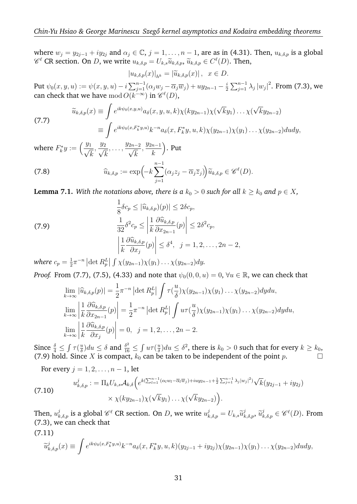where  $w_i = y_{2i-1} + iy_{2i}$  and  $\alpha_i \in \mathbb{C}$ ,  $j = 1, \ldots, n-1$ , are as in (4.31). Then,  $u_{k,\delta,p}$  is a global  $\mathscr{C}^{\ell}$  CR section. On D, we write  $u_{k,\delta,p} = U_{k,s}\widetilde{u}_{k,\delta,p}$ ,  $\widetilde{u}_{k,\delta,p} \in C^{\ell}(D)$ . Then,

$$
|u_{k,\delta,p}(x)|_{h^k} = |\widetilde{u}_{k,\delta,p}(x)| \,, \ \ x \in D.
$$

Put  $\psi_0(x,y,u):=\psi(x,y,u)-i\sum_{j=1}^{n-1}(\alpha_jw_j-\overline{\alpha}_j\overline{w}_j)+uy_{2n-1}-\frac{i}{2}$  $\frac{i}{2}\sum_{j=1}^{n-1}\lambda_j\left|w_j\right|^2$ . From (7.3), we can check that we have  $\operatorname{mod} O(k^{-\infty})$  in  $\mathscr{C}^{\ell}(D),$ 

(7.7) 
$$
\widetilde{u}_{k,\delta,p}(x) \equiv \int e^{ik\psi_0(x,y,u)} a_{\delta}(x,y,u,k) \chi(ky_{2n-1}) \chi(\sqrt{k}y_1) \dots \chi(\sqrt{k}y_{2n-2}) \n\equiv \int e^{ik\psi_0(x,F_k^*y,u)} k^{-n} a_{\delta}(x,F_k^*y,u,k) \chi(y_{2n-1}) \chi(y_1) \dots \chi(y_{2n-2}) dudy,
$$

where  $F_k^*y := \left(\frac{y_1}{\sqrt{y}}\right)^2$ k  $\frac{y_2}{\sqrt{2}}$ k  $,\ldots,\frac{y_{2n-2}}{\sqrt{n}}$ k  $, \frac{y_{2n-1}}{1}$ k . Put

(7.8) 
$$
\widehat{u}_{k,\delta,p} := \exp\left(-k\sum_{j=1}^{n-1} (\alpha_j z_j - \overline{\alpha}_j \overline{z}_j)\right) \widetilde{u}_{k,\delta,p} \in \mathscr{C}^{\ell}(D).
$$

**Lemma 7.1.** *With the notations above, there is a*  $k_0 > 0$  *such for all*  $k \geq k_0$  *and*  $p \in X$ *,* 

(7.9)  
\n
$$
\frac{1}{8}\delta c_p \leq |\widehat{u}_{k,\delta,p})(p)| \leq 2\delta c_p,
$$
\n
$$
\frac{1}{32}\delta^2 c_p \leq \left|\frac{1}{k}\frac{\partial \widehat{u}_{k,\delta,p}}{\partial x_{2n-1}}(p)\right| \leq 2\delta^2 c_p,
$$
\n
$$
\left|\frac{1}{k}\frac{\partial \widehat{u}_{k,\delta,p}}{\partial x_j}(p)\right| \leq \delta^4, \quad j = 1, 2, \dots, 2n - 2,
$$
\nwhere  $s = 1 - n$  let  $P_k$  for  $k \geq 0$  for  $k > 0$  be

where  $c_p=\frac{1}{2}$  $\frac{1}{2}\pi^{-n}$   $\left|\det R_p^L\right| \int \chi(y_{2n-1})\chi(y_1)\ldots\chi(y_{2n-2})dy.$ 

*Proof.* From (7.7), (7.5), (4.33) and note that  $\psi_0(0,0,u) = 0$ ,  $\forall u \in \mathbb{R}$ , we can check that

$$
\lim_{k \to \infty} |\widehat{u}_{k,\delta,p}(p)| = \frac{1}{2} \pi^{-n} |\det R_p^L| \int \tau(\frac{u}{\delta}) \chi(y_{2n-1}) \chi(y_1) \dots \chi(y_{2n-2}) dy du,
$$
  
\n
$$
\lim_{k \to \infty} \left| \frac{1}{k} \frac{\partial \widehat{u}_{k,\delta,p}}{\partial x_{2n-1}}(p) \right| = \frac{1}{2} \pi^{-n} |\det R_p^L| \int u \tau(\frac{u}{\delta}) \chi(y_{2n-1}) \chi(y_1) \dots \chi(y_{2n-2}) dy du,
$$
  
\n
$$
\lim_{k \to \infty} \left| \frac{1}{k} \frac{\partial \widehat{u}_{k,\delta,p}}{\partial x_j}(p) \right| = 0, \quad j = 1, 2, \dots, 2n - 2.
$$

Since  $\frac{\delta}{4} \leq \int \tau \left( \frac{u}{\delta} \right)$  $\frac{u}{\delta}$ ) $du \le \delta$  and  $\frac{\delta^2}{16} \le \int u \tau (\frac{u}{\delta})$  $\frac{u}{\delta}$ ) $du \leq \delta^2$ , there is  $k_0 > 0$  such that for every  $k \geq k_0$ , (7.9) hold. Since X is compact,  $k_0$  can be taken to be independent of the point p.

For every  $j = 1, 2, \ldots, n - 1$ , let

(7.10) 
$$
u_{k,\delta,p}^j := \Pi_k U_{k,s} \mathcal{A}_{k,\delta} \Big( e^{k(\sum_{l=1}^{n-1} (\alpha_l w_l - \overline{\alpha}_l \overline{w}_j) + iuy_{2n-1} + \frac{1}{2} \sum_{j=1}^{n-1} \lambda_j |w_j|^2)} \sqrt{k} (y_{2j-1} + iy_{2j}) \times \chi(ky_{2n-1}) \chi(\sqrt{k}y_1) \dots \chi(\sqrt{k}y_{2n-2}) \Big).
$$

Then,  $u_{k,\delta,p}^j$  is a global  $\mathcal{C}^{\ell}$  CR section. On D, we write  $u_{k,\delta,p}^j = U_{k,s} \widetilde{u}_{k,\delta,p}^j$ ,  $\widetilde{u}_{k,\delta,p}^j \in \mathcal{C}^{\ell}(D)$ . From  $(7.3)$ , we can chock that (7.3), we can check that

(7.11)

$$
\widetilde{u}_{k,\delta,p}^j(x) \equiv \int e^{ik\psi_0(x,F_k^*y,u)} k^{-n} a_\delta(x,F_k^*y,u,k) (y_{2j-1} + iy_{2j}) \chi(y_{2n-1}) \chi(y_1) \ldots \chi(y_{2n-2}) dudy,
$$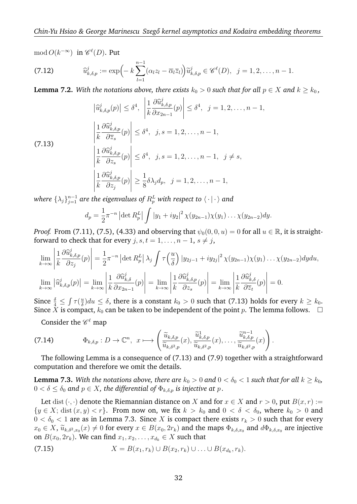$\mod O(k^{-\infty})$  in  $\mathscr{C}^{\ell}(D)$ . Put

(7.12) 
$$
\widehat{u}_{k,\delta,p}^j := \exp\left(-k\sum_{l=1}^{n-1} (\alpha_l z_l - \overline{\alpha}_l \overline{z}_l)\right) \widetilde{u}_{k,\delta,p}^j \in \mathscr{C}^{\ell}(D), \ \ j=1,2,\ldots,n-1.
$$

**Lemma 7.2.** *With the notations above, there exists*  $k_0 > 0$  *such that for all*  $p \in X$  *and*  $k \geq k_0$ *,* 

$$
\left| \hat{u}_{k,\delta,p}^{j}(p) \right| \leq \delta^{4}, \quad \left| \frac{1}{k} \frac{\partial \hat{u}_{k,\delta,p}^{j}}{\partial x_{2n-1}}(p) \right| \leq \delta^{4}, \quad j = 1, 2, \dots, n-1,
$$
\n
$$
\left| \frac{1}{k} \frac{\partial \hat{u}_{k,\delta,p}^{j}}{\partial \overline{z}_{s}}(p) \right| \leq \delta^{4}, \quad j, s = 1, 2, \dots, n-1,
$$
\n
$$
\left| \frac{1}{k} \frac{\partial \hat{u}_{k,\delta,p}^{j}}{\partial z_{s}}(p) \right| \leq \delta^{4}, \quad j, s = 1, 2, \dots, n-1, \quad j \neq s,
$$
\n
$$
\left| \frac{1}{k} \frac{\partial \hat{u}_{k,\delta,p}^{j}}{\partial z_{j}}(p) \right| \geq \frac{1}{8} \delta \lambda_{j} d_{p}, \quad j = 1, 2, \dots, n-1,
$$

where  $\{\lambda_j\}_{j=1}^{n-1}$  are the eigenvalues of  $R_p^L$  with respect to  $\langle\,\cdot\,|\,\cdot\,\rangle$  and

$$
d_p = \frac{1}{2}\pi^{-n} |\det R_p^L| \int |y_1 + iy_2|^2 \chi(y_{2n-1}) \chi(y_1) \dots \chi(y_{2n-2}) dy.
$$

*Proof.* From (7.11), (7.5), (4.33) and observing that  $\psi_0(0,0, u) = 0$  for all  $u \in \mathbb{R}$ , it is straightforward to check that for every  $j, s, t = 1, \ldots, n-1, s \neq j$ ,

$$
\lim_{k \to \infty} \left| \frac{1}{k} \frac{\partial \widehat{u}_{k,\delta,p}^{j}}{\partial z_{j}}(p) \right| = \frac{1}{2} \pi^{-n} \left| \det R_{p}^{L} \right| \lambda_{j} \int \tau \left( \frac{u}{\delta} \right) \left| y_{2j-1} + iy_{2j} \right|^{2} \chi(y_{2n-1}) \chi(y_{1}) \dots \chi(y_{2n-2}) dy du,
$$
\n
$$
\lim_{k \to \infty} \left| \widehat{u}_{k,\delta,p}^{j}(p) \right| = \lim_{k \to \infty} \left| \frac{1}{k} \frac{\partial \widehat{u}_{k,\delta}^{j}}{\partial x_{2n-1}}(p) \right| = \lim_{k \to \infty} \left| \frac{1}{k} \frac{\partial \widehat{u}_{k,\delta,p}^{j}}{\partial z_{s}}(p) \right| = \lim_{k \to \infty} \left| \frac{1}{k} \frac{\partial \widehat{u}_{k,\delta}^{j}}{\partial \overline{z}_{t}}(p) \right| = 0.
$$

Since  $\frac{\delta}{4} \leq \int \tau(\frac{u}{\delta})$  $\frac{u}{\delta}$ ) $du \le \delta$ , there is a constant  $k_0 > 0$  such that (7.13) holds for every  $k \ge k_0$ . Since X is compact,  $k_0$  can be taken to be independent of the point p. The lemma follows.  $\Box$ 

Consider the  $\mathscr{C}^{\ell}$  map

(7.14) 
$$
\Phi_{k,\delta,p}: D \to \mathbb{C}^n, \ x \longmapsto \left( \frac{\widetilde{u}_{k,\delta,p}}{\widetilde{u}_{k,\delta^2,p}}(x), \frac{\widetilde{u}_{k,\delta,p}^1}{\widetilde{u}_{k,\delta^2,p}}(x), \dots, \frac{\widetilde{u}_{k,\delta,p}^{n-1}}{\widetilde{u}_{k,\delta^2,p}}(x) \right).
$$

The following Lemma is a consequence of (7.13) and (7.9) together with a straightforward computation and therefore we omit the details.

**Lemma 7.3.** With the notations above, there are  $k_0 > 0$  and  $0 < \delta_0 < 1$  such that for all  $k \geq k_0$ ,  $0 < \delta \leq \delta_0$  and  $p \in X$ , the differential of  $\Phi_{k,\delta,p}$  is injective at p.

Let dist  $(\cdot, \cdot)$  denote the Riemannian distance on X and for  $x \in X$  and  $r > 0$ , put  $B(x, r) :=$  $\{y \in X; \text{dist}(x, y) < r\}$ . From now on, we fix  $k > k_0$  and  $0 < \delta < \delta_0$ , where  $k_0 > 0$  and  $0 < \delta_0 < 1$  are as in Lemma 7.3. Since X is compact there exists  $r_k > 0$  such that for every  $x_0 \in X$ ,  $\widetilde{u}_{k,\delta^2,x_0}(x) \neq 0$  for every  $x \in B(x_0, 2r_k)$  and the maps  $\Phi_{k,\delta,x_0}$  and  $d\Phi_{k,\delta,x_0}$  are injective on  $B(x_0, 2r_k)$ . We can find  $x_1, x_2, \ldots, x_{d_k} \in X$  such that

(7.15) 
$$
X = B(x_1, r_k) \cup B(x_2, r_k) \cup \ldots \cup B(x_{d_k}, r_k).
$$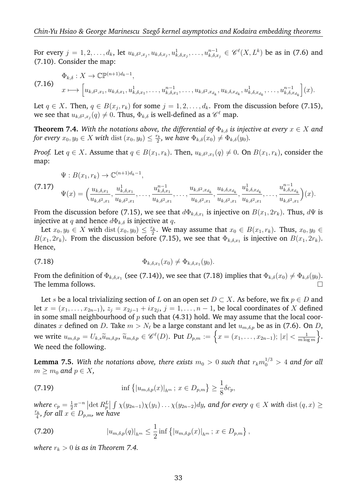For every  $j=1,2,\ldots,d_k$ , let  $u_{k,\delta^2,x_j},u_{k,\delta,x_j},u^1_{k,\delta,x_j},\ldots,u^{n-1}_{k,\delta,x_j}\in \mathscr{C}^\ell(X,L^k)$  be as in (7.6) and (7.10). Consider the map:

$$
\Phi_{k,\delta}: X \to \mathbb{CP}^{(n+1)d_k-1},
$$
\n
$$
x \longmapsto \left[ u_{k,\delta^2,x_1}, u_{k,\delta,x_1}, u_{k,\delta,x_1}^1, \dots, u_{k,\delta,x_1}^{n-1}, \dots, u_{k,\delta^2,x_{d_k}}, u_{k,\delta,x_{d_k}}, u_{k,\delta,x_{d_k}}^1, \dots, u_{k,\delta,x_{d_k}}^{n-1} \right] (x).
$$

Let  $q \in X$ . Then,  $q \in B(x_j, r_k)$  for some  $j = 1, 2, \ldots, d_k$ . From the discussion before (7.15), we see that  $u_{k,\delta^2,x_j}(q)\neq 0.$  Thus,  $\Phi_{k,\delta}$  is well-defined as a  $\mathscr{C}^{\ell}$  map.

**Theorem 7.4.** *With the notations above, the differential of*  $\Phi_{k,\delta}$  *is injective at every*  $x \in X$  *and for every*  $x_0, y_0 \in X$  *with* dist  $(x_0, y_0) \leq \frac{r_k}{2}$  $\frac{r_k}{2}$ , we have  $\Phi_{k,\delta}(x_0) \neq \Phi_{k,\delta}(y_0)$ .

*Proof.* Let  $q \in X$ . Assume that  $q \in B(x_1, r_k)$ . Then,  $u_{k,\delta^2,x_1}(q) \neq 0$ . On  $B(x_1, r_k)$ , consider the map:

$$
\Psi: B(x_1, r_k) \to \mathbb{C}^{(n+1)d_k-1},
$$

 $(7)$ 

$$
\mathbf{17)} \quad \Psi(x) = \left(\frac{u_{k,\delta,x_1}}{u_{k,\delta^2,x_1}}, \frac{u_{k,\delta,x_1}^1}{u_{k,\delta^2,x_1}}, \ldots, \frac{u_{k,\delta^2,x_1}^{n-1}}{u_{k,\delta^2,x_1}}, \ldots, \frac{u_{k,\delta^2,x_{d_k}}}{u_{k,\delta^2,x_1}}, \frac{u_{k,\delta,x_{d_k}}^1}{u_{k,\delta^2,x_1}}, \frac{u_{k,\delta,x_{d_k}}^1}{u_{k,\delta^2,x_1}}, \ldots, \frac{u_{k,\delta^2,x_{d_k}}^{n-1}}{u_{k,\delta^2,x_1}}\right)(x).
$$

From the discussion before (7.15), we see that  $d\Phi_{k,\delta,x_1}$  is injective on  $B(x_1,2r_k)$ . Thus,  $d\Psi$  is injective at q and hence  $d\Phi_{k,\delta}$  is injective at q.

Let  $x_0, y_0 \in X$  with dist  $(x_0, y_0) \leq \frac{r_k}{2}$  $\frac{r_k}{2}$ . We may assume that  $x_0 \in B(x_1, r_k)$ . Thus,  $x_0, y_0 \in$  $B(x_1, 2r_k)$ . From the discussion before (7.15), we see that  $\Phi_{k,\delta,x_1}$  is injective on  $B(x_1, 2r_k)$ . Hence,

(7.18) 
$$
\Phi_{k,\delta,x_1}(x_0) \neq \Phi_{k,\delta,x_1}(y_0).
$$

From the definition of  $\Phi_{k,\delta,x_1}$  (see (7.14)), we see that (7.18) implies that  $\Phi_{k,\delta}(x_0)\neq \Phi_{k,\delta}(y_0).$ The lemma follows.  $\Box$ 

Let s be a local trivializing section of L on an open set  $D \subset X$ . As before, we fix  $p \in D$  and let  $x = (x_1, \ldots, x_{2n-1}), z_j = x_{2j-1} + ix_{2j}, j = 1, \ldots, n-1$ , be local coordinates of X defined in some small neighbourhood of  $p$  such that (4.31) hold. We may assume that the local coordinates x defined on D. Take  $m > N_{\ell}$  be a large constant and let  $u_{m,\delta,p}$  be as in (7.6). On D, we write  $u_{m,\delta,p} = U_{k,s}\widetilde{u}_{m,\delta,p}$ ,  $\widetilde{u}_{m,\delta,p} \in \mathscr{C}^{\ell}(D)$ . Put  $D_{p,m} := \left\{x = (x_1, \ldots, x_{2n-1}); |x| < \frac{1}{m \log n}\right\}$  $\frac{1}{m \log m}$ . We need the following.

**Lemma 7.5.** With the notations above, there exists  $m_0 > 0$  such that  $r_k m_0^{1/3} > 4$  and for all  $m > m_0$  and  $p \in X$ ,

(7.19) 
$$
\inf \left\{ |u_{m,\delta,p}(x)|_{h^m} ; x \in D_{p,m} \right\} \geq \frac{1}{8} \delta c_p,
$$

where  $c_p = \frac{1}{2}$  $\frac{1}{2}\pi^{-n}\left|\det R_{p}^{L}\right|\int\chi(y_{2n-1})\chi(y_{1})\ldots\chi(y_{2n-2})dy$ , and for every  $q\in X$  with  $\mathrm{dist}\left(q,x\right)\geq 0$  $r_k$  $\frac{r_k}{4}$ , for all  $x\in D_{p,m}$ , we have

(7.20) 
$$
|u_{m,\delta,p}(q)|_{h^m} \leq \frac{1}{2} \inf \left\{ |u_{m,\delta,p}(x)|_{h^m} ; x \in D_{p,m} \right\},\,
$$

*where*  $r_k > 0$  *is as in Theorem 7.4.*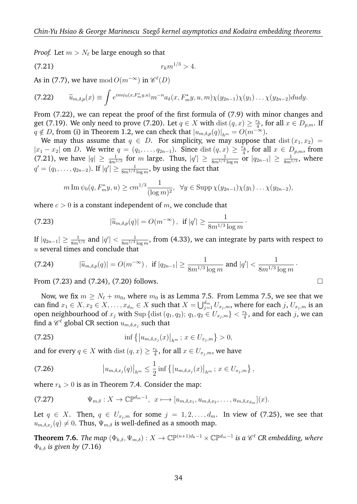*Proof.* Let  $m > N_{\ell}$  be large enough so that

$$
(7.21) \t\t r_k m^{1/3} > 4.
$$

As in (7.7), we have  $\operatorname{mod} O(m^{-\infty})$  in  $\mathscr{C}^{\ell}(D)$ 

$$
(7.22) \qquad \widetilde{u}_{m,\delta,p}(x) \equiv \int e^{im\psi_0(x,F_m^*y,u)} m^{-n} a_\delta(x,F_m^*y,u,m) \chi(y_{2n-1}) \chi(y_1) \ldots \chi(y_{2n-2}) dudy.
$$

From (7.22), we can repeat the proof of the first formula of (7.9) with minor changes and get (7.19). We only need to prove (7.20). Let  $q \in X$  with  $dist(q, x) \geq \frac{r_k}{4}$  $\frac{r_k}{4}$ , for all  $x \in D_{p,m}$ . If  $q \notin D$ , from (i) in Theorem 1.2, we can check that  $|u_{m,\delta,p}(q)|_{h^m} = O(m^{-\infty}).$ 

We may thus assume that  $q \in D$ . For simplicity, we may suppose that  $dist(x_1, x_2)$  =  $|x_1 - x_2|$  on D. We write  $q = (q_1, \ldots, q_{2n-1})$ . Since  $dist(q, x) \geq \frac{r_k}{4}$  $\frac{r_k}{4}$ , for all  $x \in D_{p,m}$ , from (7.21), we have  $|q| \ge \frac{1}{4m^{1/3}}$  for m large. Thus,  $|q'| \ge \frac{1}{8m^{1/3} \log m}$  or  $|q_{2n-1}| \ge \frac{1}{8m^{1/3}}$ , where  $q'=(q_1,\ldots,q_{2n-2}).$  If  $|q'|\geq \frac{1}{8m^{1/3}\log m}$ , by using the fact that

$$
m \operatorname{Im} \psi_0(q, F_m^*y, u) \ge cm^{1/3} \frac{1}{(\log m)^2}, \quad \forall y \in \operatorname{Supp} \chi(y_{2n-1}) \chi(y_1) \dots \chi(y_{2n-2}),
$$

where  $c > 0$  is a constant independent of m, we conclude that

(7.23) 
$$
|\widetilde{u}_{m,\delta,p}(q)| = O(m^{-\infty}), \text{ if } |q'| \geq \frac{1}{8m^{1/3}\log m}
$$

If  $|q_{2n-1}|\geq \frac{1}{8m^{1/3}}$  and  $|q'|< \frac{1}{8m^{1/3}}$  $\frac{1}{8m^{1/3}\log m}$ , from (4.33), we can integrate by parts with respect to  $u$  several times and conclude that

·

(7.24) 
$$
|\widetilde{u}_{m,\delta,p}(q)| = O(m^{-\infty}), \text{ if } |q_{2n-1}| \geq \frac{1}{8m^{1/3}\log m} \text{ and } |q'| < \frac{1}{8m^{1/3}\log m}.
$$

From  $(7.23)$  and  $(7.24)$ ,  $(7.20)$  follows.

Now, we fix  $m \ge N_\ell + m_0$ , where  $m_0$  is as Lemma 7.5. From Lemma 7.5, we see that we can find  $x_1 \in X$ ,  $x_2 \in X$ , . . . ,  $x_{d_m} \in X$  such that  $X = \bigcup_{j=1}^{d_m} U_{x_j,m}$ , where for each  $j$ ,  $U_{x_j,m}$  is an open neighbourhood of  $x_j$  with  $\text{Sup } \{\text{dist}(q_1, q_2); q_1, q_2 \in U_{x_j,m}\} < \frac{r_k}{4}$  $\frac{r_k}{4}$ , and for each  $j$ , we can find a  $\mathscr{C}^{\ell}$  global CR section  $u_{m,\delta,x_j}$  such that

(7.25) 
$$
\inf \left\{ \left| u_{m,\delta,x_j}(x) \right|_{h^m}; \, x \in U_{x_j,m} \right\} > 0,
$$

and for every  $q \in X$  with dist  $(q, x) \geq \frac{r_k}{4}$  $\frac{r_k}{4}$ , for all  $x\in U_{x_j,m}$ , we have

(7.26) 
$$
\left|u_{m,\delta,x_j}(q)\right|_{h^m} \leq \frac{1}{2} \inf \left\{\left|u_{m,\delta,x_j}(x)\right|_{h^m};\, x\in U_{x_j,m}\right\},\,
$$

where  $r_k > 0$  is as in Theorem 7.4. Consider the map:

$$
(7.27) \t\Psi_{m,\delta}: X \to \mathbb{CP}^{d_m-1}, \t x \mapsto [u_{m,\delta,x_1}, u_{m,\delta,x_2}, \ldots, u_{m,\delta,x_{d_m}}](x).
$$

Let  $q \in X$ . Then,  $q \in U_{x_i,m}$  for some  $j = 1, 2, \ldots, d_m$ . In view of (7.25), we see that  $u_{m,\delta,x_j}(q)\neq 0.$  Thus,  $\Psi_{m,\delta}$  is well-defined as a smooth map.

**Theorem 7.6.** *The map*  $(\Phi_{k,\delta}, \Psi_{m,\delta}) : X \to \mathbb{CP}^{(n+1)d_k-1} \times \mathbb{CP}^{d_m-1}$  is a  $\mathscr{C}^{\ell}$  CR embedding, where  $\Phi_{k,\delta}$  *is given by* (7.16)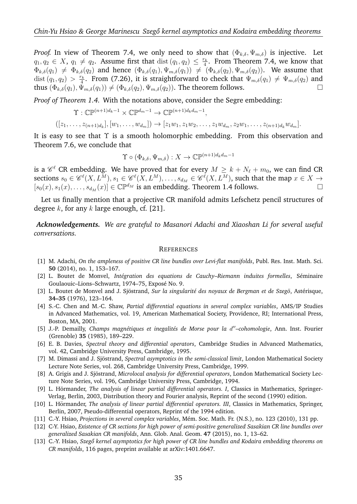*Proof.* In view of Theorem 7.4, we only need to show that  $(\Phi_{k,\delta}, \Psi_{m,\delta})$  is injective. Let  $q_1, q_2 \in X$ ,  $q_1 \neq q_2$ . Assume first that  $dist(q_1, q_2) \leq \frac{r_k}{4}$  $\frac{r_k}{4}$ . From Theorem 7.4, we know that  $\Phi_{k,\delta}(q_1) \neq \Phi_{k,\delta}(q_2)$  and hence  $(\Phi_{k,\delta}(q_1), \Psi_{m,\delta}(q_1)) \neq (\Phi_{k,\delta}(q_2), \Psi_{m,\delta}(q_2)).$  We assume that dist  $(q_1, q_2) > \frac{r_k}{4}$  $\frac{m_{k}}{4}$ . From (7.26), it is straightforward to check that  $\Psi_{m,\delta}(q_{1})\neq\Psi_{m,\delta}(q_{2})$  and thus  $(\Phi_{k,\delta}(q_1), \Psi_{m,\delta}(q_1)) \neq (\Phi_{k,\delta}(q_2), \Psi_{m,\delta}(q_2))$ . The theorem follows.

*Proof of Theorem 1.4.* With the notations above, consider the Segre embedding:

 $\Upsilon : \mathbb{CP}^{(n+1)d_k-1} \times \mathbb{CP}^{d_m-1} \to \mathbb{CP}^{(n+1)d_kd_m-1},$ 

 $([z_1, \ldots, z_{(n+1)d_k}], [w_1, \ldots, w_{d_m}]) \rightarrow [z_1w_1, z_1w_2, \ldots, z_1w_{d_m}, z_2w_1, \ldots, z_{(n+1)d_k}w_{d_m}].$ 

It is easy to see that  $\Upsilon$  is a smooth holomorphic embedding. From this observation and Theorem 7.6, we conclude that

$$
\Upsilon \circ (\Phi_{k,\delta}, \Psi_{m,\delta}) : X \to \mathbb{CP}^{(n+1)d_k d_m - 1}
$$

is a  $\mathscr{C}^\ell$  CR embedding. We have proved that for every  $M\geq k+N_\ell+m_0,$  we can find CR sections  $s_0\in \mathscr{C}^{\ell}(X,L^M), s_1\in \mathscr{C}^{\ell}(X,L^M),\ldots,s_{d_M}\in \mathscr{C}^{\ell}(X,L^M),$  such that the map  $x\in X\to$  $[s_0(x), s_1(x), \ldots, s_{d_M}(x)] \in \mathbb{C} \mathbb{P}^{d_M}$  is an embedding. Theorem 1.4 follows.

Let us finally mention that a projective CR manifold admits Lefschetz pencil structures of degree k, for any k large enough, cf.  $[21]$ .

*Acknowledgements. We are grateful to Masanori Adachi and Xiaoshan Li for several useful conversations.*

### **REFERENCES**

- [1] M. Adachi, *On the ampleness of positive CR line bundles over Levi-flat manifolds*, Publ. Res. Inst. Math. Sci. **50** (2014), no. 1, 153–167.
- [2] L. Boutet de Monvel, *Int´egration des equations de Cauchy–Riemann induites formelles*, S´eminaire Goulaouic–Lions–Schwartz, 1974–75, Exposé No. 9.
- [3] L. Boutet de Monvel and J. Sjöstrand, Sur la singularité des noyaux de Bergman et de Szegö, Astérisque, **34–35** (1976), 123–164.
- [4] S.-C. Chen and M.-C. Shaw, *Partial differential equations in several complex variables*, AMS/IP Studies in Advanced Mathematics, vol. 19, American Mathematical Society, Providence, RI; International Press, Boston, MA, 2001.
- [5] J.-P. Demailly, Champs magnétiques et inegalités de Morse pour la d"-cohomologie, Ann. Inst. Fourier (Grenoble) **35** (1985), 189–229.
- [6] E. B. Davies, *Spectral theory and differential operators*, Cambridge Studies in Advanced Mathematics, vol. 42, Cambridge University Press, Cambridge, 1995.
- [7] M. Dimassi and J. Sjöstrand, Spectral asymptotics in the semi-classical limit, London Mathematical Society Lecture Note Series, vol. 268, Cambridge University Press, Cambridge, 1999.
- [8] A. Grigis and J. Sjöstrand, *Microlocal analysis for differential operators*, London Mathematical Society Lecture Note Series, vol. 196, Cambridge University Press, Cambridge, 1994.
- [9] L. Hörmander, *The analysis of linear partial differential operators. I*, Classics in Mathematics, Springer-Verlag, Berlin, 2003, Distribution theory and Fourier analysis, Reprint of the second (1990) edition.
- [10] L. Hörmander, *The analysis of linear partial differential operators. III*, Classics in Mathematics, Springer, Berlin, 2007, Pseudo-differential operators, Reprint of the 1994 edition.
- [11] C.-Y. Hsiao, *Projections in several complex variables*, M´em. Soc. Math. Fr. (N.S.), no. 123 (2010), 131 pp.
- [12] C-Y. Hsiao, *Existence of CR sections for high power of semi-positive generalized Sasakian CR line bundles over generalized Sasakian CR manifolds*, Ann. Glob. Anal. Geom. **47** (2015), no. 1, 13–62.
- [13] C.-Y. Hsiao, *Szego kernel asymptotics for high power of CR line bundles and Kodaira embedding theorems on ˝ CR manifolds*, 116 pages, preprint available at arXiv:1401.6647.